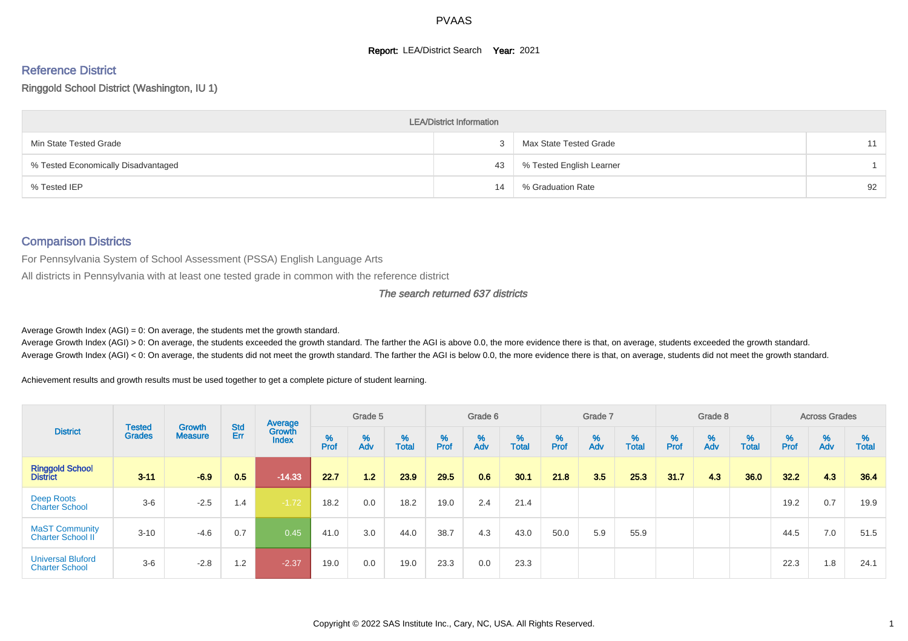#### **Report: LEA/District Search Year: 2021**

# Reference District

#### Ringgold School District (Washington, IU 1)

|                                     | <b>LEA/District Information</b> |                          |    |
|-------------------------------------|---------------------------------|--------------------------|----|
| Min State Tested Grade              |                                 | Max State Tested Grade   | 11 |
| % Tested Economically Disadvantaged | 43                              | % Tested English Learner |    |
| % Tested IEP                        | 14                              | % Graduation Rate        | 92 |

#### Comparison Districts

For Pennsylvania System of School Assessment (PSSA) English Language Arts

All districts in Pennsylvania with at least one tested grade in common with the reference district

#### The search returned 637 districts

Average Growth Index  $(AGI) = 0$ : On average, the students met the growth standard.

Average Growth Index (AGI) > 0: On average, the students exceeded the growth standard. The farther the AGI is above 0.0, the more evidence there is that, on average, students exceeded the growth standard. Average Growth Index (AGI) < 0: On average, the students did not meet the growth standard. The farther the AGI is below 0.0, the more evidence there is that, on average, students did not meet the growth standard.

Achievement results and growth results must be used together to get a complete picture of student learning.

|                                                   |                                |                                 |            | Average                |           | Grade 5  |                   |        | Grade 6                       |                   |           | Grade 7  |                   |          | Grade 8  |                   |          | <b>Across Grades</b> |                   |
|---------------------------------------------------|--------------------------------|---------------------------------|------------|------------------------|-----------|----------|-------------------|--------|-------------------------------|-------------------|-----------|----------|-------------------|----------|----------|-------------------|----------|----------------------|-------------------|
| <b>District</b>                                   | <b>Tested</b><br><b>Grades</b> | <b>Growth</b><br><b>Measure</b> | Std<br>Err | Growth<br><b>Index</b> | %<br>Prof | %<br>Adv | %<br><b>Total</b> | % Pref | $\stackrel{\%}{\mathsf{Adv}}$ | %<br><b>Total</b> | %<br>Prof | %<br>Adv | %<br><b>Total</b> | $%$ Prof | %<br>Adv | %<br><b>Total</b> | $%$ Prof | %<br>Adv             | %<br><b>Total</b> |
| <b>Ringgold School</b><br><b>District</b>         | $3 - 11$                       | $-6.9$                          | 0.5        | $-14.33$               | 22.7      | 1.2      | 23.9              | 29.5   | 0.6                           | 30.1              | 21.8      | 3.5      | 25.3              | 31.7     | 4.3      | 36.0              | 32.2     | 4.3                  | 36.4              |
| Deep Roots<br><b>Charter School</b>               | $3-6$                          | $-2.5$                          | 1.4        | $-1.72$                | 18.2      | 0.0      | 18.2              | 19.0   | 2.4                           | 21.4              |           |          |                   |          |          |                   | 19.2     | 0.7                  | 19.9              |
| <b>MaST Community</b><br>Charter School II        | $3 - 10$                       | $-4.6$                          | 0.7        | 0.45                   | 41.0      | 3.0      | 44.0              | 38.7   | 4.3                           | 43.0              | 50.0      | 5.9      | 55.9              |          |          |                   | 44.5     | 7.0                  | 51.5              |
| <b>Universal Bluford</b><br><b>Charter School</b> | $3-6$                          | $-2.8$                          | 1.2        | $-2.37$                | 19.0      | 0.0      | 19.0              | 23.3   | 0.0                           | 23.3              |           |          |                   |          |          |                   | 22.3     | 1.8                  | 24.1              |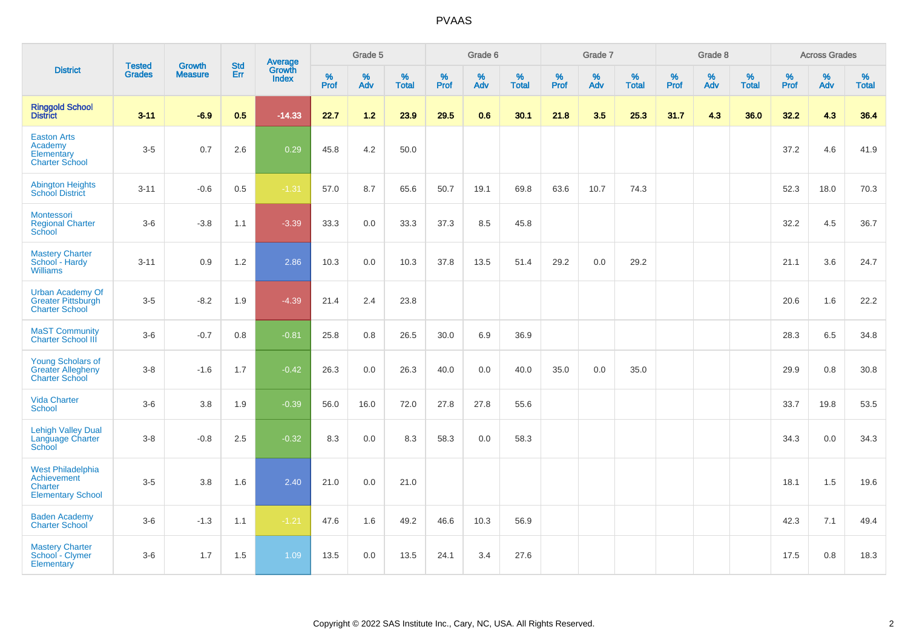|                                                                                | <b>Tested</b> | <b>Growth</b>  | <b>Std</b> | Average<br>Growth |                     | Grade 5  |                   |           | Grade 6  |                   |              | Grade 7  |                   |              | Grade 8  |                   |           | <b>Across Grades</b> |                   |
|--------------------------------------------------------------------------------|---------------|----------------|------------|-------------------|---------------------|----------|-------------------|-----------|----------|-------------------|--------------|----------|-------------------|--------------|----------|-------------------|-----------|----------------------|-------------------|
| <b>District</b>                                                                | <b>Grades</b> | <b>Measure</b> | Err        | <b>Index</b>      | $\%$<br><b>Prof</b> | %<br>Adv | %<br><b>Total</b> | %<br>Prof | %<br>Adv | %<br><b>Total</b> | $\%$<br>Prof | %<br>Adv | %<br><b>Total</b> | $\%$<br>Prof | %<br>Adv | %<br><b>Total</b> | %<br>Prof | %<br>Adv             | %<br><b>Total</b> |
| <b>Ringgold School</b><br><b>District</b>                                      | $3 - 11$      | $-6.9$         | 0.5        | $-14.33$          | 22.7                | 1.2      | 23.9              | 29.5      | 0.6      | 30.1              | 21.8         | 3.5      | 25.3              | 31.7         | 4.3      | 36.0              | 32.2      | 4.3                  | 36.4              |
| <b>Easton Arts</b><br>Academy<br>Elementary<br><b>Charter School</b>           | $3-5$         | 0.7            | 2.6        | 0.29              | 45.8                | 4.2      | 50.0              |           |          |                   |              |          |                   |              |          |                   | 37.2      | 4.6                  | 41.9              |
| <b>Abington Heights</b><br><b>School District</b>                              | $3 - 11$      | $-0.6$         | 0.5        | $-1.31$           | 57.0                | 8.7      | 65.6              | 50.7      | 19.1     | 69.8              | 63.6         | 10.7     | 74.3              |              |          |                   | 52.3      | 18.0                 | 70.3              |
| Montessori<br><b>Regional Charter</b><br>School                                | $3-6$         | $-3.8$         | 1.1        | $-3.39$           | 33.3                | 0.0      | 33.3              | 37.3      | 8.5      | 45.8              |              |          |                   |              |          |                   | 32.2      | 4.5                  | 36.7              |
| <b>Mastery Charter</b><br>School - Hardy<br><b>Williams</b>                    | $3 - 11$      | 0.9            | 1.2        | 2.86              | 10.3                | 0.0      | 10.3              | 37.8      | 13.5     | 51.4              | 29.2         | 0.0      | 29.2              |              |          |                   | 21.1      | 3.6                  | 24.7              |
| <b>Urban Academy Of</b><br>Greater Pittsburgh<br><b>Charter School</b>         | $3-5$         | $-8.2$         | 1.9        | $-4.39$           | 21.4                | 2.4      | 23.8              |           |          |                   |              |          |                   |              |          |                   | 20.6      | 1.6                  | 22.2              |
| <b>MaST Community</b><br>Charter School III                                    | $3-6$         | $-0.7$         | 0.8        | $-0.81$           | 25.8                | 0.8      | 26.5              | 30.0      | 6.9      | 36.9              |              |          |                   |              |          |                   | 28.3      | 6.5                  | 34.8              |
| <b>Young Scholars of</b><br><b>Greater Allegheny</b><br><b>Charter School</b>  | $3 - 8$       | $-1.6$         | 1.7        | $-0.42$           | 26.3                | 0.0      | 26.3              | 40.0      | 0.0      | 40.0              | 35.0         | 0.0      | 35.0              |              |          |                   | 29.9      | 0.8                  | 30.8              |
| <b>Vida Charter</b><br><b>School</b>                                           | $3-6$         | 3.8            | 1.9        | $-0.39$           | 56.0                | 16.0     | 72.0              | 27.8      | 27.8     | 55.6              |              |          |                   |              |          |                   | 33.7      | 19.8                 | 53.5              |
| <b>Lehigh Valley Dual</b><br>Language Charter<br>School                        | $3 - 8$       | $-0.8$         | 2.5        | $-0.32$           | 8.3                 | $0.0\,$  | 8.3               | 58.3      | 0.0      | 58.3              |              |          |                   |              |          |                   | 34.3      | 0.0                  | 34.3              |
| <b>West Philadelphia</b><br>Achievement<br>Charter<br><b>Elementary School</b> | $3-5$         | 3.8            | 1.6        | 2.40              | 21.0                | 0.0      | 21.0              |           |          |                   |              |          |                   |              |          |                   | 18.1      | 1.5                  | 19.6              |
| <b>Baden Academy</b><br><b>Charter School</b>                                  | $3-6$         | $-1.3$         | 1.1        | $-1.21$           | 47.6                | 1.6      | 49.2              | 46.6      | 10.3     | 56.9              |              |          |                   |              |          |                   | 42.3      | 7.1                  | 49.4              |
| <b>Mastery Charter</b><br>School - Clymer<br>Elementary                        | $3-6$         | 1.7            | 1.5        | 1.09              | 13.5                | 0.0      | 13.5              | 24.1      | 3.4      | 27.6              |              |          |                   |              |          |                   | 17.5      | $0.8\,$              | 18.3              |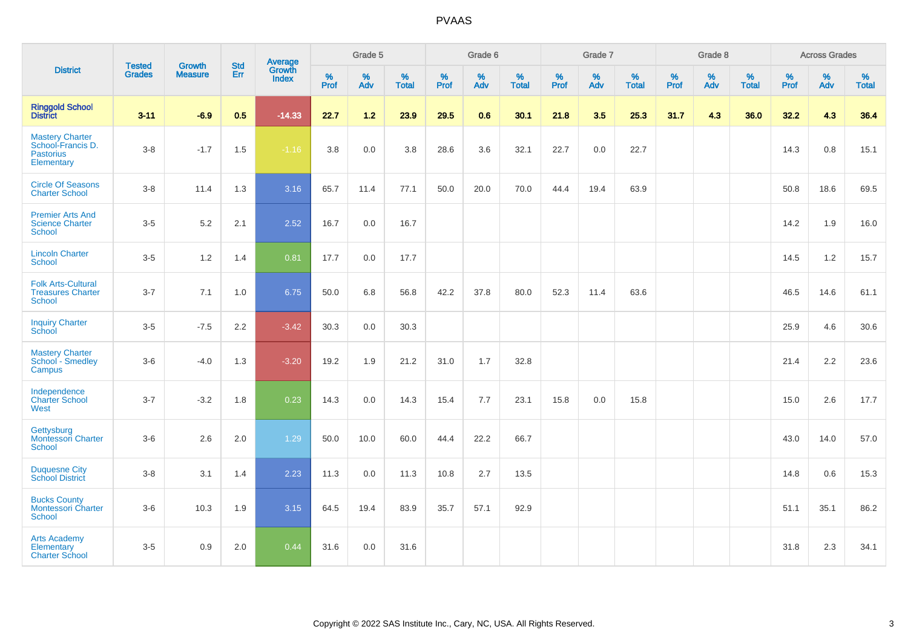|                                                                        | <b>Tested</b> | <b>Growth</b>  | <b>Std</b> | Average                |              | Grade 5  |                   |              | Grade 6  |                   |              | Grade 7  |                   |              | Grade 8  |                   |              | <b>Across Grades</b> |                   |
|------------------------------------------------------------------------|---------------|----------------|------------|------------------------|--------------|----------|-------------------|--------------|----------|-------------------|--------------|----------|-------------------|--------------|----------|-------------------|--------------|----------------------|-------------------|
| <b>District</b>                                                        | <b>Grades</b> | <b>Measure</b> | <b>Err</b> | Growth<br><b>Index</b> | $\%$<br>Prof | %<br>Adv | %<br><b>Total</b> | $\%$<br>Prof | %<br>Adv | %<br><b>Total</b> | $\%$<br>Prof | %<br>Adv | %<br><b>Total</b> | $\%$<br>Prof | %<br>Adv | %<br><b>Total</b> | $\%$<br>Prof | %<br>Adv             | %<br><b>Total</b> |
| <b>Ringgold School</b><br>District                                     | $3 - 11$      | $-6.9$         | 0.5        | $-14.33$               | 22.7         | $1.2$    | 23.9              | 29.5         | 0.6      | 30.1              | 21.8         | 3.5      | 25.3              | 31.7         | 4.3      | 36.0              | 32.2         | 4.3                  | 36.4              |
| Mastery Charter<br>School-Francis D.<br><b>Pastorius</b><br>Elementary | $3 - 8$       | $-1.7$         | 1.5        | $-1.16$                | $3.8\,$      | 0.0      | 3.8               | 28.6         | 3.6      | 32.1              | 22.7         | $0.0\,$  | 22.7              |              |          |                   | 14.3         | $0.8\,$              | 15.1              |
| <b>Circle Of Seasons</b><br><b>Charter School</b>                      | $3 - 8$       | 11.4           | 1.3        | 3.16                   | 65.7         | 11.4     | 77.1              | 50.0         | 20.0     | 70.0              | 44.4         | 19.4     | 63.9              |              |          |                   | 50.8         | 18.6                 | 69.5              |
| <b>Premier Arts And</b><br><b>Science Charter</b><br><b>School</b>     | $3-5$         | 5.2            | 2.1        | 2.52                   | 16.7         | 0.0      | 16.7              |              |          |                   |              |          |                   |              |          |                   | 14.2         | 1.9                  | 16.0              |
| <b>Lincoln Charter</b><br><b>School</b>                                | $3-5$         | 1.2            | 1.4        | 0.81                   | 17.7         | 0.0      | 17.7              |              |          |                   |              |          |                   |              |          |                   | 14.5         | $1.2$                | 15.7              |
| <b>Folk Arts-Cultural</b><br><b>Treasures Charter</b><br><b>School</b> | $3 - 7$       | 7.1            | 1.0        | 6.75                   | 50.0         | 6.8      | 56.8              | 42.2         | 37.8     | 80.0              | 52.3         | 11.4     | 63.6              |              |          |                   | 46.5         | 14.6                 | 61.1              |
| <b>Inquiry Charter</b><br>School                                       | $3-5$         | $-7.5$         | 2.2        | $-3.42$                | 30.3         | 0.0      | 30.3              |              |          |                   |              |          |                   |              |          |                   | 25.9         | 4.6                  | 30.6              |
| <b>Mastery Charter</b><br>School - Smedley<br>Campus                   | $3-6$         | $-4.0$         | 1.3        | $-3.20$                | 19.2         | 1.9      | 21.2              | 31.0         | 1.7      | 32.8              |              |          |                   |              |          |                   | 21.4         | $2.2\,$              | 23.6              |
| Independence<br><b>Charter School</b><br>West                          | $3 - 7$       | $-3.2$         | 1.8        | 0.23                   | 14.3         | 0.0      | 14.3              | 15.4         | 7.7      | 23.1              | 15.8         | 0.0      | 15.8              |              |          |                   | 15.0         | 2.6                  | 17.7              |
| Gettysburg<br><b>Montessori Charter</b><br>School                      | $3-6$         | 2.6            | 2.0        | 1.29                   | 50.0         | 10.0     | 60.0              | 44.4         | 22.2     | 66.7              |              |          |                   |              |          |                   | 43.0         | 14.0                 | 57.0              |
| <b>Duquesne City</b><br><b>School District</b>                         | $3-8$         | 3.1            | 1.4        | 2.23                   | 11.3         | 0.0      | 11.3              | 10.8         | 2.7      | 13.5              |              |          |                   |              |          |                   | 14.8         | 0.6                  | 15.3              |
| <b>Bucks County</b><br><b>Montessori Charter</b><br>School             | $3-6$         | 10.3           | 1.9        | 3.15                   | 64.5         | 19.4     | 83.9              | 35.7         | 57.1     | 92.9              |              |          |                   |              |          |                   | 51.1         | 35.1                 | 86.2              |
| <b>Arts Academy</b><br>Elementary<br><b>Charter School</b>             | $3-5$         | 0.9            | 2.0        | 0.44                   | 31.6         | 0.0      | 31.6              |              |          |                   |              |          |                   |              |          |                   | 31.8         | 2.3                  | 34.1              |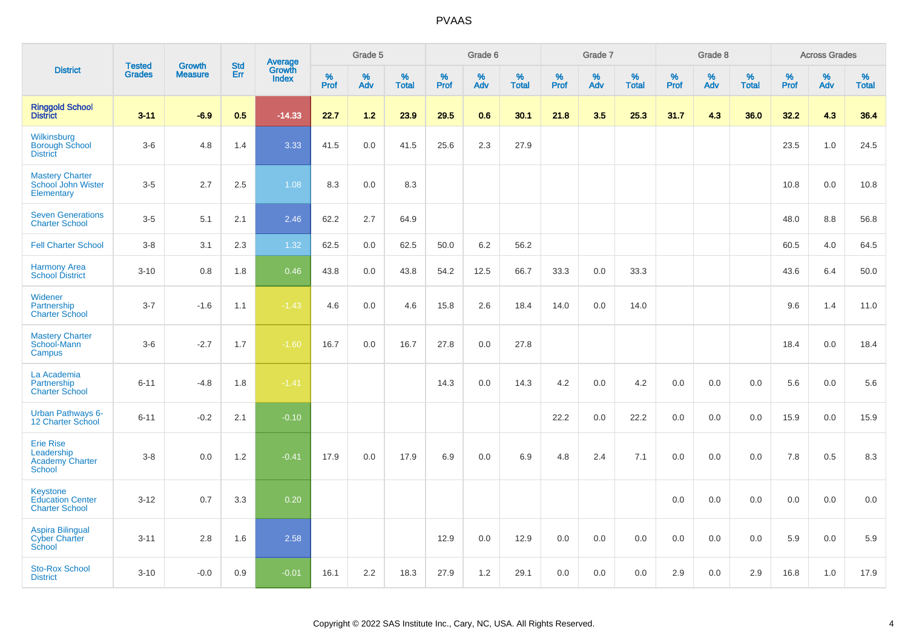|                                                                     |                                | <b>Growth</b>  |                   |                                          |              | Grade 5  |                      |                     | Grade 6  |                      |              | Grade 7  |                      |              | Grade 8  |                      |              | <b>Across Grades</b> |                      |
|---------------------------------------------------------------------|--------------------------------|----------------|-------------------|------------------------------------------|--------------|----------|----------------------|---------------------|----------|----------------------|--------------|----------|----------------------|--------------|----------|----------------------|--------------|----------------------|----------------------|
| <b>District</b>                                                     | <b>Tested</b><br><b>Grades</b> | <b>Measure</b> | <b>Std</b><br>Err | <b>Average</b><br>Growth<br><b>Index</b> | $\%$<br>Prof | %<br>Adv | $\%$<br><b>Total</b> | $\%$<br><b>Prof</b> | %<br>Adv | $\%$<br><b>Total</b> | $\%$<br>Prof | %<br>Adv | $\%$<br><b>Total</b> | $\%$<br>Prof | %<br>Adv | $\%$<br><b>Total</b> | $\%$<br>Prof | %<br>Adv             | $\%$<br><b>Total</b> |
| <b>Ringgold School</b><br><b>District</b>                           | $3 - 11$                       | $-6.9$         | 0.5               | $-14.33$                                 | 22.7         | 1.2      | 23.9                 | 29.5                | 0.6      | 30.1                 | 21.8         | 3.5      | 25.3                 | 31.7         | 4.3      | 36.0                 | 32.2         | 4.3                  | 36.4                 |
| Wilkinsburg<br><b>Borough School</b><br><b>District</b>             | $3-6$                          | 4.8            | 1.4               | 3.33                                     | 41.5         | 0.0      | 41.5                 | 25.6                | 2.3      | 27.9                 |              |          |                      |              |          |                      | 23.5         | 1.0                  | 24.5                 |
| <b>Mastery Charter</b><br>School John Wister<br>Elementary          | $3-5$                          | 2.7            | 2.5               | 1.08                                     | 8.3          | 0.0      | 8.3                  |                     |          |                      |              |          |                      |              |          |                      | 10.8         | 0.0                  | 10.8                 |
| <b>Seven Generations</b><br><b>Charter School</b>                   | $3-5$                          | 5.1            | 2.1               | 2.46                                     | 62.2         | 2.7      | 64.9                 |                     |          |                      |              |          |                      |              |          |                      | 48.0         | 8.8                  | 56.8                 |
| <b>Fell Charter School</b>                                          | $3 - 8$                        | 3.1            | 2.3               | 1.32                                     | 62.5         | 0.0      | 62.5                 | 50.0                | 6.2      | 56.2                 |              |          |                      |              |          |                      | 60.5         | 4.0                  | 64.5                 |
| <b>Harmony Area</b><br><b>School District</b>                       | $3 - 10$                       | 0.8            | 1.8               | 0.46                                     | 43.8         | 0.0      | 43.8                 | 54.2                | 12.5     | 66.7                 | 33.3         | 0.0      | 33.3                 |              |          |                      | 43.6         | 6.4                  | 50.0                 |
| Widener<br>Partnership<br><b>Charter School</b>                     | $3 - 7$                        | $-1.6$         | 1.1               | $-1.43$                                  | 4.6          | 0.0      | 4.6                  | 15.8                | 2.6      | 18.4                 | 14.0         | 0.0      | 14.0                 |              |          |                      | 9.6          | 1.4                  | 11.0                 |
| <b>Mastery Charter</b><br>School-Mann<br>Campus                     | $3-6$                          | $-2.7$         | 1.7               | $-1.60$                                  | 16.7         | 0.0      | 16.7                 | 27.8                | 0.0      | 27.8                 |              |          |                      |              |          |                      | 18.4         | 0.0                  | 18.4                 |
| La Academia<br>Partnership<br><b>Charter School</b>                 | $6 - 11$                       | $-4.8$         | 1.8               | $-1.41$                                  |              |          |                      | 14.3                | 0.0      | 14.3                 | 4.2          | 0.0      | 4.2                  | 0.0          | 0.0      | 0.0                  | 5.6          | 0.0                  | 5.6                  |
| Urban Pathways 6-<br>12 Charter School                              | $6 - 11$                       | $-0.2$         | 2.1               | $-0.10$                                  |              |          |                      |                     |          |                      | 22.2         | 0.0      | 22.2                 | 0.0          | $0.0\,$  | 0.0                  | 15.9         | 0.0                  | 15.9                 |
| <b>Erie Rise</b><br>Leadership<br><b>Academy Charter</b><br>School  | $3 - 8$                        | 0.0            | 1.2               | $-0.41$                                  | 17.9         | 0.0      | 17.9                 | 6.9                 | 0.0      | 6.9                  | 4.8          | 2.4      | 7.1                  | 0.0          | 0.0      | 0.0                  | 7.8          | 0.5                  | 8.3                  |
| <b>Keystone</b><br><b>Education Center</b><br><b>Charter School</b> | $3 - 12$                       | 0.7            | 3.3               | 0.20                                     |              |          |                      |                     |          |                      |              |          |                      | 0.0          | 0.0      | 0.0                  | 0.0          | 0.0                  | 0.0                  |
| <b>Aspira Bilingual</b><br><b>Cyber Charter</b><br>School           | $3 - 11$                       | 2.8            | 1.6               | 2.58                                     |              |          |                      | 12.9                | 0.0      | 12.9                 | 0.0          | 0.0      | 0.0                  | 0.0          | 0.0      | 0.0                  | 5.9          | 0.0                  | 5.9                  |
| <b>Sto-Rox School</b><br><b>District</b>                            | $3 - 10$                       | $-0.0$         | 0.9               | $-0.01$                                  | 16.1         | 2.2      | 18.3                 | 27.9                | 1.2      | 29.1                 | 0.0          | 0.0      | 0.0                  | 2.9          | 0.0      | 2.9                  | 16.8         | 1.0                  | 17.9                 |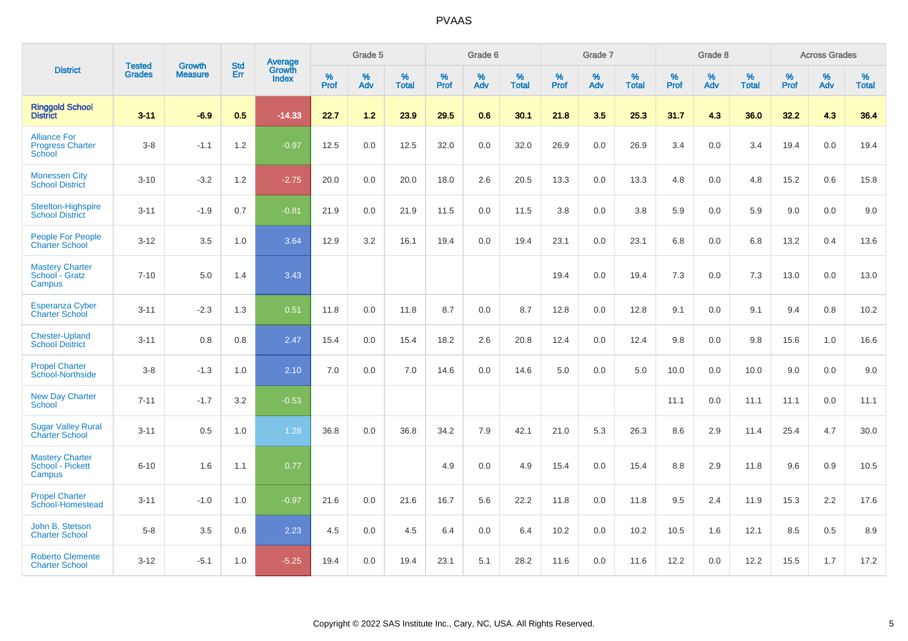|                                                          |                                |                                 | <b>Std</b> | Average                |              | Grade 5  |                   |           | Grade 6  |                   |           | Grade 7  |                   |           | Grade 8  |                   |           | <b>Across Grades</b> |                   |
|----------------------------------------------------------|--------------------------------|---------------------------------|------------|------------------------|--------------|----------|-------------------|-----------|----------|-------------------|-----------|----------|-------------------|-----------|----------|-------------------|-----------|----------------------|-------------------|
| <b>District</b>                                          | <b>Tested</b><br><b>Grades</b> | <b>Growth</b><br><b>Measure</b> | Err        | Growth<br><b>Index</b> | $\%$<br>Prof | %<br>Adv | %<br><b>Total</b> | %<br>Prof | %<br>Adv | %<br><b>Total</b> | %<br>Prof | %<br>Adv | %<br><b>Total</b> | %<br>Prof | %<br>Adv | %<br><b>Total</b> | %<br>Prof | %<br>Adv             | %<br><b>Total</b> |
| <b>Ringgold School</b><br><b>District</b>                | $3 - 11$                       | $-6.9$                          | 0.5        | $-14.33$               | 22.7         | 1.2      | 23.9              | 29.5      | 0.6      | 30.1              | 21.8      | 3.5      | 25.3              | 31.7      | 4.3      | 36.0              | 32.2      | 4.3                  | 36.4              |
| <b>Alliance For</b><br><b>Progress Charter</b><br>School | $3-8$                          | $-1.1$                          | 1.2        | $-0.97$                | 12.5         | 0.0      | 12.5              | 32.0      | 0.0      | 32.0              | 26.9      | 0.0      | 26.9              | 3.4       | 0.0      | 3.4               | 19.4      | 0.0                  | 19.4              |
| <b>Monessen City</b><br><b>School District</b>           | $3 - 10$                       | $-3.2$                          | 1.2        | $-2.75$                | 20.0         | 0.0      | 20.0              | 18.0      | 2.6      | 20.5              | 13.3      | 0.0      | 13.3              | 4.8       | 0.0      | 4.8               | 15.2      | 0.6                  | 15.8              |
| Steelton-Highspire<br><b>School District</b>             | $3 - 11$                       | $-1.9$                          | 0.7        | $-0.81$                | 21.9         | 0.0      | 21.9              | 11.5      | 0.0      | 11.5              | 3.8       | 0.0      | 3.8               | 5.9       | 0.0      | 5.9               | 9.0       | 0.0                  | 9.0               |
| <b>People For People</b><br><b>Charter School</b>        | $3 - 12$                       | 3.5                             | 1.0        | 3.64                   | 12.9         | 3.2      | 16.1              | 19.4      | 0.0      | 19.4              | 23.1      | 0.0      | 23.1              | 6.8       | 0.0      | 6.8               | 13.2      | 0.4                  | 13.6              |
| <b>Mastery Charter</b><br>School - Gratz<br>Campus       | $7 - 10$                       | 5.0                             | 1.4        | 3.43                   |              |          |                   |           |          |                   | 19.4      | 0.0      | 19.4              | 7.3       | 0.0      | 7.3               | 13.0      | 0.0                  | 13.0              |
| <b>Esperanza Cyber</b><br><b>Charter School</b>          | $3 - 11$                       | $-2.3$                          | 1.3        | 0.51                   | 11.8         | 0.0      | 11.8              | 8.7       | 0.0      | 8.7               | 12.8      | 0.0      | 12.8              | 9.1       | 0.0      | 9.1               | 9.4       | 0.8                  | 10.2              |
| <b>Chester-Upland</b><br><b>School District</b>          | $3 - 11$                       | 0.8                             | 0.8        | 2.47                   | 15.4         | 0.0      | 15.4              | 18.2      | 2.6      | 20.8              | 12.4      | 0.0      | 12.4              | 9.8       | 0.0      | 9.8               | 15.6      | 1.0                  | 16.6              |
| <b>Propel Charter</b><br>School-Northside                | $3 - 8$                        | $-1.3$                          | 1.0        | 2.10                   | 7.0          | 0.0      | 7.0               | 14.6      | 0.0      | 14.6              | 5.0       | 0.0      | 5.0               | 10.0      | 0.0      | 10.0              | 9.0       | 0.0                  | 9.0               |
| <b>New Day Charter</b><br><b>School</b>                  | $7 - 11$                       | $-1.7$                          | 3.2        | $-0.53$                |              |          |                   |           |          |                   |           |          |                   | 11.1      | 0.0      | 11.1              | 11.1      | 0.0                  | 11.1              |
| <b>Sugar Valley Rural</b><br><b>Charter School</b>       | $3 - 11$                       | 0.5                             | 1.0        | 1.28                   | 36.8         | 0.0      | 36.8              | 34.2      | 7.9      | 42.1              | 21.0      | 5.3      | 26.3              | 8.6       | 2.9      | 11.4              | 25.4      | 4.7                  | 30.0              |
| <b>Mastery Charter</b><br>School - Pickett<br>Campus     | $6 - 10$                       | 1.6                             | 1.1        | 0.77                   |              |          |                   | 4.9       | 0.0      | 4.9               | 15.4      | 0.0      | 15.4              | 8.8       | 2.9      | 11.8              | 9.6       | 0.9                  | 10.5              |
| <b>Propel Charter</b><br>School-Homestead                | $3 - 11$                       | $-1.0$                          | 1.0        | $-0.97$                | 21.6         | 0.0      | 21.6              | 16.7      | 5.6      | 22.2              | 11.8      | 0.0      | 11.8              | 9.5       | 2.4      | 11.9              | 15.3      | 2.2                  | 17.6              |
| John B. Stetson<br><b>Charter School</b>                 | $5-8$                          | 3.5                             | 0.6        | 2.23                   | 4.5          | 0.0      | 4.5               | 6.4       | 0.0      | 6.4               | 10.2      | 0.0      | 10.2              | 10.5      | 1.6      | 12.1              | 8.5       | 0.5                  | 8.9               |
| <b>Roberto Clemente</b><br><b>Charter School</b>         | $3 - 12$                       | $-5.1$                          | 1.0        | $-5.25$                | 19.4         | 0.0      | 19.4              | 23.1      | 5.1      | 28.2              | 11.6      | 0.0      | 11.6              | 12.2      | 0.0      | 12.2              | 15.5      | 1.7                  | 17.2              |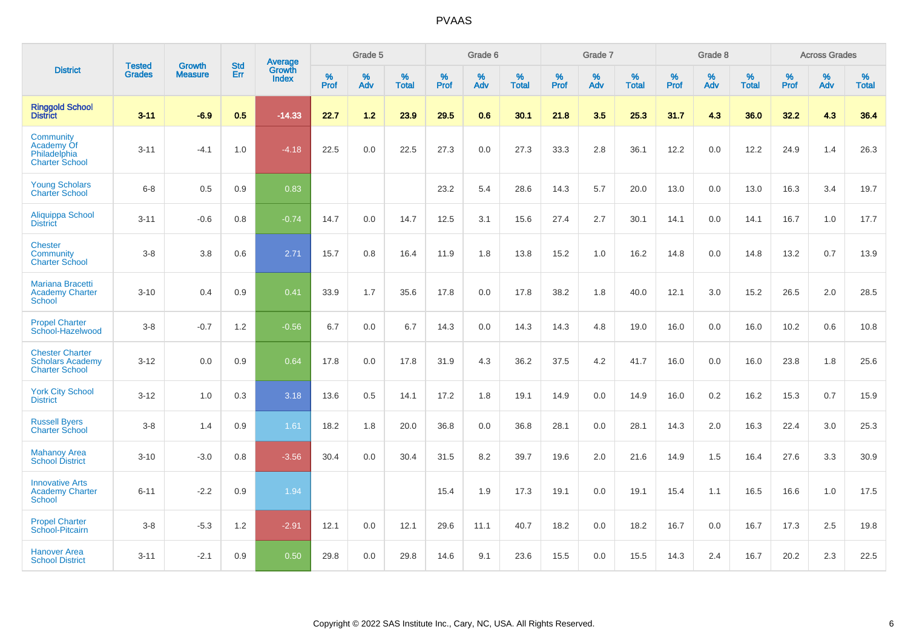|                                                                            |                                |                                 | <b>Std</b> | <b>Average</b>         |           | Grade 5  |                   |           | Grade 6  |                   |           | Grade 7  |                   |           | Grade 8  |                   |           | <b>Across Grades</b> |                   |
|----------------------------------------------------------------------------|--------------------------------|---------------------------------|------------|------------------------|-----------|----------|-------------------|-----------|----------|-------------------|-----------|----------|-------------------|-----------|----------|-------------------|-----------|----------------------|-------------------|
| <b>District</b>                                                            | <b>Tested</b><br><b>Grades</b> | <b>Growth</b><br><b>Measure</b> | Err        | Growth<br><b>Index</b> | %<br>Prof | %<br>Adv | %<br><b>Total</b> | %<br>Prof | %<br>Adv | %<br><b>Total</b> | %<br>Prof | %<br>Adv | %<br><b>Total</b> | %<br>Prof | %<br>Adv | %<br><b>Total</b> | %<br>Prof | %<br>Adv             | %<br><b>Total</b> |
| <b>Ringgold School</b><br><b>District</b>                                  | $3 - 11$                       | $-6.9$                          | 0.5        | $-14.33$               | 22.7      | 1.2      | 23.9              | 29.5      | 0.6      | 30.1              | 21.8      | 3.5      | 25.3              | 31.7      | 4.3      | 36.0              | 32.2      | 4.3                  | 36.4              |
| Community<br>Academy Of<br>Philadelphia<br><b>Charter School</b>           | $3 - 11$                       | $-4.1$                          | 1.0        | $-4.18$                | 22.5      | 0.0      | 22.5              | 27.3      | 0.0      | 27.3              | 33.3      | 2.8      | 36.1              | 12.2      | 0.0      | 12.2              | 24.9      | 1.4                  | 26.3              |
| <b>Young Scholars</b><br><b>Charter School</b>                             | $6 - 8$                        | 0.5                             | 0.9        | 0.83                   |           |          |                   | 23.2      | 5.4      | 28.6              | 14.3      | 5.7      | 20.0              | 13.0      | 0.0      | 13.0              | 16.3      | 3.4                  | 19.7              |
| Aliquippa School<br><b>District</b>                                        | $3 - 11$                       | $-0.6$                          | 0.8        | $-0.74$                | 14.7      | 0.0      | 14.7              | 12.5      | 3.1      | 15.6              | 27.4      | 2.7      | 30.1              | 14.1      | 0.0      | 14.1              | 16.7      | 1.0                  | 17.7              |
| <b>Chester</b><br>Community<br><b>Charter School</b>                       | $3 - 8$                        | 3.8                             | 0.6        | 2.71                   | 15.7      | 0.8      | 16.4              | 11.9      | 1.8      | 13.8              | 15.2      | 1.0      | 16.2              | 14.8      | 0.0      | 14.8              | 13.2      | 0.7                  | 13.9              |
| Mariana Bracetti<br><b>Academy Charter</b><br>School                       | $3 - 10$                       | 0.4                             | 0.9        | 0.41                   | 33.9      | 1.7      | 35.6              | 17.8      | 0.0      | 17.8              | 38.2      | 1.8      | 40.0              | 12.1      | 3.0      | 15.2              | 26.5      | 2.0                  | 28.5              |
| <b>Propel Charter</b><br>School-Hazelwood                                  | $3 - 8$                        | $-0.7$                          | 1.2        | $-0.56$                | 6.7       | 0.0      | 6.7               | 14.3      | 0.0      | 14.3              | 14.3      | 4.8      | 19.0              | 16.0      | 0.0      | 16.0              | 10.2      | 0.6                  | 10.8              |
| <b>Chester Charter</b><br><b>Scholars Academy</b><br><b>Charter School</b> | $3 - 12$                       | 0.0                             | 0.9        | 0.64                   | 17.8      | 0.0      | 17.8              | 31.9      | 4.3      | 36.2              | 37.5      | 4.2      | 41.7              | 16.0      | 0.0      | 16.0              | 23.8      | 1.8                  | 25.6              |
| <b>York City School</b><br><b>District</b>                                 | $3 - 12$                       | 1.0                             | 0.3        | 3.18                   | 13.6      | 0.5      | 14.1              | 17.2      | 1.8      | 19.1              | 14.9      | 0.0      | 14.9              | 16.0      | 0.2      | 16.2              | 15.3      | 0.7                  | 15.9              |
| <b>Russell Byers</b><br><b>Charter School</b>                              | $3 - 8$                        | 1.4                             | 0.9        | 1.61                   | 18.2      | 1.8      | 20.0              | 36.8      | 0.0      | 36.8              | 28.1      | 0.0      | 28.1              | 14.3      | 2.0      | 16.3              | 22.4      | 3.0                  | 25.3              |
| <b>Mahanoy Area</b><br><b>School District</b>                              | $3 - 10$                       | $-3.0$                          | 0.8        | $-3.56$                | 30.4      | 0.0      | 30.4              | 31.5      | 8.2      | 39.7              | 19.6      | 2.0      | 21.6              | 14.9      | 1.5      | 16.4              | 27.6      | 3.3                  | 30.9              |
| <b>Innovative Arts</b><br><b>Academy Charter</b><br>School                 | $6 - 11$                       | $-2.2$                          | 0.9        | 1.94                   |           |          |                   | 15.4      | 1.9      | 17.3              | 19.1      | 0.0      | 19.1              | 15.4      | 1.1      | 16.5              | 16.6      | 1.0                  | 17.5              |
| <b>Propel Charter</b><br>School-Pitcairn                                   | $3 - 8$                        | $-5.3$                          | $1.2$      | $-2.91$                | 12.1      | 0.0      | 12.1              | 29.6      | 11.1     | 40.7              | 18.2      | 0.0      | 18.2              | 16.7      | 0.0      | 16.7              | 17.3      | 2.5                  | 19.8              |
| <b>Hanover Area</b><br><b>School District</b>                              | $3 - 11$                       | $-2.1$                          | 0.9        | 0.50                   | 29.8      | 0.0      | 29.8              | 14.6      | 9.1      | 23.6              | 15.5      | 0.0      | 15.5              | 14.3      | 2.4      | 16.7              | 20.2      | 2.3                  | 22.5              |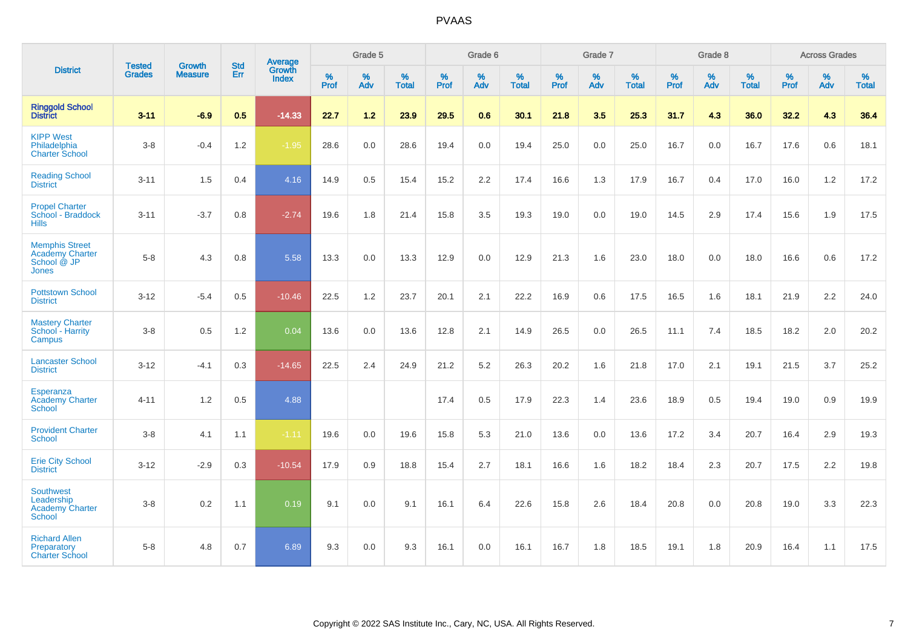|                                                                    | <b>Tested</b> | <b>Growth</b>  | <b>Std</b> | Average                |                  | Grade 5  |                   |           | Grade 6  |                   |           | Grade 7  |                   |           | Grade 8  |                   |           | <b>Across Grades</b> |                   |
|--------------------------------------------------------------------|---------------|----------------|------------|------------------------|------------------|----------|-------------------|-----------|----------|-------------------|-----------|----------|-------------------|-----------|----------|-------------------|-----------|----------------------|-------------------|
| <b>District</b>                                                    | <b>Grades</b> | <b>Measure</b> | Err        | Growth<br><b>Index</b> | %<br><b>Prof</b> | %<br>Adv | %<br><b>Total</b> | %<br>Prof | %<br>Adv | %<br><b>Total</b> | %<br>Prof | %<br>Adv | %<br><b>Total</b> | %<br>Prof | %<br>Adv | %<br><b>Total</b> | %<br>Prof | %<br>Adv             | %<br><b>Total</b> |
| <b>Ringgold School</b><br><b>District</b>                          | $3 - 11$      | $-6.9$         | 0.5        | $-14.33$               | 22.7             | 1.2      | 23.9              | 29.5      | 0.6      | 30.1              | 21.8      | 3.5      | 25.3              | 31.7      | 4.3      | 36.0              | 32.2      | 4.3                  | 36.4              |
| <b>KIPP West</b><br>Philadelphia<br><b>Charter School</b>          | $3-8$         | $-0.4$         | 1.2        | $-1.95$                | 28.6             | 0.0      | 28.6              | 19.4      | 0.0      | 19.4              | 25.0      | 0.0      | 25.0              | 16.7      | 0.0      | 16.7              | 17.6      | 0.6                  | 18.1              |
| <b>Reading School</b><br><b>District</b>                           | $3 - 11$      | 1.5            | 0.4        | 4.16                   | 14.9             | 0.5      | 15.4              | 15.2      | 2.2      | 17.4              | 16.6      | 1.3      | 17.9              | 16.7      | 0.4      | 17.0              | 16.0      | 1.2                  | 17.2              |
| <b>Propel Charter</b><br>School - Braddock<br><b>Hills</b>         | $3 - 11$      | $-3.7$         | 0.8        | $-2.74$                | 19.6             | 1.8      | 21.4              | 15.8      | 3.5      | 19.3              | 19.0      | 0.0      | 19.0              | 14.5      | 2.9      | 17.4              | 15.6      | 1.9                  | 17.5              |
| <b>Memphis Street</b><br>Academy Charter<br>School @ JP<br>Jones   | $5-8$         | 4.3            | 0.8        | 5.58                   | 13.3             | 0.0      | 13.3              | 12.9      | 0.0      | 12.9              | 21.3      | 1.6      | 23.0              | 18.0      | 0.0      | 18.0              | 16.6      | 0.6                  | 17.2              |
| <b>Pottstown School</b><br><b>District</b>                         | $3 - 12$      | $-5.4$         | 0.5        | $-10.46$               | 22.5             | 1.2      | 23.7              | 20.1      | 2.1      | 22.2              | 16.9      | 0.6      | 17.5              | 16.5      | 1.6      | 18.1              | 21.9      | 2.2                  | 24.0              |
| <b>Mastery Charter</b><br>School - Harrity<br>Campus               | $3-8$         | 0.5            | 1.2        | 0.04                   | 13.6             | 0.0      | 13.6              | 12.8      | 2.1      | 14.9              | 26.5      | 0.0      | 26.5              | 11.1      | 7.4      | 18.5              | 18.2      | 2.0                  | 20.2              |
| <b>Lancaster School</b><br><b>District</b>                         | $3 - 12$      | $-4.1$         | 0.3        | $-14.65$               | 22.5             | 2.4      | 24.9              | 21.2      | 5.2      | 26.3              | 20.2      | 1.6      | 21.8              | 17.0      | 2.1      | 19.1              | 21.5      | 3.7                  | 25.2              |
| Esperanza<br><b>Academy Charter</b><br><b>School</b>               | $4 - 11$      | 1.2            | 0.5        | 4.88                   |                  |          |                   | 17.4      | 0.5      | 17.9              | 22.3      | 1.4      | 23.6              | 18.9      | 0.5      | 19.4              | 19.0      | 0.9                  | 19.9              |
| <b>Provident Charter</b><br><b>School</b>                          | $3-8$         | 4.1            | 1.1        | $-1.11$                | 19.6             | 0.0      | 19.6              | 15.8      | 5.3      | 21.0              | 13.6      | 0.0      | 13.6              | 17.2      | 3.4      | 20.7              | 16.4      | 2.9                  | 19.3              |
| <b>Erie City School</b><br><b>District</b>                         | $3 - 12$      | $-2.9$         | 0.3        | $-10.54$               | 17.9             | 0.9      | 18.8              | 15.4      | 2.7      | 18.1              | 16.6      | 1.6      | 18.2              | 18.4      | 2.3      | 20.7              | 17.5      | 2.2                  | 19.8              |
| <b>Southwest</b><br>Leadership<br><b>Academy Charter</b><br>School | $3-8$         | 0.2            | 1.1        | 0.19                   | 9.1              | 0.0      | 9.1               | 16.1      | 6.4      | 22.6              | 15.8      | 2.6      | 18.4              | 20.8      | 0.0      | 20.8              | 19.0      | 3.3                  | 22.3              |
| <b>Richard Allen</b><br>Preparatory<br><b>Charter School</b>       | $5-8$         | 4.8            | 0.7        | 6.89                   | 9.3              | 0.0      | 9.3               | 16.1      | 0.0      | 16.1              | 16.7      | 1.8      | 18.5              | 19.1      | 1.8      | 20.9              | 16.4      | 1.1                  | 17.5              |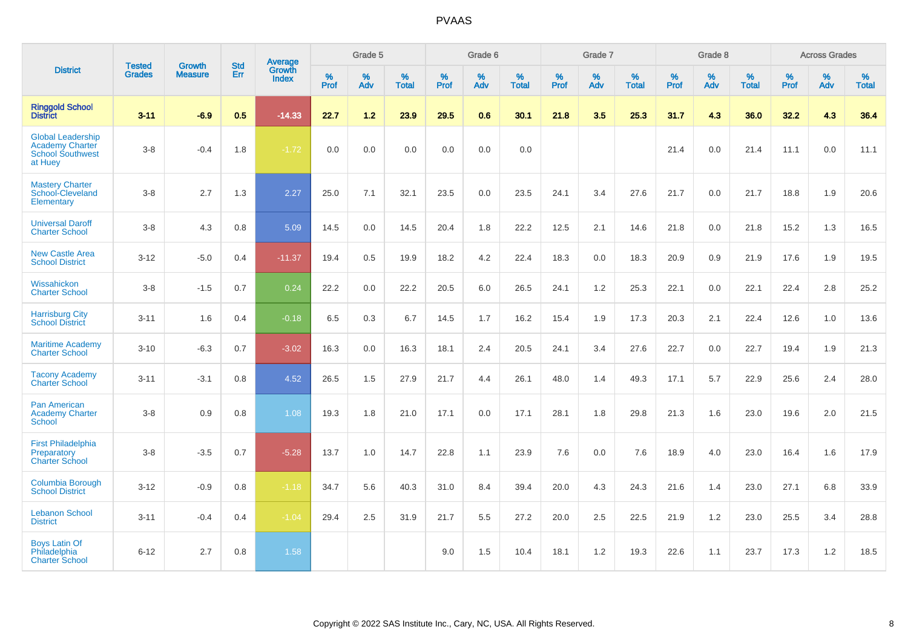|                                                                                          | <b>Tested</b> | <b>Growth</b>  | <b>Std</b> | Average                       |              | Grade 5  |                   |           | Grade 6  |                   |           | Grade 7  |                   |           | Grade 8  |                   |           | <b>Across Grades</b> |                   |
|------------------------------------------------------------------------------------------|---------------|----------------|------------|-------------------------------|--------------|----------|-------------------|-----------|----------|-------------------|-----------|----------|-------------------|-----------|----------|-------------------|-----------|----------------------|-------------------|
| <b>District</b>                                                                          | <b>Grades</b> | <b>Measure</b> | Err        | <b>Growth</b><br><b>Index</b> | $\%$<br>Prof | %<br>Adv | %<br><b>Total</b> | %<br>Prof | %<br>Adv | %<br><b>Total</b> | %<br>Prof | %<br>Adv | %<br><b>Total</b> | %<br>Prof | %<br>Adv | %<br><b>Total</b> | %<br>Prof | %<br>Adv             | %<br><b>Total</b> |
| <b>Ringgold School</b><br><b>District</b>                                                | $3 - 11$      | $-6.9$         | 0.5        | $-14.33$                      | 22.7         | 1.2      | 23.9              | 29.5      | 0.6      | 30.1              | 21.8      | 3.5      | 25.3              | 31.7      | 4.3      | 36.0              | 32.2      | 4.3                  | 36.4              |
| <b>Global Leadership</b><br><b>Academy Charter</b><br><b>School Southwest</b><br>at Huey | $3-8$         | $-0.4$         | 1.8        | $-1.72$                       | 0.0          | 0.0      | 0.0               | 0.0       | 0.0      | 0.0               |           |          |                   | 21.4      | 0.0      | 21.4              | 11.1      | 0.0                  | 11.1              |
| <b>Mastery Charter</b><br>School-Cleveland<br>Elementary                                 | $3-8$         | 2.7            | 1.3        | 2.27                          | 25.0         | 7.1      | 32.1              | 23.5      | 0.0      | 23.5              | 24.1      | 3.4      | 27.6              | 21.7      | 0.0      | 21.7              | 18.8      | 1.9                  | 20.6              |
| <b>Universal Daroff</b><br><b>Charter School</b>                                         | $3-8$         | 4.3            | 0.8        | 5.09                          | 14.5         | 0.0      | 14.5              | 20.4      | 1.8      | 22.2              | 12.5      | 2.1      | 14.6              | 21.8      | 0.0      | 21.8              | 15.2      | 1.3                  | 16.5              |
| <b>New Castle Area</b><br><b>School District</b>                                         | $3 - 12$      | $-5.0$         | 0.4        | $-11.37$                      | 19.4         | 0.5      | 19.9              | 18.2      | 4.2      | 22.4              | 18.3      | 0.0      | 18.3              | 20.9      | 0.9      | 21.9              | 17.6      | 1.9                  | 19.5              |
| Wissahickon<br><b>Charter School</b>                                                     | $3-8$         | $-1.5$         | 0.7        | 0.24                          | 22.2         | 0.0      | 22.2              | 20.5      | 6.0      | 26.5              | 24.1      | 1.2      | 25.3              | 22.1      | 0.0      | 22.1              | 22.4      | 2.8                  | 25.2              |
| <b>Harrisburg City</b><br><b>School District</b>                                         | $3 - 11$      | 1.6            | 0.4        | $-0.18$                       | 6.5          | 0.3      | 6.7               | 14.5      | 1.7      | 16.2              | 15.4      | 1.9      | 17.3              | 20.3      | 2.1      | 22.4              | 12.6      | 1.0                  | 13.6              |
| <b>Maritime Academy</b><br><b>Charter School</b>                                         | $3 - 10$      | $-6.3$         | 0.7        | $-3.02$                       | 16.3         | 0.0      | 16.3              | 18.1      | 2.4      | 20.5              | 24.1      | 3.4      | 27.6              | 22.7      | 0.0      | 22.7              | 19.4      | 1.9                  | 21.3              |
| <b>Tacony Academy</b><br><b>Charter School</b>                                           | $3 - 11$      | $-3.1$         | 0.8        | 4.52                          | 26.5         | 1.5      | 27.9              | 21.7      | 4.4      | 26.1              | 48.0      | 1.4      | 49.3              | 17.1      | 5.7      | 22.9              | 25.6      | 2.4                  | 28.0              |
| <b>Pan American</b><br><b>Academy Charter</b><br><b>School</b>                           | $3-8$         | 0.9            | 0.8        | 1.08                          | 19.3         | 1.8      | 21.0              | 17.1      | 0.0      | 17.1              | 28.1      | 1.8      | 29.8              | 21.3      | 1.6      | 23.0              | 19.6      | 2.0                  | 21.5              |
| <b>First Philadelphia</b><br>Preparatory<br><b>Charter School</b>                        | $3-8$         | $-3.5$         | 0.7        | $-5.28$                       | 13.7         | 1.0      | 14.7              | 22.8      | 1.1      | 23.9              | 7.6       | 0.0      | 7.6               | 18.9      | 4.0      | 23.0              | 16.4      | 1.6                  | 17.9              |
| <b>Columbia Borough</b><br><b>School District</b>                                        | $3 - 12$      | $-0.9$         | 0.8        | $-1.18$                       | 34.7         | 5.6      | 40.3              | 31.0      | 8.4      | 39.4              | 20.0      | 4.3      | 24.3              | 21.6      | 1.4      | 23.0              | 27.1      | 6.8                  | 33.9              |
| <b>Lebanon School</b><br><b>District</b>                                                 | $3 - 11$      | $-0.4$         | 0.4        | $-1.04$                       | 29.4         | 2.5      | 31.9              | 21.7      | 5.5      | 27.2              | 20.0      | 2.5      | 22.5              | 21.9      | 1.2      | 23.0              | 25.5      | 3.4                  | 28.8              |
| <b>Boys Latin Of</b><br>Philadelphia<br><b>Charter School</b>                            | $6 - 12$      | 2.7            | 0.8        | 1.58                          |              |          |                   | 9.0       | 1.5      | 10.4              | 18.1      | 1.2      | 19.3              | 22.6      | 1.1      | 23.7              | 17.3      | 1.2                  | 18.5              |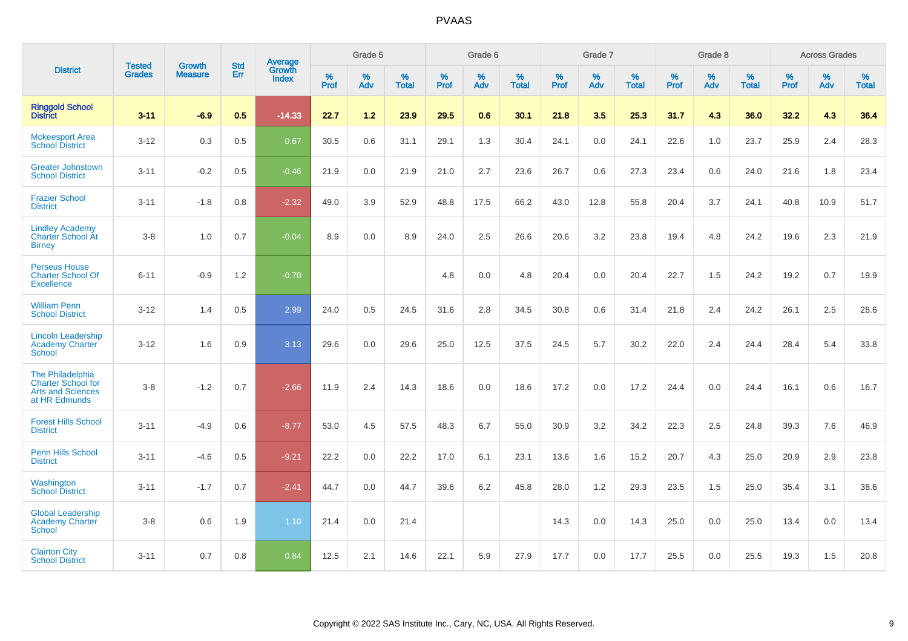|                                                                                            |                                |                                 | <b>Std</b> | <b>Average</b>         |           | Grade 5  |                   |           | Grade 6  |                   |           | Grade 7  |                   |           | Grade 8  |                   |           | <b>Across Grades</b> |                   |
|--------------------------------------------------------------------------------------------|--------------------------------|---------------------------------|------------|------------------------|-----------|----------|-------------------|-----------|----------|-------------------|-----------|----------|-------------------|-----------|----------|-------------------|-----------|----------------------|-------------------|
| <b>District</b>                                                                            | <b>Tested</b><br><b>Grades</b> | <b>Growth</b><br><b>Measure</b> | Err        | Growth<br><b>Index</b> | %<br>Prof | %<br>Adv | %<br><b>Total</b> | %<br>Prof | %<br>Adv | %<br><b>Total</b> | %<br>Prof | %<br>Adv | %<br><b>Total</b> | %<br>Prof | %<br>Adv | %<br><b>Total</b> | %<br>Prof | %<br>Adv             | %<br><b>Total</b> |
| <b>Ringgold School</b><br><b>District</b>                                                  | $3 - 11$                       | $-6.9$                          | 0.5        | $-14.33$               | 22.7      | 1.2      | 23.9              | 29.5      | 0.6      | 30.1              | 21.8      | 3.5      | 25.3              | 31.7      | 4.3      | 36.0              | 32.2      | 4.3                  | 36.4              |
| <b>Mckeesport Area</b><br><b>School District</b>                                           | $3 - 12$                       | 0.3                             | 0.5        | 0.67                   | 30.5      | 0.6      | 31.1              | 29.1      | 1.3      | 30.4              | 24.1      | 0.0      | 24.1              | 22.6      | 1.0      | 23.7              | 25.9      | 2.4                  | 28.3              |
| <b>Greater Johnstown</b><br><b>School District</b>                                         | $3 - 11$                       | $-0.2$                          | 0.5        | $-0.46$                | 21.9      | 0.0      | 21.9              | 21.0      | 2.7      | 23.6              | 26.7      | 0.6      | 27.3              | 23.4      | 0.6      | 24.0              | 21.6      | 1.8                  | 23.4              |
| <b>Frazier School</b><br><b>District</b>                                                   | $3 - 11$                       | $-1.8$                          | 0.8        | $-2.32$                | 49.0      | 3.9      | 52.9              | 48.8      | 17.5     | 66.2              | 43.0      | 12.8     | 55.8              | 20.4      | 3.7      | 24.1              | 40.8      | 10.9                 | 51.7              |
| <b>Lindley Academy</b><br><b>Charter School At</b><br><b>Birney</b>                        | $3 - 8$                        | 1.0                             | 0.7        | $-0.04$                | 8.9       | 0.0      | 8.9               | 24.0      | 2.5      | 26.6              | 20.6      | 3.2      | 23.8              | 19.4      | 4.8      | 24.2              | 19.6      | 2.3                  | 21.9              |
| <b>Perseus House</b><br><b>Charter School Of</b><br><b>Excellence</b>                      | $6 - 11$                       | $-0.9$                          | 1.2        | $-0.70$                |           |          |                   | 4.8       | 0.0      | 4.8               | 20.4      | 0.0      | 20.4              | 22.7      | 1.5      | 24.2              | 19.2      | 0.7                  | 19.9              |
| <b>William Penn</b><br><b>School District</b>                                              | $3 - 12$                       | 1.4                             | 0.5        | 2.99                   | 24.0      | 0.5      | 24.5              | 31.6      | 2.8      | 34.5              | 30.8      | 0.6      | 31.4              | 21.8      | 2.4      | 24.2              | 26.1      | 2.5                  | 28.6              |
| <b>Lincoln Leadership</b><br><b>Academy Charter</b><br>School                              | $3 - 12$                       | 1.6                             | 0.9        | 3.13                   | 29.6      | 0.0      | 29.6              | 25.0      | 12.5     | 37.5              | 24.5      | 5.7      | 30.2              | 22.0      | 2.4      | 24.4              | 28.4      | 5.4                  | 33.8              |
| The Philadelphia<br><b>Charter School for</b><br><b>Arts and Sciences</b><br>at HR Edmunds | $3 - 8$                        | $-1.2$                          | 0.7        | $-2.66$                | 11.9      | 2.4      | 14.3              | 18.6      | 0.0      | 18.6              | 17.2      | 0.0      | 17.2              | 24.4      | 0.0      | 24.4              | 16.1      | 0.6                  | 16.7              |
| <b>Forest Hills School</b><br><b>District</b>                                              | $3 - 11$                       | $-4.9$                          | 0.6        | $-8.77$                | 53.0      | 4.5      | 57.5              | 48.3      | 6.7      | 55.0              | 30.9      | 3.2      | 34.2              | 22.3      | 2.5      | 24.8              | 39.3      | 7.6                  | 46.9              |
| <b>Penn Hills School</b><br><b>District</b>                                                | $3 - 11$                       | $-4.6$                          | 0.5        | $-9.21$                | 22.2      | 0.0      | 22.2              | 17.0      | 6.1      | 23.1              | 13.6      | 1.6      | 15.2              | 20.7      | 4.3      | 25.0              | 20.9      | 2.9                  | 23.8              |
| Washington<br><b>School District</b>                                                       | $3 - 11$                       | $-1.7$                          | 0.7        | $-2.41$                | 44.7      | 0.0      | 44.7              | 39.6      | 6.2      | 45.8              | 28.0      | 1.2      | 29.3              | 23.5      | 1.5      | 25.0              | 35.4      | 3.1                  | 38.6              |
| <b>Global Leadership</b><br><b>Academy Charter</b><br><b>School</b>                        | $3 - 8$                        | 0.6                             | 1.9        | 1.10                   | 21.4      | 0.0      | 21.4              |           |          |                   | 14.3      | 0.0      | 14.3              | 25.0      | 0.0      | 25.0              | 13.4      | 0.0                  | 13.4              |
| <b>Clairton City</b><br><b>School District</b>                                             | $3 - 11$                       | 0.7                             | 0.8        | 0.84                   | 12.5      | 2.1      | 14.6              | 22.1      | 5.9      | 27.9              | 17.7      | 0.0      | 17.7              | 25.5      | 0.0      | 25.5              | 19.3      | 1.5                  | 20.8              |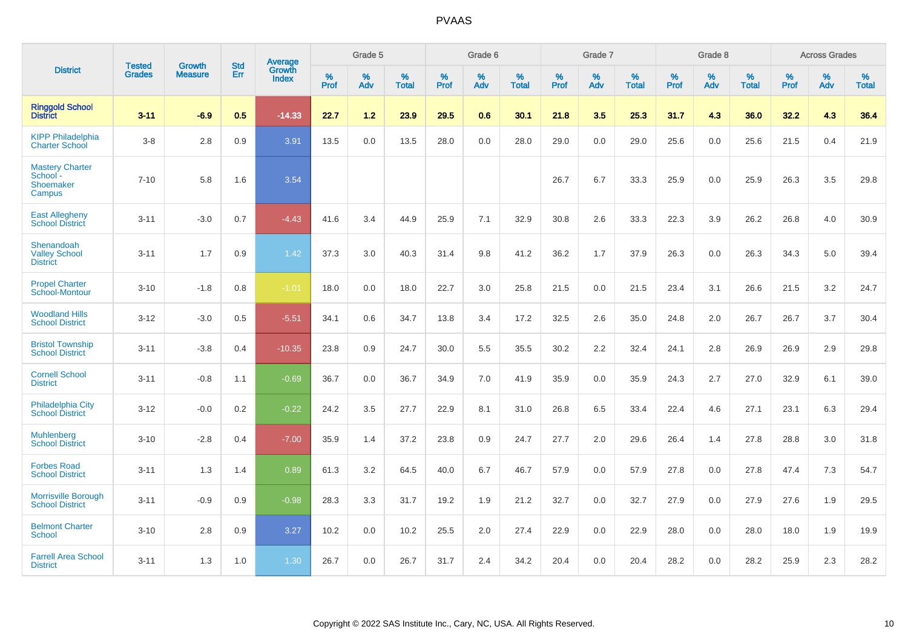|                                                           | <b>Tested</b> | <b>Growth</b>  | <b>Std</b> | <b>Average</b>         |           | Grade 5  |                   |           | Grade 6  |                   |           | Grade 7  |                   |           | Grade 8  |                   |           | <b>Across Grades</b> |                   |
|-----------------------------------------------------------|---------------|----------------|------------|------------------------|-----------|----------|-------------------|-----------|----------|-------------------|-----------|----------|-------------------|-----------|----------|-------------------|-----------|----------------------|-------------------|
| <b>District</b>                                           | <b>Grades</b> | <b>Measure</b> | Err        | Growth<br><b>Index</b> | %<br>Prof | %<br>Adv | %<br><b>Total</b> | %<br>Prof | %<br>Adv | %<br><b>Total</b> | %<br>Prof | %<br>Adv | %<br><b>Total</b> | %<br>Prof | %<br>Adv | %<br><b>Total</b> | %<br>Prof | %<br>Adv             | %<br><b>Total</b> |
| <b>Ringgold School</b><br><b>District</b>                 | $3 - 11$      | $-6.9$         | 0.5        | $-14.33$               | 22.7      | 1.2      | 23.9              | 29.5      | 0.6      | 30.1              | 21.8      | 3.5      | 25.3              | 31.7      | 4.3      | 36.0              | 32.2      | 4.3                  | 36.4              |
| <b>KIPP Philadelphia</b><br><b>Charter School</b>         | $3 - 8$       | 2.8            | 0.9        | 3.91                   | 13.5      | 0.0      | 13.5              | 28.0      | 0.0      | 28.0              | 29.0      | 0.0      | 29.0              | 25.6      | 0.0      | 25.6              | 21.5      | 0.4                  | 21.9              |
| <b>Mastery Charter</b><br>School -<br>Shoemaker<br>Campus | $7 - 10$      | 5.8            | 1.6        | 3.54                   |           |          |                   |           |          |                   | 26.7      | 6.7      | 33.3              | 25.9      | 0.0      | 25.9              | 26.3      | 3.5                  | 29.8              |
| <b>East Allegheny</b><br><b>School District</b>           | $3 - 11$      | $-3.0$         | 0.7        | $-4.43$                | 41.6      | 3.4      | 44.9              | 25.9      | 7.1      | 32.9              | 30.8      | 2.6      | 33.3              | 22.3      | 3.9      | 26.2              | 26.8      | 4.0                  | 30.9              |
| Shenandoah<br><b>Valley School</b><br><b>District</b>     | $3 - 11$      | 1.7            | 0.9        | 1.42                   | 37.3      | 3.0      | 40.3              | 31.4      | 9.8      | 41.2              | 36.2      | 1.7      | 37.9              | 26.3      | 0.0      | 26.3              | 34.3      | 5.0                  | 39.4              |
| <b>Propel Charter</b><br>School-Montour                   | $3 - 10$      | $-1.8$         | 0.8        | $-1.01$                | 18.0      | 0.0      | 18.0              | 22.7      | 3.0      | 25.8              | 21.5      | 0.0      | 21.5              | 23.4      | 3.1      | 26.6              | 21.5      | 3.2                  | 24.7              |
| <b>Woodland Hills</b><br><b>School District</b>           | $3 - 12$      | $-3.0$         | 0.5        | $-5.51$                | 34.1      | 0.6      | 34.7              | 13.8      | 3.4      | 17.2              | 32.5      | 2.6      | 35.0              | 24.8      | 2.0      | 26.7              | 26.7      | 3.7                  | 30.4              |
| <b>Bristol Township</b><br><b>School District</b>         | $3 - 11$      | $-3.8$         | 0.4        | $-10.35$               | 23.8      | 0.9      | 24.7              | 30.0      | 5.5      | 35.5              | 30.2      | 2.2      | 32.4              | 24.1      | 2.8      | 26.9              | 26.9      | 2.9                  | 29.8              |
| <b>Cornell School</b><br><b>District</b>                  | $3 - 11$      | $-0.8$         | 1.1        | $-0.69$                | 36.7      | 0.0      | 36.7              | 34.9      | 7.0      | 41.9              | 35.9      | 0.0      | 35.9              | 24.3      | 2.7      | 27.0              | 32.9      | 6.1                  | 39.0              |
| <b>Philadelphia City</b><br><b>School District</b>        | $3 - 12$      | $-0.0$         | 0.2        | $-0.22$                | 24.2      | 3.5      | 27.7              | 22.9      | 8.1      | 31.0              | 26.8      | 6.5      | 33.4              | 22.4      | 4.6      | 27.1              | 23.1      | 6.3                  | 29.4              |
| <b>Muhlenberg</b><br><b>School District</b>               | $3 - 10$      | $-2.8$         | 0.4        | $-7.00$                | 35.9      | 1.4      | 37.2              | 23.8      | 0.9      | 24.7              | 27.7      | 2.0      | 29.6              | 26.4      | 1.4      | 27.8              | 28.8      | 3.0                  | 31.8              |
| <b>Forbes Road</b><br><b>School District</b>              | $3 - 11$      | 1.3            | 1.4        | 0.89                   | 61.3      | 3.2      | 64.5              | 40.0      | 6.7      | 46.7              | 57.9      | 0.0      | 57.9              | 27.8      | 0.0      | 27.8              | 47.4      | 7.3                  | 54.7              |
| Morrisville Borough<br><b>School District</b>             | $3 - 11$      | $-0.9$         | 0.9        | $-0.98$                | 28.3      | 3.3      | 31.7              | 19.2      | 1.9      | 21.2              | 32.7      | 0.0      | 32.7              | 27.9      | 0.0      | 27.9              | 27.6      | 1.9                  | 29.5              |
| <b>Belmont Charter</b><br><b>School</b>                   | $3 - 10$      | 2.8            | 0.9        | 3.27                   | 10.2      | 0.0      | 10.2              | 25.5      | 2.0      | 27.4              | 22.9      | 0.0      | 22.9              | 28.0      | 0.0      | 28.0              | 18.0      | 1.9                  | 19.9              |
| <b>Farrell Area School</b><br><b>District</b>             | $3 - 11$      | 1.3            | 1.0        | 1.30                   | 26.7      | 0.0      | 26.7              | 31.7      | 2.4      | 34.2              | 20.4      | 0.0      | 20.4              | 28.2      | 0.0      | 28.2              | 25.9      | 2.3                  | 28.2              |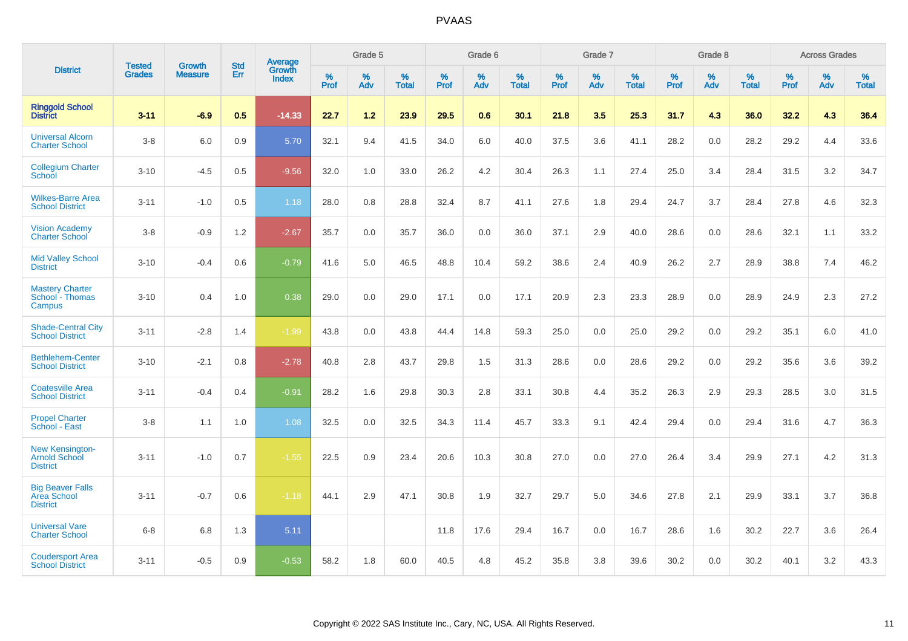|                                                                   | <b>Tested</b> | <b>Growth</b>  | <b>Std</b> | Average                       |           | Grade 5  |                   |           | Grade 6  |                   |           | Grade 7  |                   |           | Grade 8  |                   |           | <b>Across Grades</b> |                   |
|-------------------------------------------------------------------|---------------|----------------|------------|-------------------------------|-----------|----------|-------------------|-----------|----------|-------------------|-----------|----------|-------------------|-----------|----------|-------------------|-----------|----------------------|-------------------|
| <b>District</b>                                                   | <b>Grades</b> | <b>Measure</b> | Err        | <b>Growth</b><br><b>Index</b> | %<br>Prof | %<br>Adv | %<br><b>Total</b> | %<br>Prof | %<br>Adv | %<br><b>Total</b> | %<br>Prof | %<br>Adv | %<br><b>Total</b> | %<br>Prof | %<br>Adv | %<br><b>Total</b> | %<br>Prof | %<br>Adv             | %<br><b>Total</b> |
| <b>Ringgold School</b><br><b>District</b>                         | $3 - 11$      | $-6.9$         | 0.5        | $-14.33$                      | 22.7      | 1.2      | 23.9              | 29.5      | 0.6      | 30.1              | 21.8      | 3.5      | 25.3              | 31.7      | 4.3      | 36.0              | 32.2      | 4.3                  | 36.4              |
| <b>Universal Alcorn</b><br><b>Charter School</b>                  | $3 - 8$       | 6.0            | 0.9        | 5.70                          | 32.1      | 9.4      | 41.5              | 34.0      | 6.0      | 40.0              | 37.5      | 3.6      | 41.1              | 28.2      | 0.0      | 28.2              | 29.2      | 4.4                  | 33.6              |
| <b>Collegium Charter</b><br>School                                | $3 - 10$      | $-4.5$         | 0.5        | $-9.56$                       | 32.0      | 1.0      | 33.0              | 26.2      | 4.2      | 30.4              | 26.3      | 1.1      | 27.4              | 25.0      | 3.4      | 28.4              | 31.5      | 3.2                  | 34.7              |
| <b>Wilkes-Barre Area</b><br><b>School District</b>                | $3 - 11$      | $-1.0$         | 0.5        | 1.18                          | 28.0      | 0.8      | 28.8              | 32.4      | 8.7      | 41.1              | 27.6      | 1.8      | 29.4              | 24.7      | 3.7      | 28.4              | 27.8      | 4.6                  | 32.3              |
| <b>Vision Academy</b><br><b>Charter School</b>                    | $3 - 8$       | $-0.9$         | 1.2        | $-2.67$                       | 35.7      | 0.0      | 35.7              | 36.0      | 0.0      | 36.0              | 37.1      | 2.9      | 40.0              | 28.6      | 0.0      | 28.6              | 32.1      | 1.1                  | 33.2              |
| <b>Mid Valley School</b><br><b>District</b>                       | $3 - 10$      | $-0.4$         | 0.6        | $-0.79$                       | 41.6      | 5.0      | 46.5              | 48.8      | 10.4     | 59.2              | 38.6      | 2.4      | 40.9              | 26.2      | 2.7      | 28.9              | 38.8      | 7.4                  | 46.2              |
| <b>Mastery Charter</b><br>School - Thomas<br>Campus               | $3 - 10$      | 0.4            | 1.0        | 0.38                          | 29.0      | 0.0      | 29.0              | 17.1      | 0.0      | 17.1              | 20.9      | 2.3      | 23.3              | 28.9      | 0.0      | 28.9              | 24.9      | 2.3                  | 27.2              |
| <b>Shade-Central City</b><br><b>School District</b>               | $3 - 11$      | $-2.8$         | 1.4        | $-1.99$                       | 43.8      | 0.0      | 43.8              | 44.4      | 14.8     | 59.3              | 25.0      | 0.0      | 25.0              | 29.2      | 0.0      | 29.2              | 35.1      | 6.0                  | 41.0              |
| <b>Bethlehem-Center</b><br><b>School District</b>                 | $3 - 10$      | $-2.1$         | 0.8        | $-2.78$                       | 40.8      | 2.8      | 43.7              | 29.8      | 1.5      | 31.3              | 28.6      | 0.0      | 28.6              | 29.2      | 0.0      | 29.2              | 35.6      | 3.6                  | 39.2              |
| <b>Coatesville Area</b><br><b>School District</b>                 | $3 - 11$      | $-0.4$         | 0.4        | $-0.91$                       | 28.2      | 1.6      | 29.8              | 30.3      | 2.8      | 33.1              | 30.8      | 4.4      | 35.2              | 26.3      | 2.9      | 29.3              | 28.5      | 3.0                  | 31.5              |
| <b>Propel Charter</b><br>School - East                            | $3 - 8$       | 1.1            | 1.0        | 1.08                          | 32.5      | 0.0      | 32.5              | 34.3      | 11.4     | 45.7              | 33.3      | 9.1      | 42.4              | 29.4      | 0.0      | 29.4              | 31.6      | 4.7                  | 36.3              |
| <b>New Kensington-</b><br><b>Arnold School</b><br><b>District</b> | $3 - 11$      | $-1.0$         | 0.7        | $-1.55$                       | 22.5      | 0.9      | 23.4              | 20.6      | 10.3     | 30.8              | 27.0      | 0.0      | 27.0              | 26.4      | 3.4      | 29.9              | 27.1      | 4.2                  | 31.3              |
| <b>Big Beaver Falls</b><br>Area School<br><b>District</b>         | $3 - 11$      | $-0.7$         | 0.6        | $-1.18$                       | 44.1      | 2.9      | 47.1              | 30.8      | 1.9      | 32.7              | 29.7      | 5.0      | 34.6              | 27.8      | 2.1      | 29.9              | 33.1      | 3.7                  | 36.8              |
| <b>Universal Vare</b><br><b>Charter School</b>                    | $6 - 8$       | 6.8            | 1.3        | 5.11                          |           |          |                   | 11.8      | 17.6     | 29.4              | 16.7      | 0.0      | 16.7              | 28.6      | 1.6      | 30.2              | 22.7      | 3.6                  | 26.4              |
| <b>Coudersport Area</b><br><b>School District</b>                 | $3 - 11$      | $-0.5$         | 0.9        | $-0.53$                       | 58.2      | 1.8      | 60.0              | 40.5      | 4.8      | 45.2              | 35.8      | 3.8      | 39.6              | 30.2      | 0.0      | 30.2              | 40.1      | 3.2                  | 43.3              |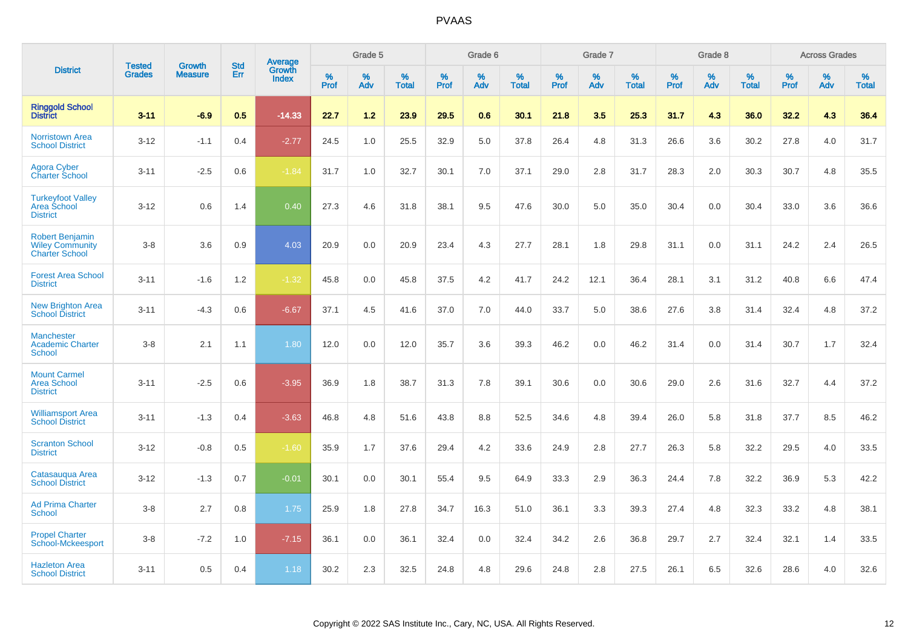|                                                                           |                                | <b>Growth</b>  | <b>Std</b> |                                   |              | Grade 5  |                   |              | Grade 6  |                   |              | Grade 7  |                   |              | Grade 8  |                   |              | <b>Across Grades</b> |                   |
|---------------------------------------------------------------------------|--------------------------------|----------------|------------|-----------------------------------|--------------|----------|-------------------|--------------|----------|-------------------|--------------|----------|-------------------|--------------|----------|-------------------|--------------|----------------------|-------------------|
| <b>District</b>                                                           | <b>Tested</b><br><b>Grades</b> | <b>Measure</b> | <b>Err</b> | <b>Average</b><br>Growth<br>Index | $\%$<br>Prof | %<br>Adv | %<br><b>Total</b> | $\%$<br>Prof | %<br>Adv | %<br><b>Total</b> | $\%$<br>Prof | %<br>Adv | %<br><b>Total</b> | $\%$<br>Prof | %<br>Adv | %<br><b>Total</b> | $\%$<br>Prof | %<br>Adv             | %<br><b>Total</b> |
| <b>Ringgold School</b><br><b>District</b>                                 | $3 - 11$                       | $-6.9$         | 0.5        | $-14.33$                          | 22.7         | 1.2      | 23.9              | 29.5         | 0.6      | 30.1              | 21.8         | 3.5      | 25.3              | 31.7         | 4.3      | 36.0              | 32.2         | 4.3                  | 36.4              |
| <b>Norristown Area</b><br><b>School District</b>                          | $3 - 12$                       | $-1.1$         | 0.4        | $-2.77$                           | 24.5         | 1.0      | 25.5              | 32.9         | 5.0      | 37.8              | 26.4         | 4.8      | 31.3              | 26.6         | 3.6      | 30.2              | 27.8         | 4.0                  | 31.7              |
| <b>Agora Cyber</b><br>Charter School                                      | $3 - 11$                       | $-2.5$         | 0.6        | $-1.84$                           | 31.7         | 1.0      | 32.7              | 30.1         | 7.0      | 37.1              | 29.0         | 2.8      | 31.7              | 28.3         | 2.0      | 30.3              | 30.7         | 4.8                  | 35.5              |
| <b>Turkeyfoot Valley</b><br>Area School<br><b>District</b>                | $3 - 12$                       | 0.6            | 1.4        | 0.40                              | 27.3         | 4.6      | 31.8              | 38.1         | 9.5      | 47.6              | 30.0         | 5.0      | 35.0              | 30.4         | 0.0      | 30.4              | 33.0         | 3.6                  | 36.6              |
| <b>Robert Benjamin</b><br><b>Wiley Community</b><br><b>Charter School</b> | $3 - 8$                        | 3.6            | 0.9        | 4.03                              | 20.9         | 0.0      | 20.9              | 23.4         | 4.3      | 27.7              | 28.1         | 1.8      | 29.8              | 31.1         | 0.0      | 31.1              | 24.2         | 2.4                  | 26.5              |
| <b>Forest Area School</b><br><b>District</b>                              | $3 - 11$                       | $-1.6$         | 1.2        | $-1.32$                           | 45.8         | 0.0      | 45.8              | 37.5         | 4.2      | 41.7              | 24.2         | 12.1     | 36.4              | 28.1         | 3.1      | 31.2              | 40.8         | 6.6                  | 47.4              |
| <b>New Brighton Area</b><br><b>School District</b>                        | $3 - 11$                       | $-4.3$         | 0.6        | $-6.67$                           | 37.1         | 4.5      | 41.6              | 37.0         | 7.0      | 44.0              | 33.7         | 5.0      | 38.6              | 27.6         | $3.8\,$  | 31.4              | 32.4         | 4.8                  | 37.2              |
| <b>Manchester</b><br><b>Academic Charter</b><br>School                    | $3 - 8$                        | 2.1            | 1.1        | 1.80                              | 12.0         | 0.0      | 12.0              | 35.7         | 3.6      | 39.3              | 46.2         | 0.0      | 46.2              | 31.4         | 0.0      | 31.4              | 30.7         | 1.7                  | 32.4              |
| <b>Mount Carmel</b><br><b>Area School</b><br><b>District</b>              | $3 - 11$                       | $-2.5$         | 0.6        | $-3.95$                           | 36.9         | 1.8      | 38.7              | 31.3         | 7.8      | 39.1              | 30.6         | 0.0      | 30.6              | 29.0         | 2.6      | 31.6              | 32.7         | 4.4                  | 37.2              |
| <b>Williamsport Area</b><br><b>School District</b>                        | $3 - 11$                       | $-1.3$         | 0.4        | $-3.63$                           | 46.8         | 4.8      | 51.6              | 43.8         | 8.8      | 52.5              | 34.6         | 4.8      | 39.4              | 26.0         | 5.8      | 31.8              | 37.7         | 8.5                  | 46.2              |
| <b>Scranton School</b><br><b>District</b>                                 | $3 - 12$                       | $-0.8$         | 0.5        | $-1.60$                           | 35.9         | 1.7      | 37.6              | 29.4         | 4.2      | 33.6              | 24.9         | 2.8      | 27.7              | 26.3         | 5.8      | 32.2              | 29.5         | 4.0                  | 33.5              |
| Catasauqua Area<br><b>School District</b>                                 | $3 - 12$                       | $-1.3$         | 0.7        | $-0.01$                           | 30.1         | 0.0      | 30.1              | 55.4         | 9.5      | 64.9              | 33.3         | 2.9      | 36.3              | 24.4         | 7.8      | 32.2              | 36.9         | 5.3                  | 42.2              |
| <b>Ad Prima Charter</b><br><b>School</b>                                  | $3 - 8$                        | 2.7            | 0.8        | 1.75                              | 25.9         | 1.8      | 27.8              | 34.7         | 16.3     | 51.0              | 36.1         | 3.3      | 39.3              | 27.4         | 4.8      | 32.3              | 33.2         | 4.8                  | 38.1              |
| <b>Propel Charter</b><br><b>School-Mckeesport</b>                         | $3 - 8$                        | $-7.2$         | 1.0        | $-7.15$                           | 36.1         | 0.0      | 36.1              | 32.4         | 0.0      | 32.4              | 34.2         | 2.6      | 36.8              | 29.7         | 2.7      | 32.4              | 32.1         | 1.4                  | 33.5              |
| <b>Hazleton Area</b><br><b>School District</b>                            | $3 - 11$                       | 0.5            | 0.4        | 1.18                              | 30.2         | 2.3      | 32.5              | 24.8         | 4.8      | 29.6              | 24.8         | 2.8      | 27.5              | 26.1         | 6.5      | 32.6              | 28.6         | 4.0                  | 32.6              |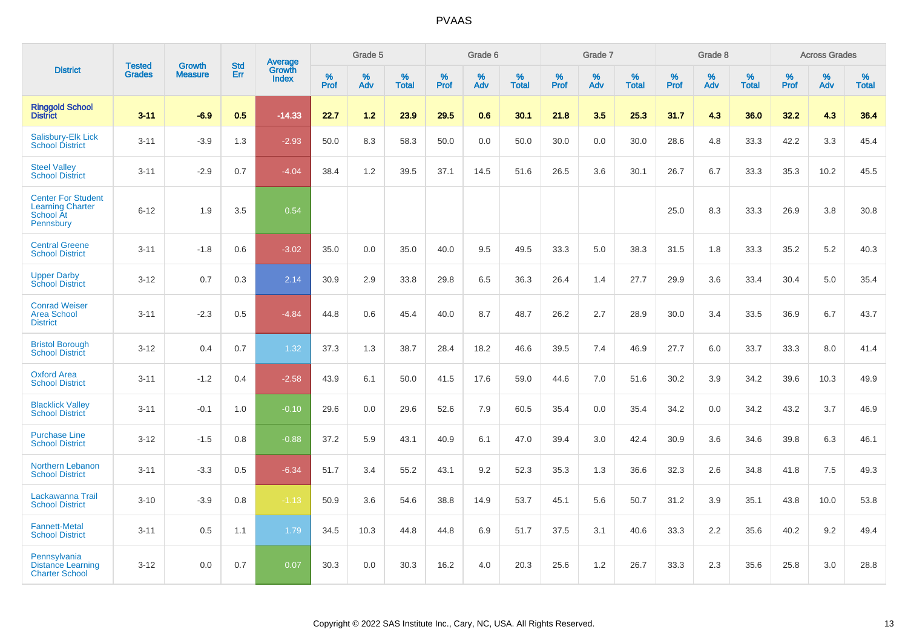|                                                                                       |                                |                                 | <b>Std</b> | <b>Average</b>         |           | Grade 5  |                   |           | Grade 6  |                   |           | Grade 7  |                   |           | Grade 8  |                   |           | <b>Across Grades</b> |                   |
|---------------------------------------------------------------------------------------|--------------------------------|---------------------------------|------------|------------------------|-----------|----------|-------------------|-----------|----------|-------------------|-----------|----------|-------------------|-----------|----------|-------------------|-----------|----------------------|-------------------|
| <b>District</b>                                                                       | <b>Tested</b><br><b>Grades</b> | <b>Growth</b><br><b>Measure</b> | Err        | Growth<br><b>Index</b> | %<br>Prof | %<br>Adv | %<br><b>Total</b> | %<br>Prof | %<br>Adv | %<br><b>Total</b> | %<br>Prof | %<br>Adv | %<br><b>Total</b> | %<br>Prof | %<br>Adv | %<br><b>Total</b> | %<br>Prof | %<br>Adv             | %<br><b>Total</b> |
| <b>Ringgold School</b><br>District                                                    | $3 - 11$                       | $-6.9$                          | 0.5        | $-14.33$               | 22.7      | 1.2      | 23.9              | 29.5      | 0.6      | 30.1              | 21.8      | 3.5      | 25.3              | 31.7      | 4.3      | 36.0              | 32.2      | 4.3                  | 36.4              |
| Salisbury-Elk Lick<br><b>School District</b>                                          | $3 - 11$                       | $-3.9$                          | 1.3        | $-2.93$                | 50.0      | 8.3      | 58.3              | 50.0      | 0.0      | 50.0              | 30.0      | 0.0      | 30.0              | 28.6      | 4.8      | 33.3              | 42.2      | 3.3                  | 45.4              |
| <b>Steel Valley</b><br><b>School District</b>                                         | $3 - 11$                       | $-2.9$                          | 0.7        | $-4.04$                | 38.4      | 1.2      | 39.5              | 37.1      | 14.5     | 51.6              | 26.5      | 3.6      | 30.1              | 26.7      | 6.7      | 33.3              | 35.3      | 10.2                 | 45.5              |
| <b>Center For Student</b><br><b>Learning Charter</b><br><b>School At</b><br>Pennsbury | $6 - 12$                       | 1.9                             | 3.5        | 0.54                   |           |          |                   |           |          |                   |           |          |                   | 25.0      | 8.3      | 33.3              | 26.9      | 3.8                  | 30.8              |
| <b>Central Greene</b><br><b>School District</b>                                       | $3 - 11$                       | $-1.8$                          | 0.6        | $-3.02$                | 35.0      | 0.0      | 35.0              | 40.0      | 9.5      | 49.5              | 33.3      | 5.0      | 38.3              | 31.5      | 1.8      | 33.3              | 35.2      | $5.2\,$              | 40.3              |
| <b>Upper Darby</b><br><b>School District</b>                                          | $3 - 12$                       | 0.7                             | 0.3        | 2.14                   | 30.9      | 2.9      | 33.8              | 29.8      | 6.5      | 36.3              | 26.4      | 1.4      | 27.7              | 29.9      | 3.6      | 33.4              | 30.4      | 5.0                  | 35.4              |
| <b>Conrad Weiser</b><br><b>Area School</b><br><b>District</b>                         | $3 - 11$                       | $-2.3$                          | 0.5        | $-4.84$                | 44.8      | 0.6      | 45.4              | 40.0      | 8.7      | 48.7              | 26.2      | 2.7      | 28.9              | 30.0      | 3.4      | 33.5              | 36.9      | 6.7                  | 43.7              |
| <b>Bristol Borough</b><br><b>School District</b>                                      | $3 - 12$                       | 0.4                             | 0.7        | 1.32                   | 37.3      | 1.3      | 38.7              | 28.4      | 18.2     | 46.6              | 39.5      | 7.4      | 46.9              | 27.7      | 6.0      | 33.7              | 33.3      | 8.0                  | 41.4              |
| <b>Oxford Area</b><br><b>School District</b>                                          | $3 - 11$                       | $-1.2$                          | 0.4        | $-2.58$                | 43.9      | 6.1      | 50.0              | 41.5      | 17.6     | 59.0              | 44.6      | 7.0      | 51.6              | 30.2      | 3.9      | 34.2              | 39.6      | 10.3                 | 49.9              |
| <b>Blacklick Valley</b><br><b>School District</b>                                     | $3 - 11$                       | $-0.1$                          | 1.0        | $-0.10$                | 29.6      | 0.0      | 29.6              | 52.6      | 7.9      | 60.5              | 35.4      | 0.0      | 35.4              | 34.2      | 0.0      | 34.2              | 43.2      | 3.7                  | 46.9              |
| <b>Purchase Line</b><br><b>School District</b>                                        | $3 - 12$                       | $-1.5$                          | 0.8        | $-0.88$                | 37.2      | 5.9      | 43.1              | 40.9      | 6.1      | 47.0              | 39.4      | 3.0      | 42.4              | 30.9      | 3.6      | 34.6              | 39.8      | 6.3                  | 46.1              |
| Northern Lebanon<br><b>School District</b>                                            | $3 - 11$                       | $-3.3$                          | 0.5        | $-6.34$                | 51.7      | 3.4      | 55.2              | 43.1      | 9.2      | 52.3              | 35.3      | 1.3      | 36.6              | 32.3      | 2.6      | 34.8              | 41.8      | 7.5                  | 49.3              |
| Lackawanna Trail<br><b>School District</b>                                            | $3 - 10$                       | $-3.9$                          | 0.8        | $-1.13$                | 50.9      | 3.6      | 54.6              | 38.8      | 14.9     | 53.7              | 45.1      | 5.6      | 50.7              | 31.2      | 3.9      | 35.1              | 43.8      | 10.0                 | 53.8              |
| <b>Fannett-Metal</b><br><b>School District</b>                                        | $3 - 11$                       | 0.5                             | 1.1        | 1.79                   | 34.5      | 10.3     | 44.8              | 44.8      | 6.9      | 51.7              | 37.5      | 3.1      | 40.6              | 33.3      | $2.2\,$  | 35.6              | 40.2      | $9.2\,$              | 49.4              |
| Pennsylvania<br><b>Distance Learning</b><br><b>Charter School</b>                     | $3 - 12$                       | 0.0                             | 0.7        | 0.07                   | 30.3      | 0.0      | 30.3              | 16.2      | 4.0      | 20.3              | 25.6      | 1.2      | 26.7              | 33.3      | 2.3      | 35.6              | 25.8      | 3.0                  | 28.8              |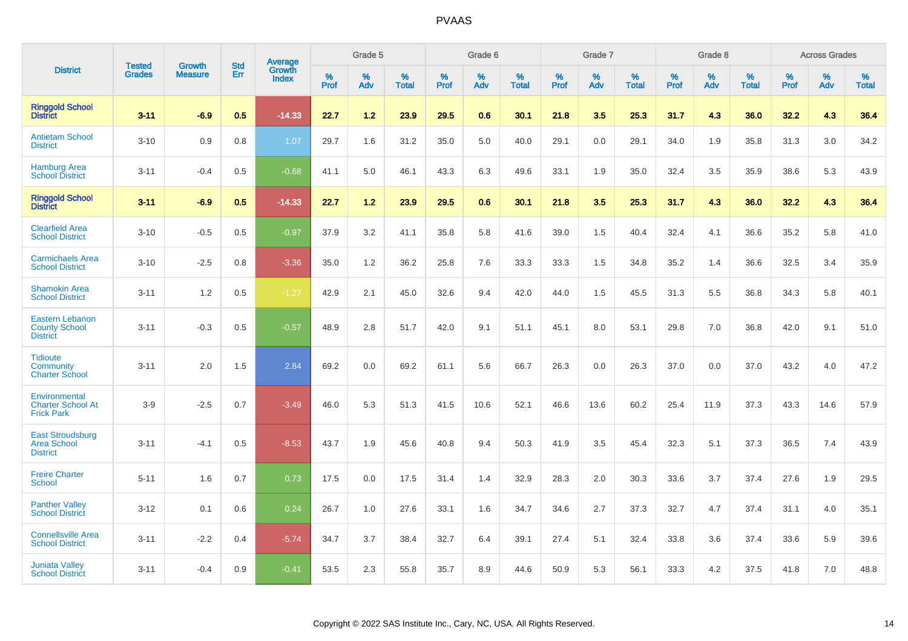|                                                                   |                                | <b>Growth</b>  | <b>Std</b> | Average                |              | Grade 5  |                   |           | Grade 6  |                   |           | Grade 7  |                   |              | Grade 8  |                   |              | <b>Across Grades</b> |                   |
|-------------------------------------------------------------------|--------------------------------|----------------|------------|------------------------|--------------|----------|-------------------|-----------|----------|-------------------|-----------|----------|-------------------|--------------|----------|-------------------|--------------|----------------------|-------------------|
| <b>District</b>                                                   | <b>Tested</b><br><b>Grades</b> | <b>Measure</b> | Err        | Growth<br><b>Index</b> | $\%$<br>Prof | %<br>Adv | %<br><b>Total</b> | %<br>Prof | %<br>Adv | %<br><b>Total</b> | %<br>Prof | %<br>Adv | %<br><b>Total</b> | $\%$<br>Prof | %<br>Adv | %<br><b>Total</b> | $\%$<br>Prof | %<br>Adv             | %<br><b>Total</b> |
| <b>Ringgold School</b><br><b>District</b>                         | $3 - 11$                       | $-6.9$         | 0.5        | $-14.33$               | 22.7         | 1.2      | 23.9              | 29.5      | 0.6      | 30.1              | 21.8      | 3.5      | 25.3              | 31.7         | 4.3      | 36.0              | 32.2         | 4.3                  | 36.4              |
| <b>Antietam School</b><br><b>District</b>                         | $3 - 10$                       | 0.9            | 0.8        | 1.07                   | 29.7         | 1.6      | 31.2              | 35.0      | 5.0      | 40.0              | 29.1      | 0.0      | 29.1              | 34.0         | 1.9      | 35.8              | 31.3         | 3.0                  | 34.2              |
| <b>Hamburg Area</b><br><b>School District</b>                     | $3 - 11$                       | $-0.4$         | 0.5        | $-0.68$                | 41.1         | 5.0      | 46.1              | 43.3      | 6.3      | 49.6              | 33.1      | 1.9      | 35.0              | 32.4         | 3.5      | 35.9              | 38.6         | 5.3                  | 43.9              |
| <b>Ringgold School</b><br><b>District</b>                         | $3 - 11$                       | $-6.9$         | 0.5        | $-14.33$               | 22.7         | 1.2      | 23.9              | 29.5      | 0.6      | 30.1              | 21.8      | 3.5      | 25.3              | 31.7         | 4.3      | 36.0              | 32.2         | 4.3                  | 36.4              |
| <b>Clearfield Area</b><br><b>School District</b>                  | $3 - 10$                       | $-0.5$         | 0.5        | $-0.97$                | 37.9         | 3.2      | 41.1              | 35.8      | 5.8      | 41.6              | 39.0      | 1.5      | 40.4              | 32.4         | 4.1      | 36.6              | 35.2         | 5.8                  | 41.0              |
| <b>Carmichaels Area</b><br><b>School District</b>                 | $3 - 10$                       | $-2.5$         | 0.8        | $-3.36$                | 35.0         | 1.2      | 36.2              | 25.8      | 7.6      | 33.3              | 33.3      | 1.5      | 34.8              | 35.2         | 1.4      | 36.6              | 32.5         | 3.4                  | 35.9              |
| <b>Shamokin Area</b><br><b>School District</b>                    | $3 - 11$                       | 1.2            | 0.5        | $-1.27$                | 42.9         | 2.1      | 45.0              | 32.6      | 9.4      | 42.0              | 44.0      | 1.5      | 45.5              | 31.3         | 5.5      | 36.8              | 34.3         | 5.8                  | 40.1              |
| <b>Eastern Lebanon</b><br><b>County School</b><br><b>District</b> | $3 - 11$                       | $-0.3$         | 0.5        | $-0.57$                | 48.9         | 2.8      | 51.7              | 42.0      | 9.1      | 51.1              | 45.1      | 8.0      | 53.1              | 29.8         | 7.0      | 36.8              | 42.0         | 9.1                  | 51.0              |
| <b>Tidioute</b><br>Community<br><b>Charter School</b>             | $3 - 11$                       | 2.0            | 1.5        | 2.84                   | 69.2         | 0.0      | 69.2              | 61.1      | 5.6      | 66.7              | 26.3      | 0.0      | 26.3              | 37.0         | 0.0      | 37.0              | 43.2         | 4.0                  | 47.2              |
| Environmental<br><b>Charter School At</b><br><b>Frick Park</b>    | $3-9$                          | $-2.5$         | 0.7        | $-3.49$                | 46.0         | 5.3      | 51.3              | 41.5      | 10.6     | 52.1              | 46.6      | 13.6     | 60.2              | 25.4         | 11.9     | 37.3              | 43.3         | 14.6                 | 57.9              |
| <b>East Stroudsburg</b><br><b>Area School</b><br><b>District</b>  | $3 - 11$                       | $-4.1$         | 0.5        | $-8.53$                | 43.7         | 1.9      | 45.6              | 40.8      | 9.4      | 50.3              | 41.9      | 3.5      | 45.4              | 32.3         | 5.1      | 37.3              | 36.5         | 7.4                  | 43.9              |
| <b>Freire Charter</b><br>School                                   | $5 - 11$                       | 1.6            | 0.7        | 0.73                   | 17.5         | 0.0      | 17.5              | 31.4      | 1.4      | 32.9              | 28.3      | 2.0      | 30.3              | 33.6         | 3.7      | 37.4              | 27.6         | 1.9                  | 29.5              |
| <b>Panther Valley</b><br><b>School District</b>                   | $3 - 12$                       | 0.1            | 0.6        | 0.24                   | 26.7         | 1.0      | 27.6              | 33.1      | 1.6      | 34.7              | 34.6      | 2.7      | 37.3              | 32.7         | 4.7      | 37.4              | 31.1         | 4.0                  | 35.1              |
| <b>Connellsville Area</b><br><b>School District</b>               | $3 - 11$                       | $-2.2$         | 0.4        | $-5.74$                | 34.7         | 3.7      | 38.4              | 32.7      | 6.4      | 39.1              | 27.4      | 5.1      | 32.4              | 33.8         | 3.6      | 37.4              | 33.6         | 5.9                  | 39.6              |
| <b>Juniata Valley</b><br><b>School District</b>                   | $3 - 11$                       | $-0.4$         | 0.9        | $-0.41$                | 53.5         | 2.3      | 55.8              | 35.7      | 8.9      | 44.6              | 50.9      | 5.3      | 56.1              | 33.3         | 4.2      | 37.5              | 41.8         | 7.0                  | 48.8              |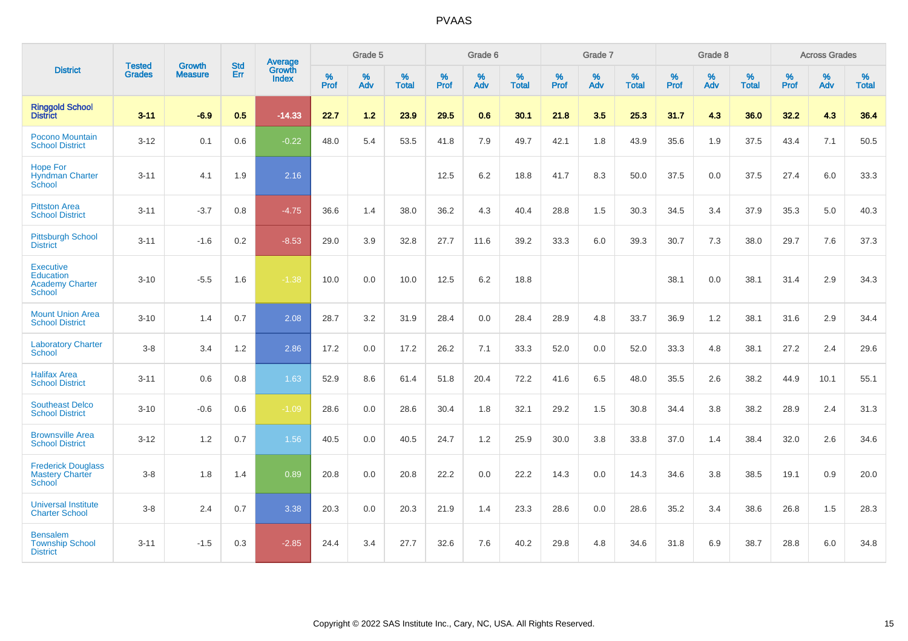|                                                                                 | <b>Tested</b> | <b>Growth</b>  | <b>Std</b> | Average                |                  | Grade 5  |                   |                  | Grade 6  |                   |                  | Grade 7  |                   |           | Grade 8  |                   |                  | <b>Across Grades</b> |                   |
|---------------------------------------------------------------------------------|---------------|----------------|------------|------------------------|------------------|----------|-------------------|------------------|----------|-------------------|------------------|----------|-------------------|-----------|----------|-------------------|------------------|----------------------|-------------------|
| <b>District</b>                                                                 | <b>Grades</b> | <b>Measure</b> | Err        | Growth<br><b>Index</b> | %<br><b>Prof</b> | %<br>Adv | %<br><b>Total</b> | %<br><b>Prof</b> | %<br>Adv | %<br><b>Total</b> | %<br><b>Prof</b> | %<br>Adv | %<br><b>Total</b> | %<br>Prof | %<br>Adv | %<br><b>Total</b> | %<br><b>Prof</b> | %<br>Adv             | %<br><b>Total</b> |
| <b>Ringgold School</b><br><b>District</b>                                       | $3 - 11$      | $-6.9$         | 0.5        | $-14.33$               | 22.7             | $1.2$    | 23.9              | 29.5             | 0.6      | 30.1              | 21.8             | 3.5      | 25.3              | 31.7      | 4.3      | 36.0              | 32.2             | 4.3                  | 36.4              |
| Pocono Mountain<br><b>School District</b>                                       | $3 - 12$      | 0.1            | 0.6        | $-0.22$                | 48.0             | 5.4      | 53.5              | 41.8             | 7.9      | 49.7              | 42.1             | 1.8      | 43.9              | 35.6      | 1.9      | 37.5              | 43.4             | 7.1                  | 50.5              |
| <b>Hope For</b><br><b>Hyndman Charter</b><br>School                             | $3 - 11$      | 4.1            | 1.9        | 2.16                   |                  |          |                   | 12.5             | 6.2      | 18.8              | 41.7             | 8.3      | 50.0              | 37.5      | 0.0      | 37.5              | 27.4             | 6.0                  | 33.3              |
| <b>Pittston Area</b><br><b>School District</b>                                  | $3 - 11$      | $-3.7$         | 0.8        | $-4.75$                | 36.6             | 1.4      | 38.0              | 36.2             | 4.3      | 40.4              | 28.8             | 1.5      | 30.3              | 34.5      | 3.4      | 37.9              | 35.3             | 5.0                  | 40.3              |
| <b>Pittsburgh School</b><br><b>District</b>                                     | $3 - 11$      | $-1.6$         | 0.2        | $-8.53$                | 29.0             | 3.9      | 32.8              | 27.7             | 11.6     | 39.2              | 33.3             | 6.0      | 39.3              | 30.7      | 7.3      | 38.0              | 29.7             | 7.6                  | 37.3              |
| <b>Executive</b><br><b>Education</b><br><b>Academy Charter</b><br><b>School</b> | $3 - 10$      | $-5.5$         | 1.6        | $-1.38$                | 10.0             | 0.0      | 10.0              | 12.5             | 6.2      | 18.8              |                  |          |                   | 38.1      | 0.0      | 38.1              | 31.4             | 2.9                  | 34.3              |
| <b>Mount Union Area</b><br><b>School District</b>                               | $3 - 10$      | 1.4            | 0.7        | 2.08                   | 28.7             | 3.2      | 31.9              | 28.4             | 0.0      | 28.4              | 28.9             | 4.8      | 33.7              | 36.9      | 1.2      | 38.1              | 31.6             | 2.9                  | 34.4              |
| <b>Laboratory Charter</b><br><b>School</b>                                      | $3-8$         | 3.4            | 1.2        | 2.86                   | 17.2             | 0.0      | 17.2              | 26.2             | 7.1      | 33.3              | 52.0             | 0.0      | 52.0              | 33.3      | 4.8      | 38.1              | 27.2             | 2.4                  | 29.6              |
| <b>Halifax Area</b><br><b>School District</b>                                   | $3 - 11$      | 0.6            | 0.8        | 1.63                   | 52.9             | 8.6      | 61.4              | 51.8             | 20.4     | 72.2              | 41.6             | 6.5      | 48.0              | 35.5      | 2.6      | 38.2              | 44.9             | 10.1                 | 55.1              |
| <b>Southeast Delco</b><br><b>School District</b>                                | $3 - 10$      | $-0.6$         | 0.6        | $-1.09$                | 28.6             | 0.0      | 28.6              | 30.4             | 1.8      | 32.1              | 29.2             | 1.5      | 30.8              | 34.4      | 3.8      | 38.2              | 28.9             | 2.4                  | 31.3              |
| <b>Brownsville Area</b><br><b>School District</b>                               | $3 - 12$      | 1.2            | 0.7        | 1.56                   | 40.5             | 0.0      | 40.5              | 24.7             | 1.2      | 25.9              | 30.0             | 3.8      | 33.8              | 37.0      | 1.4      | 38.4              | 32.0             | 2.6                  | 34.6              |
| <b>Frederick Douglass</b><br><b>Mastery Charter</b><br><b>School</b>            | $3-8$         | 1.8            | 1.4        | 0.89                   | 20.8             | 0.0      | 20.8              | 22.2             | 0.0      | 22.2              | 14.3             | 0.0      | 14.3              | 34.6      | 3.8      | 38.5              | 19.1             | 0.9                  | 20.0              |
| <b>Universal Institute</b><br><b>Charter School</b>                             | $3 - 8$       | 2.4            | 0.7        | 3.38                   | 20.3             | 0.0      | 20.3              | 21.9             | 1.4      | 23.3              | 28.6             | 0.0      | 28.6              | 35.2      | 3.4      | 38.6              | 26.8             | 1.5                  | 28.3              |
| <b>Bensalem</b><br><b>Township School</b><br><b>District</b>                    | $3 - 11$      | $-1.5$         | 0.3        | $-2.85$                | 24.4             | 3.4      | 27.7              | 32.6             | 7.6      | 40.2              | 29.8             | 4.8      | 34.6              | 31.8      | 6.9      | 38.7              | 28.8             | 6.0                  | 34.8              |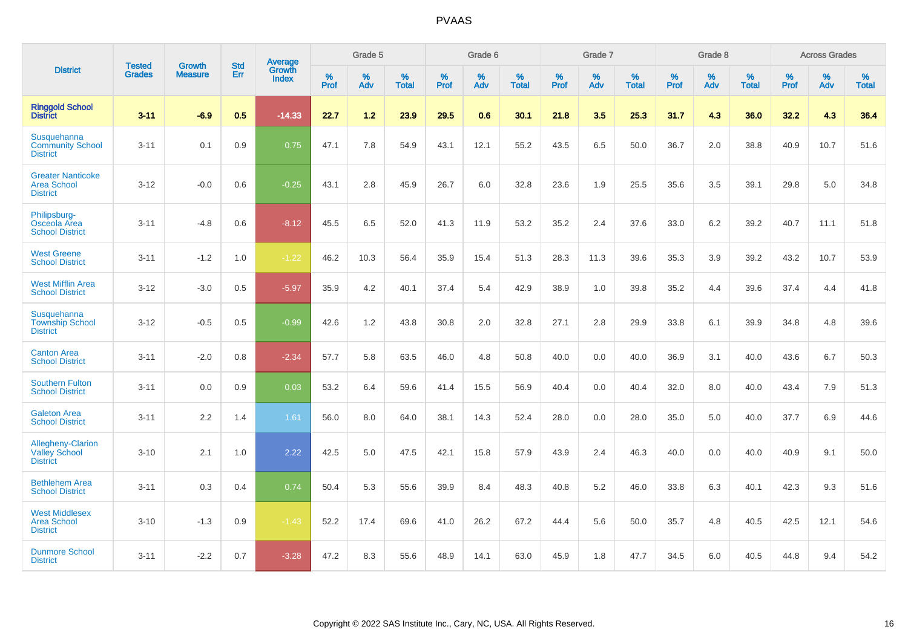|                                                                     |                                |                                 | <b>Std</b> | Average                |           | Grade 5  |                   |           | Grade 6  |                   |           | Grade 7  |                   |           | Grade 8  |                   |           | <b>Across Grades</b> |                   |
|---------------------------------------------------------------------|--------------------------------|---------------------------------|------------|------------------------|-----------|----------|-------------------|-----------|----------|-------------------|-----------|----------|-------------------|-----------|----------|-------------------|-----------|----------------------|-------------------|
| <b>District</b>                                                     | <b>Tested</b><br><b>Grades</b> | <b>Growth</b><br><b>Measure</b> | Err        | Growth<br><b>Index</b> | %<br>Prof | %<br>Adv | %<br><b>Total</b> | %<br>Prof | %<br>Adv | %<br><b>Total</b> | %<br>Prof | %<br>Adv | %<br><b>Total</b> | %<br>Prof | %<br>Adv | %<br><b>Total</b> | %<br>Prof | %<br>Adv             | %<br><b>Total</b> |
| <b>Ringgold School</b><br><b>District</b>                           | $3 - 11$                       | $-6.9$                          | 0.5        | $-14.33$               | 22.7      | 1.2      | 23.9              | 29.5      | 0.6      | 30.1              | 21.8      | 3.5      | 25.3              | 31.7      | 4.3      | 36.0              | 32.2      | 4.3                  | 36.4              |
| Susquehanna<br><b>Community School</b><br><b>District</b>           | $3 - 11$                       | 0.1                             | 0.9        | 0.75                   | 47.1      | 7.8      | 54.9              | 43.1      | 12.1     | 55.2              | 43.5      | 6.5      | 50.0              | 36.7      | 2.0      | 38.8              | 40.9      | 10.7                 | 51.6              |
| <b>Greater Nanticoke</b><br><b>Area School</b><br><b>District</b>   | $3 - 12$                       | $-0.0$                          | 0.6        | $-0.25$                | 43.1      | 2.8      | 45.9              | 26.7      | 6.0      | 32.8              | 23.6      | 1.9      | 25.5              | 35.6      | 3.5      | 39.1              | 29.8      | 5.0                  | 34.8              |
| Philipsburg-<br>Osceola Area<br><b>School District</b>              | $3 - 11$                       | $-4.8$                          | 0.6        | $-8.12$                | 45.5      | 6.5      | 52.0              | 41.3      | 11.9     | 53.2              | 35.2      | 2.4      | 37.6              | 33.0      | 6.2      | 39.2              | 40.7      | 11.1                 | 51.8              |
| <b>West Greene</b><br><b>School District</b>                        | $3 - 11$                       | $-1.2$                          | 1.0        | $-1.22$                | 46.2      | 10.3     | 56.4              | 35.9      | 15.4     | 51.3              | 28.3      | 11.3     | 39.6              | 35.3      | 3.9      | 39.2              | 43.2      | 10.7                 | 53.9              |
| <b>West Mifflin Area</b><br><b>School District</b>                  | $3 - 12$                       | $-3.0$                          | 0.5        | $-5.97$                | 35.9      | 4.2      | 40.1              | 37.4      | 5.4      | 42.9              | 38.9      | 1.0      | 39.8              | 35.2      | 4.4      | 39.6              | 37.4      | 4.4                  | 41.8              |
| Susquehanna<br><b>Township School</b><br><b>District</b>            | $3 - 12$                       | $-0.5$                          | 0.5        | $-0.99$                | 42.6      | 1.2      | 43.8              | 30.8      | 2.0      | 32.8              | 27.1      | 2.8      | 29.9              | 33.8      | 6.1      | 39.9              | 34.8      | 4.8                  | 39.6              |
| <b>Canton Area</b><br><b>School District</b>                        | $3 - 11$                       | $-2.0$                          | 0.8        | $-2.34$                | 57.7      | 5.8      | 63.5              | 46.0      | 4.8      | 50.8              | 40.0      | 0.0      | 40.0              | 36.9      | 3.1      | 40.0              | 43.6      | 6.7                  | 50.3              |
| <b>Southern Fulton</b><br><b>School District</b>                    | $3 - 11$                       | 0.0                             | 0.9        | 0.03                   | 53.2      | 6.4      | 59.6              | 41.4      | 15.5     | 56.9              | 40.4      | 0.0      | 40.4              | 32.0      | 8.0      | 40.0              | 43.4      | 7.9                  | 51.3              |
| <b>Galeton Area</b><br><b>School District</b>                       | $3 - 11$                       | 2.2                             | 1.4        | 1.61                   | 56.0      | 8.0      | 64.0              | 38.1      | 14.3     | 52.4              | 28.0      | 0.0      | 28.0              | 35.0      | 5.0      | 40.0              | 37.7      | 6.9                  | 44.6              |
| <b>Allegheny-Clarion</b><br><b>Valley School</b><br><b>District</b> | $3 - 10$                       | 2.1                             | 1.0        | 2.22                   | 42.5      | 5.0      | 47.5              | 42.1      | 15.8     | 57.9              | 43.9      | 2.4      | 46.3              | 40.0      | 0.0      | 40.0              | 40.9      | 9.1                  | 50.0              |
| <b>Bethlehem Area</b><br><b>School District</b>                     | $3 - 11$                       | 0.3                             | 0.4        | 0.74                   | 50.4      | 5.3      | 55.6              | 39.9      | 8.4      | 48.3              | 40.8      | 5.2      | 46.0              | 33.8      | 6.3      | 40.1              | 42.3      | 9.3                  | 51.6              |
| <b>West Middlesex</b><br><b>Area School</b><br><b>District</b>      | $3 - 10$                       | $-1.3$                          | 0.9        | $-1.43$                | 52.2      | 17.4     | 69.6              | 41.0      | 26.2     | 67.2              | 44.4      | 5.6      | 50.0              | 35.7      | 4.8      | 40.5              | 42.5      | 12.1                 | 54.6              |
| <b>Dunmore School</b><br><b>District</b>                            | $3 - 11$                       | $-2.2$                          | 0.7        | $-3.28$                | 47.2      | 8.3      | 55.6              | 48.9      | 14.1     | 63.0              | 45.9      | 1.8      | 47.7              | 34.5      | 6.0      | 40.5              | 44.8      | 9.4                  | 54.2              |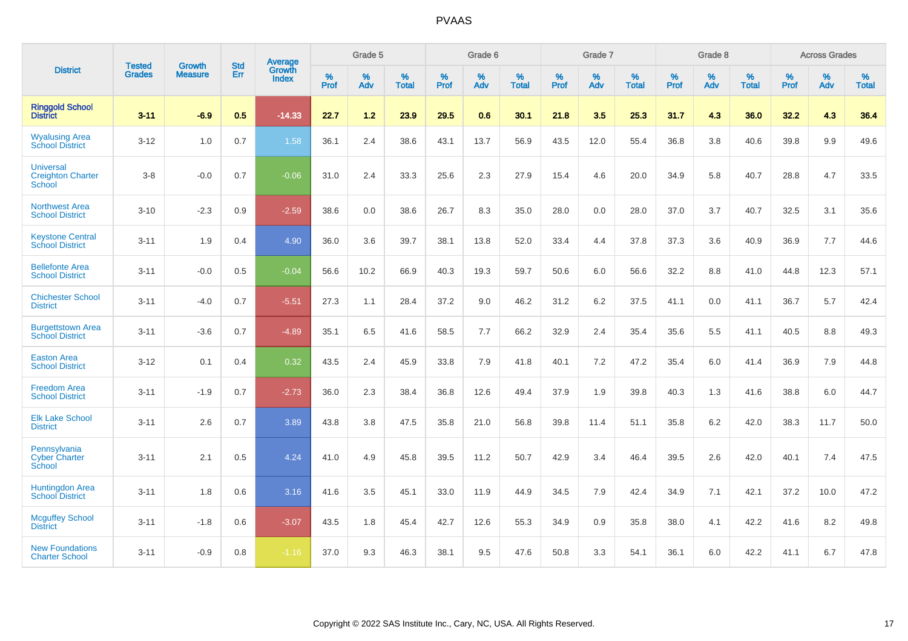|                                                        | <b>Tested</b> | <b>Growth</b>  | <b>Std</b> | Average                |                     | Grade 5  |                   |                     | Grade 6  |                   |              | Grade 7  |                   |                     | Grade 8  |                   |                     | <b>Across Grades</b> |                   |
|--------------------------------------------------------|---------------|----------------|------------|------------------------|---------------------|----------|-------------------|---------------------|----------|-------------------|--------------|----------|-------------------|---------------------|----------|-------------------|---------------------|----------------------|-------------------|
| <b>District</b>                                        | <b>Grades</b> | <b>Measure</b> | Err        | Growth<br><b>Index</b> | $\%$<br><b>Prof</b> | %<br>Adv | %<br><b>Total</b> | $\%$<br><b>Prof</b> | %<br>Adv | %<br><b>Total</b> | $\%$<br>Prof | %<br>Adv | %<br><b>Total</b> | $\%$<br><b>Prof</b> | %<br>Adv | %<br><b>Total</b> | $\%$<br><b>Prof</b> | %<br>Adv             | %<br><b>Total</b> |
| <b>Ringgold School</b><br><b>District</b>              | $3 - 11$      | $-6.9$         | 0.5        | $-14.33$               | 22.7                | $1.2$    | 23.9              | 29.5                | 0.6      | 30.1              | 21.8         | 3.5      | 25.3              | 31.7                | 4.3      | 36.0              | 32.2                | 4.3                  | 36.4              |
| <b>Wyalusing Area</b><br><b>School District</b>        | $3 - 12$      | 1.0            | 0.7        | 1.58                   | 36.1                | 2.4      | 38.6              | 43.1                | 13.7     | 56.9              | 43.5         | 12.0     | 55.4              | 36.8                | 3.8      | 40.6              | 39.8                | 9.9                  | 49.6              |
| <b>Universal</b><br><b>Creighton Charter</b><br>School | $3 - 8$       | $-0.0$         | 0.7        | $-0.06$                | 31.0                | 2.4      | 33.3              | 25.6                | 2.3      | 27.9              | 15.4         | 4.6      | 20.0              | 34.9                | 5.8      | 40.7              | 28.8                | 4.7                  | 33.5              |
| <b>Northwest Area</b><br><b>School District</b>        | $3 - 10$      | $-2.3$         | 0.9        | $-2.59$                | 38.6                | 0.0      | 38.6              | 26.7                | 8.3      | 35.0              | 28.0         | 0.0      | 28.0              | 37.0                | 3.7      | 40.7              | 32.5                | 3.1                  | 35.6              |
| <b>Keystone Central</b><br><b>School District</b>      | $3 - 11$      | 1.9            | 0.4        | 4.90                   | 36.0                | 3.6      | 39.7              | 38.1                | 13.8     | 52.0              | 33.4         | 4.4      | 37.8              | 37.3                | 3.6      | 40.9              | 36.9                | 7.7                  | 44.6              |
| <b>Bellefonte Area</b><br><b>School District</b>       | $3 - 11$      | $-0.0$         | 0.5        | $-0.04$                | 56.6                | 10.2     | 66.9              | 40.3                | 19.3     | 59.7              | 50.6         | 6.0      | 56.6              | 32.2                | 8.8      | 41.0              | 44.8                | 12.3                 | 57.1              |
| <b>Chichester School</b><br><b>District</b>            | $3 - 11$      | $-4.0$         | 0.7        | $-5.51$                | 27.3                | 1.1      | 28.4              | 37.2                | 9.0      | 46.2              | 31.2         | 6.2      | 37.5              | 41.1                | 0.0      | 41.1              | 36.7                | 5.7                  | 42.4              |
| <b>Burgettstown Area</b><br><b>School District</b>     | $3 - 11$      | $-3.6$         | 0.7        | $-4.89$                | 35.1                | 6.5      | 41.6              | 58.5                | 7.7      | 66.2              | 32.9         | 2.4      | 35.4              | 35.6                | 5.5      | 41.1              | 40.5                | 8.8                  | 49.3              |
| <b>Easton Area</b><br><b>School District</b>           | $3 - 12$      | 0.1            | 0.4        | 0.32                   | 43.5                | 2.4      | 45.9              | 33.8                | 7.9      | 41.8              | 40.1         | 7.2      | 47.2              | 35.4                | 6.0      | 41.4              | 36.9                | 7.9                  | 44.8              |
| <b>Freedom Area</b><br><b>School District</b>          | $3 - 11$      | $-1.9$         | 0.7        | $-2.73$                | 36.0                | 2.3      | 38.4              | 36.8                | 12.6     | 49.4              | 37.9         | 1.9      | 39.8              | 40.3                | 1.3      | 41.6              | 38.8                | 6.0                  | 44.7              |
| <b>Elk Lake School</b><br><b>District</b>              | $3 - 11$      | 2.6            | 0.7        | 3.89                   | 43.8                | 3.8      | 47.5              | 35.8                | 21.0     | 56.8              | 39.8         | 11.4     | 51.1              | 35.8                | 6.2      | 42.0              | 38.3                | 11.7                 | 50.0              |
| Pennsylvania<br><b>Cyber Charter</b><br>School         | $3 - 11$      | 2.1            | 0.5        | 4.24                   | 41.0                | 4.9      | 45.8              | 39.5                | 11.2     | 50.7              | 42.9         | 3.4      | 46.4              | 39.5                | 2.6      | 42.0              | 40.1                | 7.4                  | 47.5              |
| <b>Huntingdon Area</b><br><b>School District</b>       | $3 - 11$      | 1.8            | 0.6        | 3.16                   | 41.6                | 3.5      | 45.1              | 33.0                | 11.9     | 44.9              | 34.5         | 7.9      | 42.4              | 34.9                | 7.1      | 42.1              | 37.2                | 10.0                 | 47.2              |
| <b>Mcguffey School</b><br><b>District</b>              | $3 - 11$      | $-1.8$         | 0.6        | $-3.07$                | 43.5                | 1.8      | 45.4              | 42.7                | 12.6     | 55.3              | 34.9         | 0.9      | 35.8              | 38.0                | 4.1      | 42.2              | 41.6                | 8.2                  | 49.8              |
| <b>New Foundations</b><br><b>Charter School</b>        | $3 - 11$      | $-0.9$         | 0.8        | $-1.16$                | 37.0                | 9.3      | 46.3              | 38.1                | 9.5      | 47.6              | 50.8         | 3.3      | 54.1              | 36.1                | 6.0      | 42.2              | 41.1                | 6.7                  | 47.8              |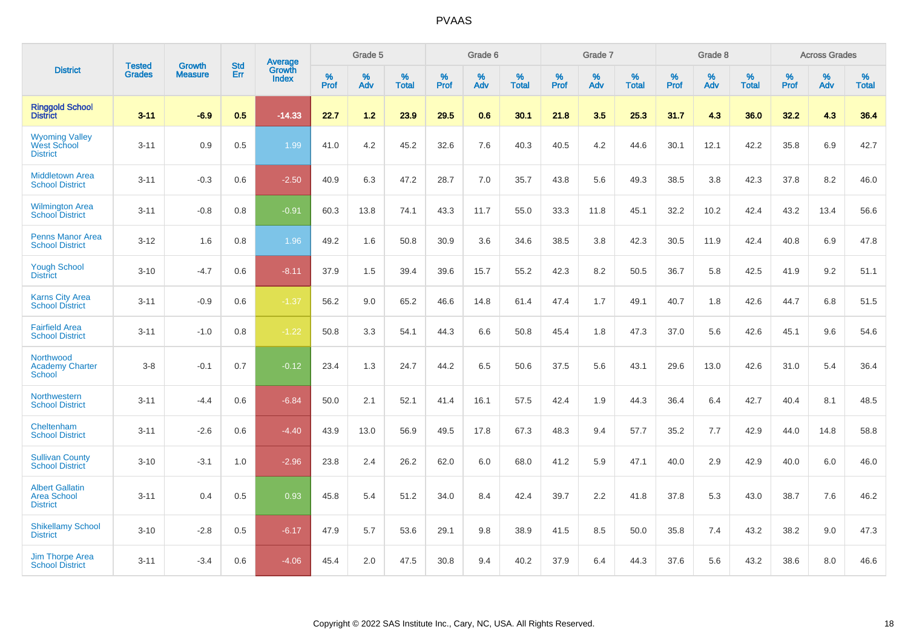|                                                                 | <b>Tested</b> | <b>Growth</b>  | <b>Std</b> | Average                       |           | Grade 5  |                   |           | Grade 6  |                   |           | Grade 7  |                   |           | Grade 8  |                   |           | <b>Across Grades</b> |                   |
|-----------------------------------------------------------------|---------------|----------------|------------|-------------------------------|-----------|----------|-------------------|-----------|----------|-------------------|-----------|----------|-------------------|-----------|----------|-------------------|-----------|----------------------|-------------------|
| <b>District</b>                                                 | <b>Grades</b> | <b>Measure</b> | Err        | <b>Growth</b><br><b>Index</b> | %<br>Prof | %<br>Adv | %<br><b>Total</b> | %<br>Prof | %<br>Adv | %<br><b>Total</b> | %<br>Prof | %<br>Adv | %<br><b>Total</b> | %<br>Prof | %<br>Adv | %<br><b>Total</b> | %<br>Prof | %<br>Adv             | %<br><b>Total</b> |
| <b>Ringgold School</b><br><b>District</b>                       | $3 - 11$      | $-6.9$         | 0.5        | $-14.33$                      | 22.7      | 1.2      | 23.9              | 29.5      | 0.6      | 30.1              | 21.8      | 3.5      | 25.3              | 31.7      | 4.3      | 36.0              | 32.2      | 4.3                  | 36.4              |
| <b>Wyoming Valley</b><br><b>West School</b><br><b>District</b>  | $3 - 11$      | 0.9            | 0.5        | 1.99                          | 41.0      | 4.2      | 45.2              | 32.6      | 7.6      | 40.3              | 40.5      | 4.2      | 44.6              | 30.1      | 12.1     | 42.2              | 35.8      | 6.9                  | 42.7              |
| <b>Middletown Area</b><br><b>School District</b>                | $3 - 11$      | $-0.3$         | 0.6        | $-2.50$                       | 40.9      | 6.3      | 47.2              | 28.7      | 7.0      | 35.7              | 43.8      | 5.6      | 49.3              | 38.5      | 3.8      | 42.3              | 37.8      | 8.2                  | 46.0              |
| <b>Wilmington Area</b><br><b>School District</b>                | $3 - 11$      | $-0.8$         | 0.8        | $-0.91$                       | 60.3      | 13.8     | 74.1              | 43.3      | 11.7     | 55.0              | 33.3      | 11.8     | 45.1              | 32.2      | 10.2     | 42.4              | 43.2      | 13.4                 | 56.6              |
| <b>Penns Manor Area</b><br><b>School District</b>               | $3 - 12$      | 1.6            | 0.8        | 1.96                          | 49.2      | 1.6      | 50.8              | 30.9      | 3.6      | 34.6              | 38.5      | 3.8      | 42.3              | 30.5      | 11.9     | 42.4              | 40.8      | 6.9                  | 47.8              |
| <b>Yough School</b><br><b>District</b>                          | $3 - 10$      | $-4.7$         | 0.6        | $-8.11$                       | 37.9      | 1.5      | 39.4              | 39.6      | 15.7     | 55.2              | 42.3      | 8.2      | 50.5              | 36.7      | 5.8      | 42.5              | 41.9      | 9.2                  | 51.1              |
| <b>Karns City Area</b><br><b>School District</b>                | $3 - 11$      | $-0.9$         | 0.6        | $-1.37$                       | 56.2      | 9.0      | 65.2              | 46.6      | 14.8     | 61.4              | 47.4      | 1.7      | 49.1              | 40.7      | 1.8      | 42.6              | 44.7      | 6.8                  | 51.5              |
| <b>Fairfield Area</b><br><b>School District</b>                 | $3 - 11$      | $-1.0$         | 0.8        | $-1.22$                       | 50.8      | 3.3      | 54.1              | 44.3      | 6.6      | 50.8              | 45.4      | 1.8      | 47.3              | 37.0      | 5.6      | 42.6              | 45.1      | 9.6                  | 54.6              |
| Northwood<br><b>Academy Charter</b><br><b>School</b>            | $3 - 8$       | $-0.1$         | 0.7        | $-0.12$                       | 23.4      | 1.3      | 24.7              | 44.2      | 6.5      | 50.6              | 37.5      | 5.6      | 43.1              | 29.6      | 13.0     | 42.6              | 31.0      | 5.4                  | 36.4              |
| Northwestern<br><b>School District</b>                          | $3 - 11$      | $-4.4$         | 0.6        | $-6.84$                       | 50.0      | 2.1      | 52.1              | 41.4      | 16.1     | 57.5              | 42.4      | 1.9      | 44.3              | 36.4      | 6.4      | 42.7              | 40.4      | 8.1                  | 48.5              |
| Cheltenham<br><b>School District</b>                            | $3 - 11$      | $-2.6$         | 0.6        | $-4.40$                       | 43.9      | 13.0     | 56.9              | 49.5      | 17.8     | 67.3              | 48.3      | 9.4      | 57.7              | 35.2      | 7.7      | 42.9              | 44.0      | 14.8                 | 58.8              |
| <b>Sullivan County</b><br><b>School District</b>                | $3 - 10$      | $-3.1$         | 1.0        | $-2.96$                       | 23.8      | 2.4      | 26.2              | 62.0      | 6.0      | 68.0              | 41.2      | 5.9      | 47.1              | 40.0      | 2.9      | 42.9              | 40.0      | 6.0                  | 46.0              |
| <b>Albert Gallatin</b><br><b>Area School</b><br><b>District</b> | $3 - 11$      | 0.4            | 0.5        | 0.93                          | 45.8      | 5.4      | 51.2              | 34.0      | 8.4      | 42.4              | 39.7      | 2.2      | 41.8              | 37.8      | 5.3      | 43.0              | 38.7      | 7.6                  | 46.2              |
| <b>Shikellamy School</b><br><b>District</b>                     | $3 - 10$      | $-2.8$         | 0.5        | $-6.17$                       | 47.9      | 5.7      | 53.6              | 29.1      | 9.8      | 38.9              | 41.5      | 8.5      | 50.0              | 35.8      | 7.4      | 43.2              | 38.2      | 9.0                  | 47.3              |
| <b>Jim Thorpe Area</b><br><b>School District</b>                | $3 - 11$      | $-3.4$         | 0.6        | $-4.06$                       | 45.4      | 2.0      | 47.5              | 30.8      | 9.4      | 40.2              | 37.9      | 6.4      | 44.3              | 37.6      | 5.6      | 43.2              | 38.6      | 8.0                  | 46.6              |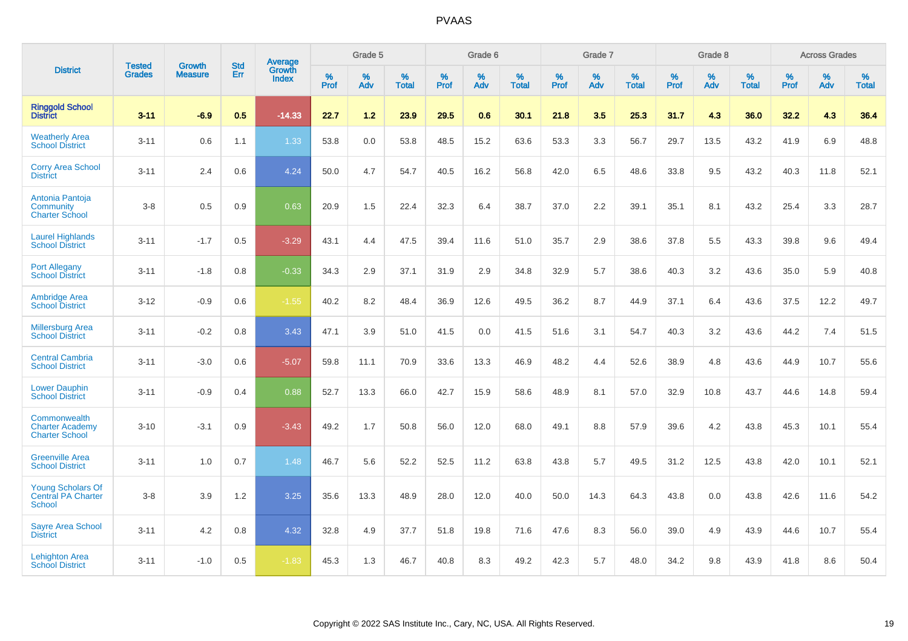|                                                                 | <b>Tested</b> | <b>Growth</b>  | <b>Std</b> | Average                       |           | Grade 5  |                   |           | Grade 6  |                   |           | Grade 7  |                   |           | Grade 8  |                   |           | <b>Across Grades</b> |                   |
|-----------------------------------------------------------------|---------------|----------------|------------|-------------------------------|-----------|----------|-------------------|-----------|----------|-------------------|-----------|----------|-------------------|-----------|----------|-------------------|-----------|----------------------|-------------------|
| <b>District</b>                                                 | <b>Grades</b> | <b>Measure</b> | Err        | <b>Growth</b><br><b>Index</b> | %<br>Prof | %<br>Adv | %<br><b>Total</b> | %<br>Prof | %<br>Adv | %<br><b>Total</b> | %<br>Prof | %<br>Adv | %<br><b>Total</b> | %<br>Prof | %<br>Adv | %<br><b>Total</b> | %<br>Prof | %<br>Adv             | %<br><b>Total</b> |
| <b>Ringgold School</b><br><b>District</b>                       | $3 - 11$      | $-6.9$         | 0.5        | $-14.33$                      | 22.7      | 1.2      | 23.9              | 29.5      | 0.6      | 30.1              | 21.8      | 3.5      | 25.3              | 31.7      | 4.3      | 36.0              | 32.2      | 4.3                  | 36.4              |
| <b>Weatherly Area</b><br><b>School District</b>                 | $3 - 11$      | 0.6            | 1.1        | 1.33                          | 53.8      | 0.0      | 53.8              | 48.5      | 15.2     | 63.6              | 53.3      | 3.3      | 56.7              | 29.7      | 13.5     | 43.2              | 41.9      | 6.9                  | 48.8              |
| <b>Corry Area School</b><br><b>District</b>                     | $3 - 11$      | 2.4            | 0.6        | 4.24                          | 50.0      | 4.7      | 54.7              | 40.5      | 16.2     | 56.8              | 42.0      | 6.5      | 48.6              | 33.8      | 9.5      | 43.2              | 40.3      | 11.8                 | 52.1              |
| Antonia Pantoja<br>Community<br><b>Charter School</b>           | $3-8$         | 0.5            | 0.9        | 0.63                          | 20.9      | 1.5      | 22.4              | 32.3      | 6.4      | 38.7              | 37.0      | 2.2      | 39.1              | 35.1      | 8.1      | 43.2              | 25.4      | 3.3                  | 28.7              |
| <b>Laurel Highlands</b><br><b>School District</b>               | $3 - 11$      | $-1.7$         | 0.5        | $-3.29$                       | 43.1      | 4.4      | 47.5              | 39.4      | 11.6     | 51.0              | 35.7      | 2.9      | 38.6              | 37.8      | 5.5      | 43.3              | 39.8      | 9.6                  | 49.4              |
| <b>Port Allegany</b><br><b>School District</b>                  | $3 - 11$      | $-1.8$         | 0.8        | $-0.33$                       | 34.3      | 2.9      | 37.1              | 31.9      | 2.9      | 34.8              | 32.9      | 5.7      | 38.6              | 40.3      | 3.2      | 43.6              | 35.0      | 5.9                  | 40.8              |
| <b>Ambridge Area</b><br><b>School District</b>                  | $3 - 12$      | $-0.9$         | 0.6        | $-1.55$                       | 40.2      | 8.2      | 48.4              | 36.9      | 12.6     | 49.5              | 36.2      | 8.7      | 44.9              | 37.1      | 6.4      | 43.6              | 37.5      | 12.2                 | 49.7              |
| <b>Millersburg Area</b><br><b>School District</b>               | $3 - 11$      | $-0.2$         | 0.8        | 3.43                          | 47.1      | 3.9      | 51.0              | 41.5      | 0.0      | 41.5              | 51.6      | 3.1      | 54.7              | 40.3      | 3.2      | 43.6              | 44.2      | 7.4                  | 51.5              |
| <b>Central Cambria</b><br><b>School District</b>                | $3 - 11$      | $-3.0$         | 0.6        | $-5.07$                       | 59.8      | 11.1     | 70.9              | 33.6      | 13.3     | 46.9              | 48.2      | 4.4      | 52.6              | 38.9      | 4.8      | 43.6              | 44.9      | 10.7                 | 55.6              |
| <b>Lower Dauphin</b><br><b>School District</b>                  | $3 - 11$      | $-0.9$         | 0.4        | 0.88                          | 52.7      | 13.3     | 66.0              | 42.7      | 15.9     | 58.6              | 48.9      | 8.1      | 57.0              | 32.9      | 10.8     | 43.7              | 44.6      | 14.8                 | 59.4              |
| Commonwealth<br><b>Charter Academy</b><br><b>Charter School</b> | $3 - 10$      | $-3.1$         | 0.9        | $-3.43$                       | 49.2      | 1.7      | 50.8              | 56.0      | 12.0     | 68.0              | 49.1      | 8.8      | 57.9              | 39.6      | 4.2      | 43.8              | 45.3      | 10.1                 | 55.4              |
| <b>Greenville Area</b><br><b>School District</b>                | $3 - 11$      | 1.0            | 0.7        | 1.48                          | 46.7      | 5.6      | 52.2              | 52.5      | 11.2     | 63.8              | 43.8      | 5.7      | 49.5              | 31.2      | 12.5     | 43.8              | 42.0      | 10.1                 | 52.1              |
| <b>Young Scholars Of</b><br><b>Central PA Charter</b><br>School | $3-8$         | 3.9            | 1.2        | 3.25                          | 35.6      | 13.3     | 48.9              | 28.0      | 12.0     | 40.0              | 50.0      | 14.3     | 64.3              | 43.8      | 0.0      | 43.8              | 42.6      | 11.6                 | 54.2              |
| <b>Sayre Area School</b><br><b>District</b>                     | $3 - 11$      | 4.2            | 0.8        | 4.32                          | 32.8      | 4.9      | 37.7              | 51.8      | 19.8     | 71.6              | 47.6      | 8.3      | 56.0              | 39.0      | 4.9      | 43.9              | 44.6      | 10.7                 | 55.4              |
| <b>Lehighton Area</b><br><b>School District</b>                 | $3 - 11$      | $-1.0$         | 0.5        | $-1.83$                       | 45.3      | 1.3      | 46.7              | 40.8      | 8.3      | 49.2              | 42.3      | 5.7      | 48.0              | 34.2      | 9.8      | 43.9              | 41.8      | 8.6                  | 50.4              |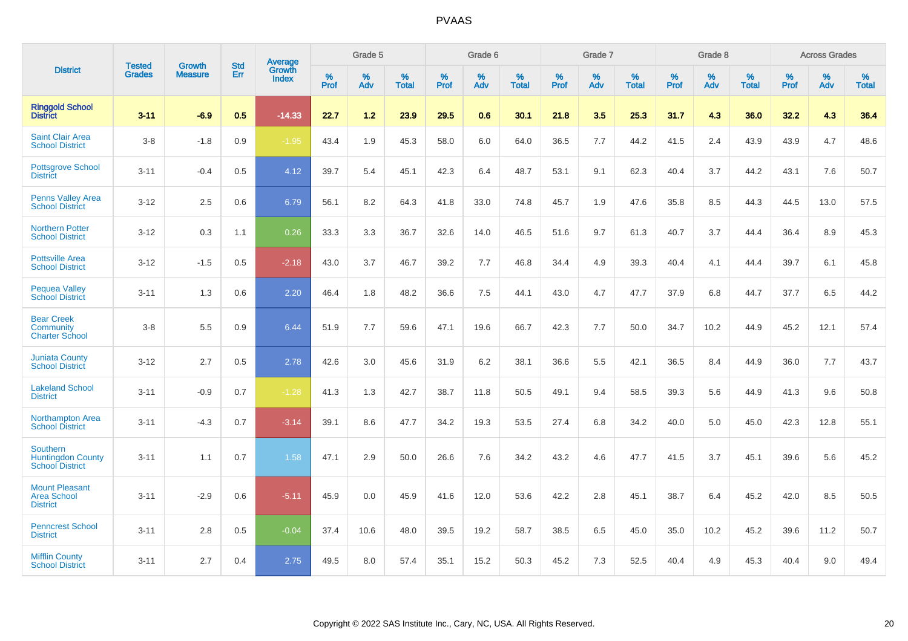|                                                                |                                |                                 | <b>Std</b> | Average                       |              | Grade 5  |                   |           | Grade 6  |                   |           | Grade 7  |                   |           | Grade 8  |                   |           | <b>Across Grades</b> |                   |
|----------------------------------------------------------------|--------------------------------|---------------------------------|------------|-------------------------------|--------------|----------|-------------------|-----------|----------|-------------------|-----------|----------|-------------------|-----------|----------|-------------------|-----------|----------------------|-------------------|
| <b>District</b>                                                | <b>Tested</b><br><b>Grades</b> | <b>Growth</b><br><b>Measure</b> | Err        | <b>Growth</b><br><b>Index</b> | $\%$<br>Prof | %<br>Adv | %<br><b>Total</b> | %<br>Prof | %<br>Adv | %<br><b>Total</b> | %<br>Prof | %<br>Adv | %<br><b>Total</b> | %<br>Prof | %<br>Adv | %<br><b>Total</b> | %<br>Prof | %<br>Adv             | %<br><b>Total</b> |
| <b>Ringgold School</b><br><b>District</b>                      | $3 - 11$                       | $-6.9$                          | 0.5        | $-14.33$                      | 22.7         | 1.2      | 23.9              | 29.5      | 0.6      | 30.1              | 21.8      | 3.5      | 25.3              | 31.7      | 4.3      | 36.0              | 32.2      | 4.3                  | 36.4              |
| <b>Saint Clair Area</b><br><b>School District</b>              | $3-8$                          | $-1.8$                          | 0.9        | $-1.95$                       | 43.4         | 1.9      | 45.3              | 58.0      | 6.0      | 64.0              | 36.5      | 7.7      | 44.2              | 41.5      | 2.4      | 43.9              | 43.9      | 4.7                  | 48.6              |
| <b>Pottsgrove School</b><br><b>District</b>                    | $3 - 11$                       | $-0.4$                          | 0.5        | 4.12                          | 39.7         | 5.4      | 45.1              | 42.3      | 6.4      | 48.7              | 53.1      | 9.1      | 62.3              | 40.4      | 3.7      | 44.2              | 43.1      | 7.6                  | 50.7              |
| <b>Penns Valley Area</b><br><b>School District</b>             | $3 - 12$                       | 2.5                             | 0.6        | 6.79                          | 56.1         | 8.2      | 64.3              | 41.8      | 33.0     | 74.8              | 45.7      | 1.9      | 47.6              | 35.8      | 8.5      | 44.3              | 44.5      | 13.0                 | 57.5              |
| <b>Northern Potter</b><br><b>School District</b>               | $3 - 12$                       | 0.3                             | 1.1        | 0.26                          | 33.3         | 3.3      | 36.7              | 32.6      | 14.0     | 46.5              | 51.6      | 9.7      | 61.3              | 40.7      | 3.7      | 44.4              | 36.4      | 8.9                  | 45.3              |
| <b>Pottsville Area</b><br><b>School District</b>               | $3 - 12$                       | $-1.5$                          | 0.5        | $-2.18$                       | 43.0         | 3.7      | 46.7              | 39.2      | 7.7      | 46.8              | 34.4      | 4.9      | 39.3              | 40.4      | 4.1      | 44.4              | 39.7      | 6.1                  | 45.8              |
| <b>Pequea Valley</b><br><b>School District</b>                 | $3 - 11$                       | 1.3                             | 0.6        | 2.20                          | 46.4         | 1.8      | 48.2              | 36.6      | 7.5      | 44.1              | 43.0      | 4.7      | 47.7              | 37.9      | 6.8      | 44.7              | 37.7      | 6.5                  | 44.2              |
| <b>Bear Creek</b><br>Community<br><b>Charter School</b>        | $3-8$                          | 5.5                             | 0.9        | 6.44                          | 51.9         | 7.7      | 59.6              | 47.1      | 19.6     | 66.7              | 42.3      | 7.7      | 50.0              | 34.7      | 10.2     | 44.9              | 45.2      | 12.1                 | 57.4              |
| <b>Juniata County</b><br><b>School District</b>                | $3 - 12$                       | 2.7                             | 0.5        | 2.78                          | 42.6         | 3.0      | 45.6              | 31.9      | 6.2      | 38.1              | 36.6      | 5.5      | 42.1              | 36.5      | 8.4      | 44.9              | 36.0      | 7.7                  | 43.7              |
| <b>Lakeland School</b><br><b>District</b>                      | $3 - 11$                       | $-0.9$                          | 0.7        | $-1.28$                       | 41.3         | 1.3      | 42.7              | 38.7      | 11.8     | 50.5              | 49.1      | 9.4      | 58.5              | 39.3      | 5.6      | 44.9              | 41.3      | 9.6                  | 50.8              |
| Northampton Area<br><b>School District</b>                     | $3 - 11$                       | $-4.3$                          | 0.7        | $-3.14$                       | 39.1         | 8.6      | 47.7              | 34.2      | 19.3     | 53.5              | 27.4      | $6.8\,$  | 34.2              | 40.0      | 5.0      | 45.0              | 42.3      | 12.8                 | 55.1              |
| Southern<br><b>Huntingdon County</b><br><b>School District</b> | $3 - 11$                       | 1.1                             | 0.7        | 1.58                          | 47.1         | 2.9      | 50.0              | 26.6      | 7.6      | 34.2              | 43.2      | 4.6      | 47.7              | 41.5      | 3.7      | 45.1              | 39.6      | 5.6                  | 45.2              |
| <b>Mount Pleasant</b><br><b>Area School</b><br><b>District</b> | $3 - 11$                       | $-2.9$                          | 0.6        | $-5.11$                       | 45.9         | 0.0      | 45.9              | 41.6      | 12.0     | 53.6              | 42.2      | 2.8      | 45.1              | 38.7      | 6.4      | 45.2              | 42.0      | 8.5                  | 50.5              |
| <b>Penncrest School</b><br><b>District</b>                     | $3 - 11$                       | 2.8                             | 0.5        | $-0.04$                       | 37.4         | 10.6     | 48.0              | 39.5      | 19.2     | 58.7              | 38.5      | 6.5      | 45.0              | 35.0      | 10.2     | 45.2              | 39.6      | 11.2                 | 50.7              |
| <b>Mifflin County</b><br><b>School District</b>                | $3 - 11$                       | 2.7                             | 0.4        | 2.75                          | 49.5         | 8.0      | 57.4              | 35.1      | 15.2     | 50.3              | 45.2      | 7.3      | 52.5              | 40.4      | 4.9      | 45.3              | 40.4      | 9.0                  | 49.4              |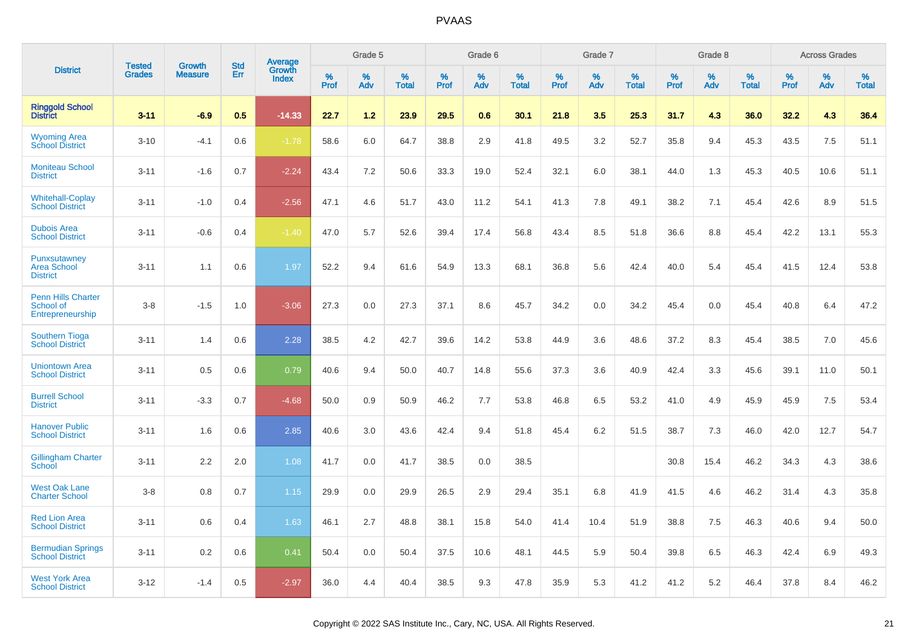|                                                            | <b>Tested</b> | <b>Growth</b>  | <b>Std</b> | Average                |              | Grade 5  |                   |              | Grade 6  |                      |              | Grade 7  |                   |              | Grade 8  |                   |              | <b>Across Grades</b> |                   |
|------------------------------------------------------------|---------------|----------------|------------|------------------------|--------------|----------|-------------------|--------------|----------|----------------------|--------------|----------|-------------------|--------------|----------|-------------------|--------------|----------------------|-------------------|
| <b>District</b>                                            | <b>Grades</b> | <b>Measure</b> | Err        | Growth<br><b>Index</b> | $\%$<br>Prof | %<br>Adv | %<br><b>Total</b> | $\%$<br>Prof | %<br>Adv | $\%$<br><b>Total</b> | $\%$<br>Prof | %<br>Adv | %<br><b>Total</b> | $\%$<br>Prof | %<br>Adv | %<br><b>Total</b> | $\%$<br>Prof | %<br>Adv             | %<br><b>Total</b> |
| <b>Ringgold School</b><br><b>District</b>                  | $3 - 11$      | $-6.9$         | 0.5        | $-14.33$               | 22.7         | 1.2      | 23.9              | 29.5         | 0.6      | 30.1                 | 21.8         | 3.5      | 25.3              | 31.7         | 4.3      | 36.0              | 32.2         | 4.3                  | 36.4              |
| <b>Wyoming Area</b><br><b>School District</b>              | $3 - 10$      | $-4.1$         | 0.6        | $-1.78$                | 58.6         | 6.0      | 64.7              | 38.8         | 2.9      | 41.8                 | 49.5         | 3.2      | 52.7              | 35.8         | 9.4      | 45.3              | 43.5         | 7.5                  | 51.1              |
| <b>Moniteau School</b><br><b>District</b>                  | $3 - 11$      | $-1.6$         | 0.7        | $-2.24$                | 43.4         | 7.2      | 50.6              | 33.3         | 19.0     | 52.4                 | 32.1         | 6.0      | 38.1              | 44.0         | 1.3      | 45.3              | 40.5         | 10.6                 | 51.1              |
| <b>Whitehall-Coplay</b><br><b>School District</b>          | $3 - 11$      | $-1.0$         | 0.4        | $-2.56$                | 47.1         | 4.6      | 51.7              | 43.0         | 11.2     | 54.1                 | 41.3         | 7.8      | 49.1              | 38.2         | 7.1      | 45.4              | 42.6         | 8.9                  | 51.5              |
| <b>Dubois Area</b><br><b>School District</b>               | $3 - 11$      | $-0.6$         | 0.4        | $-1.40$                | 47.0         | 5.7      | 52.6              | 39.4         | 17.4     | 56.8                 | 43.4         | 8.5      | 51.8              | 36.6         | 8.8      | 45.4              | 42.2         | 13.1                 | 55.3              |
| Punxsutawney<br>Area School<br><b>District</b>             | $3 - 11$      | 1.1            | 0.6        | 1.97                   | 52.2         | 9.4      | 61.6              | 54.9         | 13.3     | 68.1                 | 36.8         | 5.6      | 42.4              | 40.0         | 5.4      | 45.4              | 41.5         | 12.4                 | 53.8              |
| <b>Penn Hills Charter</b><br>School of<br>Entrepreneurship | $3 - 8$       | $-1.5$         | 1.0        | $-3.06$                | 27.3         | 0.0      | 27.3              | 37.1         | 8.6      | 45.7                 | 34.2         | 0.0      | 34.2              | 45.4         | 0.0      | 45.4              | 40.8         | 6.4                  | 47.2              |
| <b>Southern Tioga</b><br><b>School District</b>            | $3 - 11$      | 1.4            | 0.6        | 2.28                   | 38.5         | 4.2      | 42.7              | 39.6         | 14.2     | 53.8                 | 44.9         | 3.6      | 48.6              | 37.2         | 8.3      | 45.4              | 38.5         | 7.0                  | 45.6              |
| <b>Uniontown Area</b><br><b>School District</b>            | $3 - 11$      | 0.5            | 0.6        | 0.79                   | 40.6         | 9.4      | 50.0              | 40.7         | 14.8     | 55.6                 | 37.3         | 3.6      | 40.9              | 42.4         | 3.3      | 45.6              | 39.1         | 11.0                 | 50.1              |
| <b>Burrell School</b><br><b>District</b>                   | $3 - 11$      | $-3.3$         | 0.7        | $-4.68$                | 50.0         | 0.9      | 50.9              | 46.2         | 7.7      | 53.8                 | 46.8         | 6.5      | 53.2              | 41.0         | 4.9      | 45.9              | 45.9         | 7.5                  | 53.4              |
| <b>Hanover Public</b><br><b>School District</b>            | $3 - 11$      | 1.6            | 0.6        | 2.85                   | 40.6         | 3.0      | 43.6              | 42.4         | 9.4      | 51.8                 | 45.4         | 6.2      | 51.5              | 38.7         | 7.3      | 46.0              | 42.0         | 12.7                 | 54.7              |
| <b>Gillingham Charter</b><br>School                        | $3 - 11$      | 2.2            | 2.0        | 1.08                   | 41.7         | 0.0      | 41.7              | 38.5         | 0.0      | 38.5                 |              |          |                   | 30.8         | 15.4     | 46.2              | 34.3         | 4.3                  | 38.6              |
| <b>West Oak Lane</b><br><b>Charter School</b>              | $3 - 8$       | 0.8            | 0.7        | 1.15                   | 29.9         | 0.0      | 29.9              | 26.5         | 2.9      | 29.4                 | 35.1         | 6.8      | 41.9              | 41.5         | 4.6      | 46.2              | 31.4         | 4.3                  | 35.8              |
| <b>Red Lion Area</b><br><b>School District</b>             | $3 - 11$      | 0.6            | 0.4        | 1.63                   | 46.1         | 2.7      | 48.8              | 38.1         | 15.8     | 54.0                 | 41.4         | 10.4     | 51.9              | 38.8         | 7.5      | 46.3              | 40.6         | 9.4                  | 50.0              |
| <b>Bermudian Springs</b><br><b>School District</b>         | $3 - 11$      | 0.2            | 0.6        | 0.41                   | 50.4         | 0.0      | 50.4              | 37.5         | 10.6     | 48.1                 | 44.5         | 5.9      | 50.4              | 39.8         | 6.5      | 46.3              | 42.4         | 6.9                  | 49.3              |
| <b>West York Area</b><br><b>School District</b>            | $3 - 12$      | $-1.4$         | 0.5        | $-2.97$                | 36.0         | 4.4      | 40.4              | 38.5         | 9.3      | 47.8                 | 35.9         | 5.3      | 41.2              | 41.2         | 5.2      | 46.4              | 37.8         | 8.4                  | 46.2              |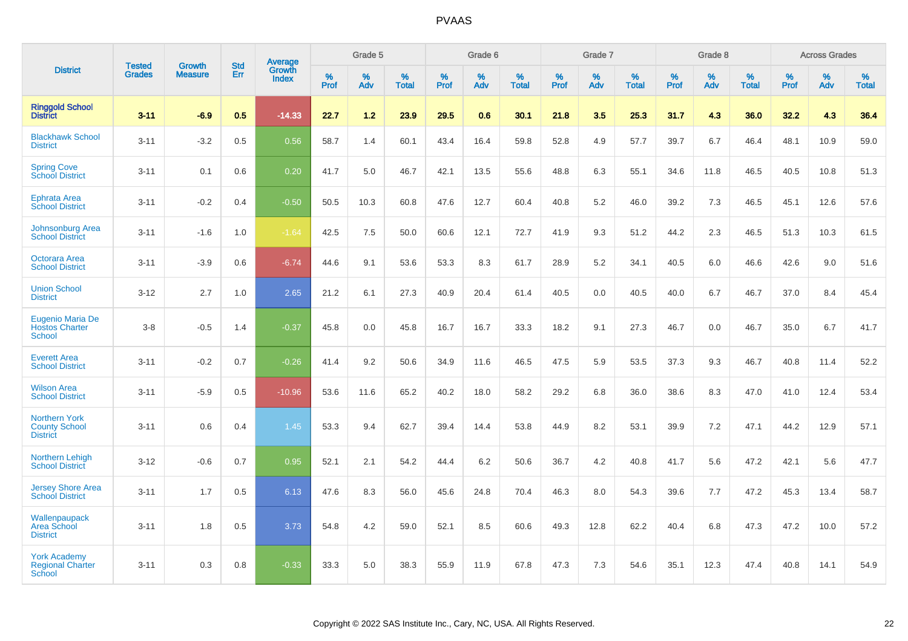|                                                                   |                                |                                 | <b>Std</b> | Average                |           | Grade 5  |                   |           | Grade 6  |                   |           | Grade 7  |                   |           | Grade 8  |                   |           | <b>Across Grades</b> |                   |
|-------------------------------------------------------------------|--------------------------------|---------------------------------|------------|------------------------|-----------|----------|-------------------|-----------|----------|-------------------|-----------|----------|-------------------|-----------|----------|-------------------|-----------|----------------------|-------------------|
| <b>District</b>                                                   | <b>Tested</b><br><b>Grades</b> | <b>Growth</b><br><b>Measure</b> | Err        | Growth<br><b>Index</b> | %<br>Prof | %<br>Adv | %<br><b>Total</b> | %<br>Prof | %<br>Adv | %<br><b>Total</b> | %<br>Prof | %<br>Adv | %<br><b>Total</b> | %<br>Prof | %<br>Adv | %<br><b>Total</b> | %<br>Prof | %<br>Adv             | %<br><b>Total</b> |
| <b>Ringgold School</b><br><b>District</b>                         | $3 - 11$                       | $-6.9$                          | 0.5        | $-14.33$               | 22.7      | 1.2      | 23.9              | 29.5      | 0.6      | 30.1              | 21.8      | 3.5      | 25.3              | 31.7      | 4.3      | 36.0              | 32.2      | 4.3                  | 36.4              |
| <b>Blackhawk School</b><br><b>District</b>                        | $3 - 11$                       | $-3.2$                          | 0.5        | 0.56                   | 58.7      | 1.4      | 60.1              | 43.4      | 16.4     | 59.8              | 52.8      | 4.9      | 57.7              | 39.7      | 6.7      | 46.4              | 48.1      | 10.9                 | 59.0              |
| <b>Spring Cove</b><br><b>School District</b>                      | $3 - 11$                       | 0.1                             | 0.6        | 0.20                   | 41.7      | 5.0      | 46.7              | 42.1      | 13.5     | 55.6              | 48.8      | 6.3      | 55.1              | 34.6      | 11.8     | 46.5              | 40.5      | 10.8                 | 51.3              |
| <b>Ephrata Area</b><br><b>School District</b>                     | $3 - 11$                       | $-0.2$                          | 0.4        | $-0.50$                | 50.5      | 10.3     | 60.8              | 47.6      | 12.7     | 60.4              | 40.8      | 5.2      | 46.0              | 39.2      | 7.3      | 46.5              | 45.1      | 12.6                 | 57.6              |
| Johnsonburg Area<br><b>School District</b>                        | $3 - 11$                       | $-1.6$                          | 1.0        | $-1.64$                | 42.5      | 7.5      | 50.0              | 60.6      | 12.1     | 72.7              | 41.9      | 9.3      | 51.2              | 44.2      | 2.3      | 46.5              | 51.3      | 10.3                 | 61.5              |
| Octorara Area<br><b>School District</b>                           | $3 - 11$                       | $-3.9$                          | 0.6        | $-6.74$                | 44.6      | 9.1      | 53.6              | 53.3      | 8.3      | 61.7              | 28.9      | 5.2      | 34.1              | 40.5      | 6.0      | 46.6              | 42.6      | 9.0                  | 51.6              |
| <b>Union School</b><br><b>District</b>                            | $3 - 12$                       | 2.7                             | 1.0        | 2.65                   | 21.2      | 6.1      | 27.3              | 40.9      | 20.4     | 61.4              | 40.5      | 0.0      | 40.5              | 40.0      | 6.7      | 46.7              | 37.0      | 8.4                  | 45.4              |
| <b>Eugenio Maria De</b><br><b>Hostos Charter</b><br><b>School</b> | $3 - 8$                        | $-0.5$                          | 1.4        | $-0.37$                | 45.8      | 0.0      | 45.8              | 16.7      | 16.7     | 33.3              | 18.2      | 9.1      | 27.3              | 46.7      | 0.0      | 46.7              | 35.0      | 6.7                  | 41.7              |
| <b>Everett Area</b><br><b>School District</b>                     | $3 - 11$                       | $-0.2$                          | 0.7        | $-0.26$                | 41.4      | 9.2      | 50.6              | 34.9      | 11.6     | 46.5              | 47.5      | 5.9      | 53.5              | 37.3      | 9.3      | 46.7              | 40.8      | 11.4                 | 52.2              |
| <b>Wilson Area</b><br><b>School District</b>                      | $3 - 11$                       | $-5.9$                          | 0.5        | $-10.96$               | 53.6      | 11.6     | 65.2              | 40.2      | 18.0     | 58.2              | 29.2      | 6.8      | 36.0              | 38.6      | 8.3      | 47.0              | 41.0      | 12.4                 | 53.4              |
| <b>Northern York</b><br><b>County School</b><br><b>District</b>   | $3 - 11$                       | 0.6                             | 0.4        | 1.45                   | 53.3      | 9.4      | 62.7              | 39.4      | 14.4     | 53.8              | 44.9      | 8.2      | 53.1              | 39.9      | 7.2      | 47.1              | 44.2      | 12.9                 | 57.1              |
| <b>Northern Lehigh</b><br><b>School District</b>                  | $3 - 12$                       | $-0.6$                          | 0.7        | 0.95                   | 52.1      | 2.1      | 54.2              | 44.4      | $6.2\,$  | 50.6              | 36.7      | 4.2      | 40.8              | 41.7      | 5.6      | 47.2              | 42.1      | 5.6                  | 47.7              |
| <b>Jersey Shore Area</b><br><b>School District</b>                | $3 - 11$                       | 1.7                             | 0.5        | 6.13                   | 47.6      | 8.3      | 56.0              | 45.6      | 24.8     | 70.4              | 46.3      | 8.0      | 54.3              | 39.6      | 7.7      | 47.2              | 45.3      | 13.4                 | 58.7              |
| Wallenpaupack<br>Area School<br><b>District</b>                   | $3 - 11$                       | 1.8                             | 0.5        | 3.73                   | 54.8      | 4.2      | 59.0              | 52.1      | 8.5      | 60.6              | 49.3      | 12.8     | 62.2              | 40.4      | 6.8      | 47.3              | 47.2      | 10.0                 | 57.2              |
| <b>York Academy</b><br><b>Regional Charter</b><br><b>School</b>   | $3 - 11$                       | 0.3                             | 0.8        | $-0.33$                | 33.3      | 5.0      | 38.3              | 55.9      | 11.9     | 67.8              | 47.3      | 7.3      | 54.6              | 35.1      | 12.3     | 47.4              | 40.8      | 14.1                 | 54.9              |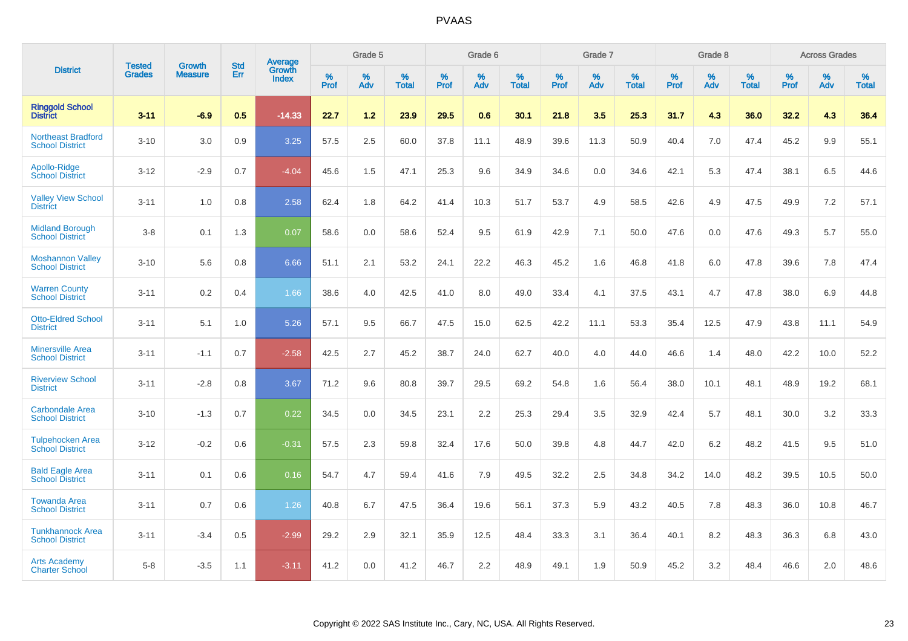|                                                     |                                |                                 | <b>Std</b> | Average         |           | Grade 5  |                   |           | Grade 6  |                   |           | Grade 7  |                      |           | Grade 8  |                   |           | <b>Across Grades</b> |                   |
|-----------------------------------------------------|--------------------------------|---------------------------------|------------|-----------------|-----------|----------|-------------------|-----------|----------|-------------------|-----------|----------|----------------------|-----------|----------|-------------------|-----------|----------------------|-------------------|
| <b>District</b>                                     | <b>Tested</b><br><b>Grades</b> | <b>Growth</b><br><b>Measure</b> | Err        | Growth<br>Index | %<br>Prof | %<br>Adv | %<br><b>Total</b> | %<br>Prof | %<br>Adv | %<br><b>Total</b> | %<br>Prof | %<br>Adv | $\%$<br><b>Total</b> | %<br>Prof | %<br>Adv | %<br><b>Total</b> | %<br>Prof | %<br>Adv             | %<br><b>Total</b> |
| <b>Ringgold School</b><br>District                  | $3 - 11$                       | $-6.9$                          | 0.5        | $-14.33$        | 22.7      | 1.2      | 23.9              | 29.5      | 0.6      | 30.1              | 21.8      | 3.5      | 25.3                 | 31.7      | 4.3      | 36.0              | 32.2      | 4.3                  | 36.4              |
| <b>Northeast Bradford</b><br><b>School District</b> | $3 - 10$                       | 3.0                             | 0.9        | 3.25            | 57.5      | 2.5      | 60.0              | 37.8      | 11.1     | 48.9              | 39.6      | 11.3     | 50.9                 | 40.4      | 7.0      | 47.4              | 45.2      | 9.9                  | 55.1              |
| Apollo-Ridge<br><b>School District</b>              | $3 - 12$                       | $-2.9$                          | 0.7        | $-4.04$         | 45.6      | 1.5      | 47.1              | 25.3      | 9.6      | 34.9              | 34.6      | 0.0      | 34.6                 | 42.1      | 5.3      | 47.4              | 38.1      | 6.5                  | 44.6              |
| <b>Valley View School</b><br><b>District</b>        | $3 - 11$                       | 1.0                             | 0.8        | 2.58            | 62.4      | 1.8      | 64.2              | 41.4      | 10.3     | 51.7              | 53.7      | 4.9      | 58.5                 | 42.6      | 4.9      | 47.5              | 49.9      | 7.2                  | 57.1              |
| <b>Midland Borough</b><br><b>School District</b>    | $3 - 8$                        | 0.1                             | 1.3        | 0.07            | 58.6      | 0.0      | 58.6              | 52.4      | 9.5      | 61.9              | 42.9      | 7.1      | 50.0                 | 47.6      | 0.0      | 47.6              | 49.3      | 5.7                  | 55.0              |
| <b>Moshannon Valley</b><br><b>School District</b>   | $3 - 10$                       | 5.6                             | 0.8        | 6.66            | 51.1      | 2.1      | 53.2              | 24.1      | 22.2     | 46.3              | 45.2      | 1.6      | 46.8                 | 41.8      | 6.0      | 47.8              | 39.6      | 7.8                  | 47.4              |
| <b>Warren County</b><br><b>School District</b>      | $3 - 11$                       | 0.2                             | 0.4        | 1.66            | 38.6      | 4.0      | 42.5              | 41.0      | 8.0      | 49.0              | 33.4      | 4.1      | 37.5                 | 43.1      | 4.7      | 47.8              | 38.0      | 6.9                  | 44.8              |
| <b>Otto-Eldred School</b><br><b>District</b>        | $3 - 11$                       | 5.1                             | 1.0        | 5.26            | 57.1      | 9.5      | 66.7              | 47.5      | 15.0     | 62.5              | 42.2      | 11.1     | 53.3                 | 35.4      | 12.5     | 47.9              | 43.8      | 11.1                 | 54.9              |
| <b>Minersville Area</b><br><b>School District</b>   | $3 - 11$                       | $-1.1$                          | 0.7        | $-2.58$         | 42.5      | 2.7      | 45.2              | 38.7      | 24.0     | 62.7              | 40.0      | 4.0      | 44.0                 | 46.6      | 1.4      | 48.0              | 42.2      | 10.0                 | 52.2              |
| <b>Riverview School</b><br><b>District</b>          | $3 - 11$                       | $-2.8$                          | 0.8        | 3.67            | 71.2      | 9.6      | 80.8              | 39.7      | 29.5     | 69.2              | 54.8      | 1.6      | 56.4                 | 38.0      | 10.1     | 48.1              | 48.9      | 19.2                 | 68.1              |
| <b>Carbondale Area</b><br><b>School District</b>    | $3 - 10$                       | $-1.3$                          | 0.7        | 0.22            | 34.5      | 0.0      | 34.5              | 23.1      | 2.2      | 25.3              | 29.4      | 3.5      | 32.9                 | 42.4      | 5.7      | 48.1              | 30.0      | 3.2                  | 33.3              |
| <b>Tulpehocken Area</b><br><b>School District</b>   | $3 - 12$                       | $-0.2$                          | 0.6        | $-0.31$         | 57.5      | 2.3      | 59.8              | 32.4      | 17.6     | 50.0              | 39.8      | 4.8      | 44.7                 | 42.0      | $6.2\,$  | 48.2              | 41.5      | 9.5                  | 51.0              |
| <b>Bald Eagle Area</b><br><b>School District</b>    | $3 - 11$                       | 0.1                             | 0.6        | 0.16            | 54.7      | 4.7      | 59.4              | 41.6      | 7.9      | 49.5              | 32.2      | 2.5      | 34.8                 | 34.2      | 14.0     | 48.2              | 39.5      | 10.5                 | 50.0              |
| <b>Towanda Area</b><br><b>School District</b>       | $3 - 11$                       | 0.7                             | 0.6        | 1.26            | 40.8      | 6.7      | 47.5              | 36.4      | 19.6     | 56.1              | 37.3      | 5.9      | 43.2                 | 40.5      | 7.8      | 48.3              | 36.0      | 10.8                 | 46.7              |
| <b>Tunkhannock Area</b><br><b>School District</b>   | $3 - 11$                       | $-3.4$                          | 0.5        | $-2.99$         | 29.2      | 2.9      | 32.1              | 35.9      | 12.5     | 48.4              | 33.3      | 3.1      | 36.4                 | 40.1      | 8.2      | 48.3              | 36.3      | 6.8                  | 43.0              |
| <b>Arts Academy</b><br><b>Charter School</b>        | $5 - 8$                        | $-3.5$                          | 1.1        | $-3.11$         | 41.2      | 0.0      | 41.2              | 46.7      | 2.2      | 48.9              | 49.1      | 1.9      | 50.9                 | 45.2      | 3.2      | 48.4              | 46.6      | 2.0                  | 48.6              |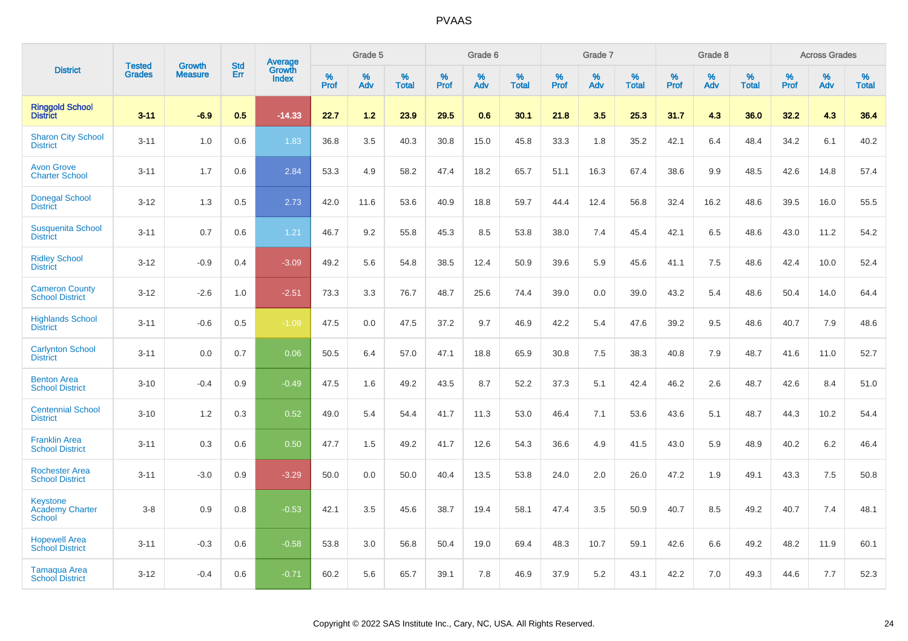|                                                     | <b>Tested</b> | <b>Growth</b>  | <b>Std</b> | <b>Average</b><br>Growth |              | Grade 5  |                      |              | Grade 6     |                      |              | Grade 7     |                   |              | Grade 8     |                   |              | <b>Across Grades</b> |                   |
|-----------------------------------------------------|---------------|----------------|------------|--------------------------|--------------|----------|----------------------|--------------|-------------|----------------------|--------------|-------------|-------------------|--------------|-------------|-------------------|--------------|----------------------|-------------------|
| <b>District</b>                                     | <b>Grades</b> | <b>Measure</b> | Err        | <b>Index</b>             | $\%$<br>Prof | %<br>Adv | $\%$<br><b>Total</b> | $\%$<br>Prof | $\%$<br>Adv | $\%$<br><b>Total</b> | $\%$<br>Prof | $\%$<br>Adv | %<br><b>Total</b> | $\%$<br>Prof | $\%$<br>Adv | %<br><b>Total</b> | $\%$<br>Prof | $\%$<br>Adv          | %<br><b>Total</b> |
| <b>Ringgold School</b><br><b>District</b>           | $3 - 11$      | $-6.9$         | 0.5        | $-14.33$                 | 22.7         | 1.2      | 23.9                 | 29.5         | 0.6         | 30.1                 | 21.8         | 3.5         | 25.3              | 31.7         | 4.3         | 36.0              | 32.2         | 4.3                  | 36.4              |
| <b>Sharon City School</b><br><b>District</b>        | $3 - 11$      | 1.0            | 0.6        | 1.83                     | 36.8         | 3.5      | 40.3                 | 30.8         | 15.0        | 45.8                 | 33.3         | 1.8         | 35.2              | 42.1         | 6.4         | 48.4              | 34.2         | 6.1                  | 40.2              |
| <b>Avon Grove</b><br><b>Charter School</b>          | $3 - 11$      | 1.7            | 0.6        | 2.84                     | 53.3         | 4.9      | 58.2                 | 47.4         | 18.2        | 65.7                 | 51.1         | 16.3        | 67.4              | 38.6         | 9.9         | 48.5              | 42.6         | 14.8                 | 57.4              |
| <b>Donegal School</b><br><b>District</b>            | $3 - 12$      | 1.3            | 0.5        | 2.73                     | 42.0         | 11.6     | 53.6                 | 40.9         | 18.8        | 59.7                 | 44.4         | 12.4        | 56.8              | 32.4         | 16.2        | 48.6              | 39.5         | 16.0                 | 55.5              |
| <b>Susquenita School</b><br><b>District</b>         | $3 - 11$      | 0.7            | 0.6        | 1.21                     | 46.7         | 9.2      | 55.8                 | 45.3         | 8.5         | 53.8                 | 38.0         | 7.4         | 45.4              | 42.1         | 6.5         | 48.6              | 43.0         | 11.2                 | 54.2              |
| <b>Ridley School</b><br><b>District</b>             | $3 - 12$      | $-0.9$         | 0.4        | $-3.09$                  | 49.2         | 5.6      | 54.8                 | 38.5         | 12.4        | 50.9                 | 39.6         | 5.9         | 45.6              | 41.1         | 7.5         | 48.6              | 42.4         | 10.0                 | 52.4              |
| <b>Cameron County</b><br><b>School District</b>     | $3 - 12$      | $-2.6$         | 1.0        | $-2.51$                  | 73.3         | 3.3      | 76.7                 | 48.7         | 25.6        | 74.4                 | 39.0         | 0.0         | 39.0              | 43.2         | 5.4         | 48.6              | 50.4         | 14.0                 | 64.4              |
| <b>Highlands School</b><br><b>District</b>          | $3 - 11$      | $-0.6$         | 0.5        | $-1.09$                  | 47.5         | 0.0      | 47.5                 | 37.2         | 9.7         | 46.9                 | 42.2         | 5.4         | 47.6              | 39.2         | 9.5         | 48.6              | 40.7         | 7.9                  | 48.6              |
| <b>Carlynton School</b><br><b>District</b>          | $3 - 11$      | 0.0            | 0.7        | 0.06                     | 50.5         | 6.4      | 57.0                 | 47.1         | 18.8        | 65.9                 | 30.8         | 7.5         | 38.3              | 40.8         | 7.9         | 48.7              | 41.6         | 11.0                 | 52.7              |
| <b>Benton Area</b><br><b>School District</b>        | $3 - 10$      | $-0.4$         | 0.9        | $-0.49$                  | 47.5         | 1.6      | 49.2                 | 43.5         | 8.7         | 52.2                 | 37.3         | 5.1         | 42.4              | 46.2         | 2.6         | 48.7              | 42.6         | 8.4                  | 51.0              |
| <b>Centennial School</b><br><b>District</b>         | $3 - 10$      | 1.2            | 0.3        | 0.52                     | 49.0         | 5.4      | 54.4                 | 41.7         | 11.3        | 53.0                 | 46.4         | 7.1         | 53.6              | 43.6         | 5.1         | 48.7              | 44.3         | 10.2                 | 54.4              |
| <b>Franklin Area</b><br><b>School District</b>      | $3 - 11$      | 0.3            | 0.6        | 0.50                     | 47.7         | 1.5      | 49.2                 | 41.7         | 12.6        | 54.3                 | 36.6         | 4.9         | 41.5              | 43.0         | 5.9         | 48.9              | 40.2         | 6.2                  | 46.4              |
| <b>Rochester Area</b><br><b>School District</b>     | $3 - 11$      | $-3.0$         | 0.9        | $-3.29$                  | 50.0         | 0.0      | 50.0                 | 40.4         | 13.5        | 53.8                 | 24.0         | 2.0         | 26.0              | 47.2         | 1.9         | 49.1              | 43.3         | 7.5                  | 50.8              |
| <b>Keystone</b><br><b>Academy Charter</b><br>School | $3 - 8$       | 0.9            | 0.8        | $-0.53$                  | 42.1         | 3.5      | 45.6                 | 38.7         | 19.4        | 58.1                 | 47.4         | 3.5         | 50.9              | 40.7         | 8.5         | 49.2              | 40.7         | 7.4                  | 48.1              |
| <b>Hopewell Area</b><br><b>School District</b>      | $3 - 11$      | $-0.3$         | 0.6        | $-0.58$                  | 53.8         | 3.0      | 56.8                 | 50.4         | 19.0        | 69.4                 | 48.3         | 10.7        | 59.1              | 42.6         | 6.6         | 49.2              | 48.2         | 11.9                 | 60.1              |
| <b>Tamaqua Area</b><br><b>School District</b>       | $3 - 12$      | $-0.4$         | 0.6        | $-0.71$                  | 60.2         | 5.6      | 65.7                 | 39.1         | 7.8         | 46.9                 | 37.9         | 5.2         | 43.1              | 42.2         | 7.0         | 49.3              | 44.6         | 7.7                  | 52.3              |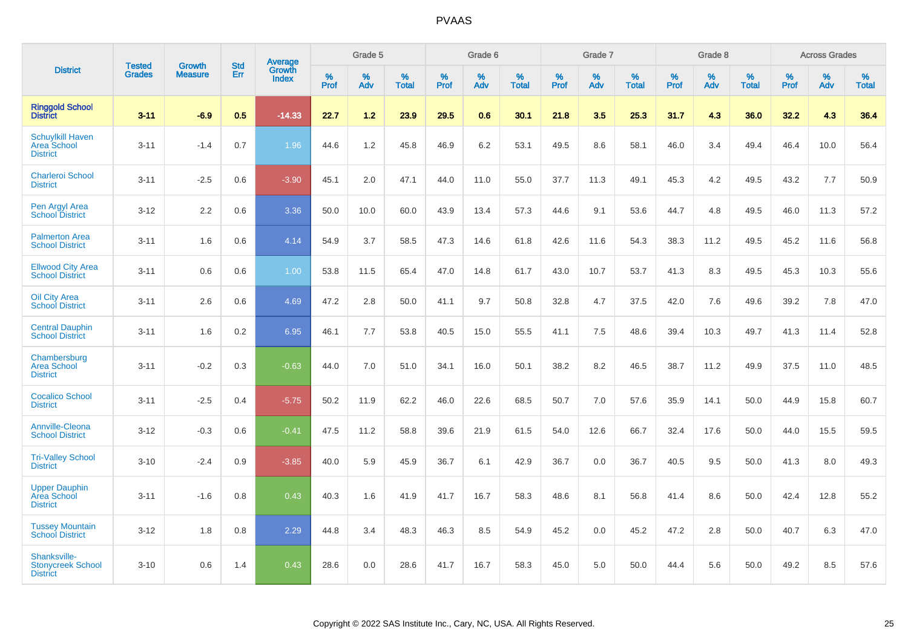|                                                                  |                                |                                 | <b>Std</b> | Average         |           | Grade 5  |                   |           | Grade 6  |                   |           | Grade 7  |                      |           | Grade 8  |                   |              | <b>Across Grades</b> |                   |
|------------------------------------------------------------------|--------------------------------|---------------------------------|------------|-----------------|-----------|----------|-------------------|-----------|----------|-------------------|-----------|----------|----------------------|-----------|----------|-------------------|--------------|----------------------|-------------------|
| <b>District</b>                                                  | <b>Tested</b><br><b>Grades</b> | <b>Growth</b><br><b>Measure</b> | Err        | Growth<br>Index | %<br>Prof | %<br>Adv | %<br><b>Total</b> | %<br>Prof | %<br>Adv | %<br><b>Total</b> | %<br>Prof | %<br>Adv | $\%$<br><b>Total</b> | %<br>Prof | %<br>Adv | %<br><b>Total</b> | $\%$<br>Prof | %<br>Adv             | %<br><b>Total</b> |
| <b>Ringgold School</b><br><b>District</b>                        | $3 - 11$                       | $-6.9$                          | 0.5        | $-14.33$        | 22.7      | 1.2      | 23.9              | 29.5      | 0.6      | 30.1              | 21.8      | 3.5      | 25.3                 | 31.7      | 4.3      | 36.0              | 32.2         | 4.3                  | 36.4              |
| <b>Schuylkill Haven</b><br><b>Area School</b><br><b>District</b> | $3 - 11$                       | $-1.4$                          | 0.7        | 1.96            | 44.6      | 1.2      | 45.8              | 46.9      | 6.2      | 53.1              | 49.5      | 8.6      | 58.1                 | 46.0      | 3.4      | 49.4              | 46.4         | 10.0                 | 56.4              |
| <b>Charleroi School</b><br><b>District</b>                       | $3 - 11$                       | $-2.5$                          | 0.6        | $-3.90$         | 45.1      | 2.0      | 47.1              | 44.0      | 11.0     | 55.0              | 37.7      | 11.3     | 49.1                 | 45.3      | 4.2      | 49.5              | 43.2         | 7.7                  | 50.9              |
| Pen Argyl Area<br><b>School District</b>                         | $3 - 12$                       | 2.2                             | 0.6        | 3.36            | 50.0      | 10.0     | 60.0              | 43.9      | 13.4     | 57.3              | 44.6      | 9.1      | 53.6                 | 44.7      | 4.8      | 49.5              | 46.0         | 11.3                 | 57.2              |
| <b>Palmerton Area</b><br><b>School District</b>                  | $3 - 11$                       | 1.6                             | 0.6        | 4.14            | 54.9      | 3.7      | 58.5              | 47.3      | 14.6     | 61.8              | 42.6      | 11.6     | 54.3                 | 38.3      | 11.2     | 49.5              | 45.2         | 11.6                 | 56.8              |
| <b>Ellwood City Area</b><br><b>School District</b>               | $3 - 11$                       | 0.6                             | 0.6        | 1.00            | 53.8      | 11.5     | 65.4              | 47.0      | 14.8     | 61.7              | 43.0      | 10.7     | 53.7                 | 41.3      | 8.3      | 49.5              | 45.3         | 10.3                 | 55.6              |
| <b>Oil City Area</b><br><b>School District</b>                   | $3 - 11$                       | 2.6                             | 0.6        | 4.69            | 47.2      | 2.8      | 50.0              | 41.1      | 9.7      | 50.8              | 32.8      | 4.7      | 37.5                 | 42.0      | 7.6      | 49.6              | 39.2         | 7.8                  | 47.0              |
| <b>Central Dauphin</b><br><b>School District</b>                 | $3 - 11$                       | 1.6                             | 0.2        | 6.95            | 46.1      | 7.7      | 53.8              | 40.5      | 15.0     | 55.5              | 41.1      | 7.5      | 48.6                 | 39.4      | 10.3     | 49.7              | 41.3         | 11.4                 | 52.8              |
| Chambersburg<br><b>Area School</b><br><b>District</b>            | $3 - 11$                       | $-0.2$                          | 0.3        | $-0.63$         | 44.0      | 7.0      | 51.0              | 34.1      | 16.0     | 50.1              | 38.2      | 8.2      | 46.5                 | 38.7      | 11.2     | 49.9              | 37.5         | 11.0                 | 48.5              |
| <b>Cocalico School</b><br><b>District</b>                        | $3 - 11$                       | $-2.5$                          | 0.4        | $-5.75$         | 50.2      | 11.9     | 62.2              | 46.0      | 22.6     | 68.5              | 50.7      | 7.0      | 57.6                 | 35.9      | 14.1     | 50.0              | 44.9         | 15.8                 | 60.7              |
| <b>Annville-Cleona</b><br><b>School District</b>                 | $3 - 12$                       | $-0.3$                          | 0.6        | $-0.41$         | 47.5      | 11.2     | 58.8              | 39.6      | 21.9     | 61.5              | 54.0      | 12.6     | 66.7                 | 32.4      | 17.6     | 50.0              | 44.0         | 15.5                 | 59.5              |
| <b>Tri-Valley School</b><br><b>District</b>                      | $3 - 10$                       | $-2.4$                          | 0.9        | $-3.85$         | 40.0      | 5.9      | 45.9              | 36.7      | 6.1      | 42.9              | 36.7      | 0.0      | 36.7                 | 40.5      | 9.5      | 50.0              | 41.3         | 8.0                  | 49.3              |
| <b>Upper Dauphin</b><br>Area School<br><b>District</b>           | $3 - 11$                       | $-1.6$                          | 0.8        | 0.43            | 40.3      | 1.6      | 41.9              | 41.7      | 16.7     | 58.3              | 48.6      | 8.1      | 56.8                 | 41.4      | 8.6      | 50.0              | 42.4         | 12.8                 | 55.2              |
| <b>Tussev Mountain</b><br><b>School District</b>                 | $3 - 12$                       | 1.8                             | 0.8        | 2.29            | 44.8      | 3.4      | 48.3              | 46.3      | 8.5      | 54.9              | 45.2      | 0.0      | 45.2                 | 47.2      | 2.8      | 50.0              | 40.7         | 6.3                  | 47.0              |
| Shanksville-<br><b>Stonycreek School</b><br><b>District</b>      | $3 - 10$                       | 0.6                             | 1.4        | 0.43            | 28.6      | 0.0      | 28.6              | 41.7      | 16.7     | 58.3              | 45.0      | 5.0      | 50.0                 | 44.4      | 5.6      | 50.0              | 49.2         | 8.5                  | 57.6              |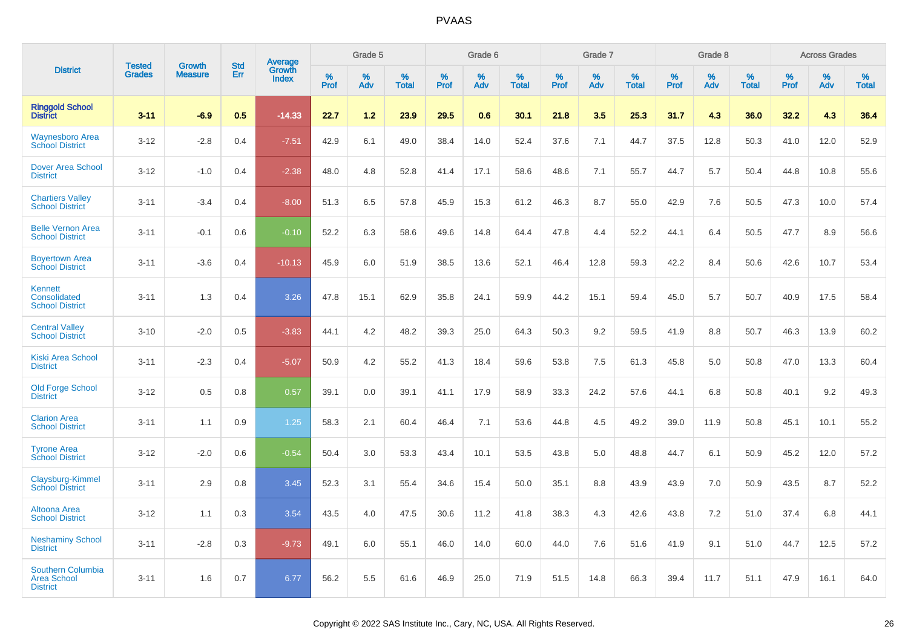|                                                            |                                |                                 | <b>Std</b> | Average                |              | Grade 5  |                      |              | Grade 6  |                      |              | Grade 7  |                      |              | Grade 8     |                      |                     | <b>Across Grades</b> |                      |
|------------------------------------------------------------|--------------------------------|---------------------------------|------------|------------------------|--------------|----------|----------------------|--------------|----------|----------------------|--------------|----------|----------------------|--------------|-------------|----------------------|---------------------|----------------------|----------------------|
| <b>District</b>                                            | <b>Tested</b><br><b>Grades</b> | <b>Growth</b><br><b>Measure</b> | Err        | Growth<br><b>Index</b> | $\%$<br>Prof | %<br>Adv | $\%$<br><b>Total</b> | $\%$<br>Prof | %<br>Adv | $\%$<br><b>Total</b> | $\%$<br>Prof | %<br>Adv | $\%$<br><b>Total</b> | $\%$<br>Prof | $\%$<br>Adv | $\%$<br><b>Total</b> | $\%$<br><b>Prof</b> | $\%$<br>Adv          | $\%$<br><b>Total</b> |
| <b>Ringgold School</b><br><b>District</b>                  | $3 - 11$                       | $-6.9$                          | 0.5        | $-14.33$               | 22.7         | 1.2      | 23.9                 | 29.5         | 0.6      | 30.1                 | 21.8         | 3.5      | 25.3                 | 31.7         | 4.3         | 36.0                 | 32.2                | 4.3                  | 36.4                 |
| <b>Waynesboro Area</b><br><b>School District</b>           | $3 - 12$                       | $-2.8$                          | 0.4        | $-7.51$                | 42.9         | 6.1      | 49.0                 | 38.4         | 14.0     | 52.4                 | 37.6         | 7.1      | 44.7                 | 37.5         | 12.8        | 50.3                 | 41.0                | 12.0                 | 52.9                 |
| <b>Dover Area School</b><br><b>District</b>                | $3 - 12$                       | $-1.0$                          | 0.4        | $-2.38$                | 48.0         | 4.8      | 52.8                 | 41.4         | 17.1     | 58.6                 | 48.6         | 7.1      | 55.7                 | 44.7         | 5.7         | 50.4                 | 44.8                | 10.8                 | 55.6                 |
| <b>Chartiers Valley</b><br><b>School District</b>          | $3 - 11$                       | $-3.4$                          | 0.4        | $-8.00$                | 51.3         | 6.5      | 57.8                 | 45.9         | 15.3     | 61.2                 | 46.3         | 8.7      | 55.0                 | 42.9         | 7.6         | 50.5                 | 47.3                | 10.0                 | 57.4                 |
| <b>Belle Vernon Area</b><br><b>School District</b>         | $3 - 11$                       | $-0.1$                          | 0.6        | $-0.10$                | 52.2         | 6.3      | 58.6                 | 49.6         | 14.8     | 64.4                 | 47.8         | 4.4      | 52.2                 | 44.1         | 6.4         | 50.5                 | 47.7                | 8.9                  | 56.6                 |
| <b>Boyertown Area</b><br><b>School District</b>            | $3 - 11$                       | $-3.6$                          | 0.4        | $-10.13$               | 45.9         | 6.0      | 51.9                 | 38.5         | 13.6     | 52.1                 | 46.4         | 12.8     | 59.3                 | 42.2         | 8.4         | 50.6                 | 42.6                | 10.7                 | 53.4                 |
| Kennett<br>Consolidated<br><b>School District</b>          | $3 - 11$                       | 1.3                             | 0.4        | 3.26                   | 47.8         | 15.1     | 62.9                 | 35.8         | 24.1     | 59.9                 | 44.2         | 15.1     | 59.4                 | 45.0         | 5.7         | 50.7                 | 40.9                | 17.5                 | 58.4                 |
| <b>Central Valley</b><br><b>School District</b>            | $3 - 10$                       | $-2.0$                          | 0.5        | $-3.83$                | 44.1         | 4.2      | 48.2                 | 39.3         | 25.0     | 64.3                 | 50.3         | 9.2      | 59.5                 | 41.9         | 8.8         | 50.7                 | 46.3                | 13.9                 | 60.2                 |
| <b>Kiski Area School</b><br><b>District</b>                | $3 - 11$                       | $-2.3$                          | 0.4        | $-5.07$                | 50.9         | 4.2      | 55.2                 | 41.3         | 18.4     | 59.6                 | 53.8         | 7.5      | 61.3                 | 45.8         | 5.0         | 50.8                 | 47.0                | 13.3                 | 60.4                 |
| <b>Old Forge School</b><br><b>District</b>                 | $3 - 12$                       | 0.5                             | 0.8        | 0.57                   | 39.1         | 0.0      | 39.1                 | 41.1         | 17.9     | 58.9                 | 33.3         | 24.2     | 57.6                 | 44.1         | 6.8         | 50.8                 | 40.1                | 9.2                  | 49.3                 |
| <b>Clarion Area</b><br><b>School District</b>              | $3 - 11$                       | 1.1                             | 0.9        | 1.25                   | 58.3         | 2.1      | 60.4                 | 46.4         | 7.1      | 53.6                 | 44.8         | 4.5      | 49.2                 | 39.0         | 11.9        | 50.8                 | 45.1                | 10.1                 | 55.2                 |
| <b>Tyrone Area</b><br><b>School District</b>               | $3 - 12$                       | $-2.0$                          | 0.6        | $-0.54$                | 50.4         | 3.0      | 53.3                 | 43.4         | 10.1     | 53.5                 | 43.8         | 5.0      | 48.8                 | 44.7         | 6.1         | 50.9                 | 45.2                | 12.0                 | 57.2                 |
| Claysburg-Kimmel<br><b>School District</b>                 | $3 - 11$                       | 2.9                             | 0.8        | 3.45                   | 52.3         | 3.1      | 55.4                 | 34.6         | 15.4     | 50.0                 | 35.1         | 8.8      | 43.9                 | 43.9         | 7.0         | 50.9                 | 43.5                | 8.7                  | 52.2                 |
| Altoona Area<br><b>School District</b>                     | $3 - 12$                       | 1.1                             | 0.3        | 3.54                   | 43.5         | 4.0      | 47.5                 | 30.6         | 11.2     | 41.8                 | 38.3         | 4.3      | 42.6                 | 43.8         | 7.2         | 51.0                 | 37.4                | 6.8                  | 44.1                 |
| <b>Neshaminy School</b><br><b>District</b>                 | $3 - 11$                       | $-2.8$                          | 0.3        | $-9.73$                | 49.1         | 6.0      | 55.1                 | 46.0         | 14.0     | 60.0                 | 44.0         | 7.6      | 51.6                 | 41.9         | 9.1         | 51.0                 | 44.7                | 12.5                 | 57.2                 |
| Southern Columbia<br><b>Area School</b><br><b>District</b> | $3 - 11$                       | 1.6                             | 0.7        | 6.77                   | 56.2         | 5.5      | 61.6                 | 46.9         | 25.0     | 71.9                 | 51.5         | 14.8     | 66.3                 | 39.4         | 11.7        | 51.1                 | 47.9                | 16.1                 | 64.0                 |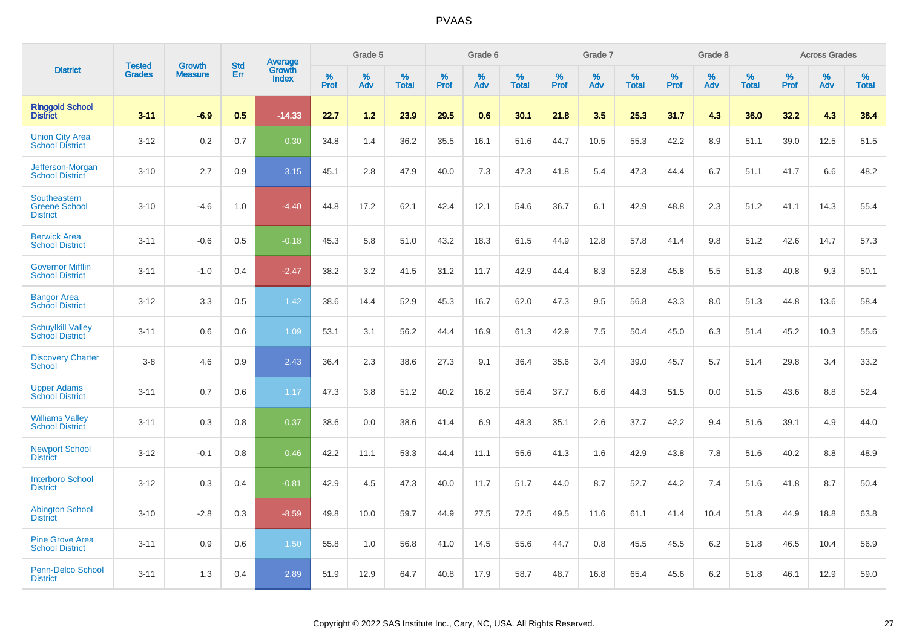|                                                         |                                |                                 | <b>Std</b> | Average                |           | Grade 5  |                   |           | Grade 6  |                   |           | Grade 7  |                   |           | Grade 8  |                   |           | <b>Across Grades</b> |                   |
|---------------------------------------------------------|--------------------------------|---------------------------------|------------|------------------------|-----------|----------|-------------------|-----------|----------|-------------------|-----------|----------|-------------------|-----------|----------|-------------------|-----------|----------------------|-------------------|
| <b>District</b>                                         | <b>Tested</b><br><b>Grades</b> | <b>Growth</b><br><b>Measure</b> | Err        | Growth<br><b>Index</b> | %<br>Prof | %<br>Adv | %<br><b>Total</b> | %<br>Prof | %<br>Adv | %<br><b>Total</b> | %<br>Prof | %<br>Adv | %<br><b>Total</b> | %<br>Prof | %<br>Adv | %<br><b>Total</b> | %<br>Prof | %<br>Adv             | %<br><b>Total</b> |
| <b>Ringgold School</b><br><b>District</b>               | $3 - 11$                       | $-6.9$                          | 0.5        | $-14.33$               | 22.7      | 1.2      | 23.9              | 29.5      | 0.6      | 30.1              | 21.8      | 3.5      | 25.3              | 31.7      | 4.3      | 36.0              | 32.2      | 4.3                  | 36.4              |
| <b>Union City Area</b><br><b>School District</b>        | $3 - 12$                       | 0.2                             | 0.7        | 0.30                   | 34.8      | 1.4      | 36.2              | 35.5      | 16.1     | 51.6              | 44.7      | 10.5     | 55.3              | 42.2      | 8.9      | 51.1              | 39.0      | 12.5                 | 51.5              |
| Jefferson-Morgan<br><b>School District</b>              | $3 - 10$                       | 2.7                             | 0.9        | 3.15                   | 45.1      | 2.8      | 47.9              | 40.0      | 7.3      | 47.3              | 41.8      | 5.4      | 47.3              | 44.4      | 6.7      | 51.1              | 41.7      | 6.6                  | 48.2              |
| Southeastern<br><b>Greene School</b><br><b>District</b> | $3 - 10$                       | $-4.6$                          | 1.0        | $-4.40$                | 44.8      | 17.2     | 62.1              | 42.4      | 12.1     | 54.6              | 36.7      | 6.1      | 42.9              | 48.8      | 2.3      | 51.2              | 41.1      | 14.3                 | 55.4              |
| <b>Berwick Area</b><br><b>School District</b>           | $3 - 11$                       | $-0.6$                          | 0.5        | $-0.18$                | 45.3      | 5.8      | 51.0              | 43.2      | 18.3     | 61.5              | 44.9      | 12.8     | 57.8              | 41.4      | 9.8      | 51.2              | 42.6      | 14.7                 | 57.3              |
| <b>Governor Mifflin</b><br><b>School District</b>       | $3 - 11$                       | $-1.0$                          | 0.4        | $-2.47$                | 38.2      | 3.2      | 41.5              | 31.2      | 11.7     | 42.9              | 44.4      | 8.3      | 52.8              | 45.8      | 5.5      | 51.3              | 40.8      | 9.3                  | 50.1              |
| <b>Bangor Area</b><br><b>School District</b>            | $3 - 12$                       | 3.3                             | 0.5        | 1.42                   | 38.6      | 14.4     | 52.9              | 45.3      | 16.7     | 62.0              | 47.3      | 9.5      | 56.8              | 43.3      | 8.0      | 51.3              | 44.8      | 13.6                 | 58.4              |
| <b>Schuylkill Valley</b><br><b>School District</b>      | $3 - 11$                       | 0.6                             | 0.6        | 1.09                   | 53.1      | 3.1      | 56.2              | 44.4      | 16.9     | 61.3              | 42.9      | 7.5      | 50.4              | 45.0      | 6.3      | 51.4              | 45.2      | 10.3                 | 55.6              |
| <b>Discovery Charter</b><br><b>School</b>               | $3-8$                          | 4.6                             | 0.9        | 2.43                   | 36.4      | 2.3      | 38.6              | 27.3      | 9.1      | 36.4              | 35.6      | 3.4      | 39.0              | 45.7      | 5.7      | 51.4              | 29.8      | 3.4                  | 33.2              |
| <b>Upper Adams</b><br><b>School District</b>            | $3 - 11$                       | 0.7                             | 0.6        | 1.17                   | 47.3      | 3.8      | 51.2              | 40.2      | 16.2     | 56.4              | 37.7      | 6.6      | 44.3              | 51.5      | 0.0      | 51.5              | 43.6      | 8.8                  | 52.4              |
| <b>Williams Valley</b><br><b>School District</b>        | $3 - 11$                       | 0.3                             | 0.8        | 0.37                   | 38.6      | 0.0      | 38.6              | 41.4      | 6.9      | 48.3              | 35.1      | 2.6      | 37.7              | 42.2      | 9.4      | 51.6              | 39.1      | 4.9                  | 44.0              |
| <b>Newport School</b><br><b>District</b>                | $3 - 12$                       | $-0.1$                          | 0.8        | 0.46                   | 42.2      | 11.1     | 53.3              | 44.4      | 11.1     | 55.6              | 41.3      | 1.6      | 42.9              | 43.8      | 7.8      | 51.6              | 40.2      | 8.8                  | 48.9              |
| <b>Interboro School</b><br><b>District</b>              | $3 - 12$                       | 0.3                             | 0.4        | $-0.81$                | 42.9      | 4.5      | 47.3              | 40.0      | 11.7     | 51.7              | 44.0      | 8.7      | 52.7              | 44.2      | 7.4      | 51.6              | 41.8      | 8.7                  | 50.4              |
| <b>Abington School</b><br><b>District</b>               | $3 - 10$                       | $-2.8$                          | 0.3        | $-8.59$                | 49.8      | 10.0     | 59.7              | 44.9      | 27.5     | 72.5              | 49.5      | 11.6     | 61.1              | 41.4      | 10.4     | 51.8              | 44.9      | 18.8                 | 63.8              |
| <b>Pine Grove Area</b><br><b>School District</b>        | $3 - 11$                       | 0.9                             | 0.6        | 1.50                   | 55.8      | 1.0      | 56.8              | 41.0      | 14.5     | 55.6              | 44.7      | 0.8      | 45.5              | 45.5      | 6.2      | 51.8              | 46.5      | 10.4                 | 56.9              |
| <b>Penn-Delco School</b><br><b>District</b>             | $3 - 11$                       | 1.3                             | 0.4        | 2.89                   | 51.9      | 12.9     | 64.7              | 40.8      | 17.9     | 58.7              | 48.7      | 16.8     | 65.4              | 45.6      | 6.2      | 51.8              | 46.1      | 12.9                 | 59.0              |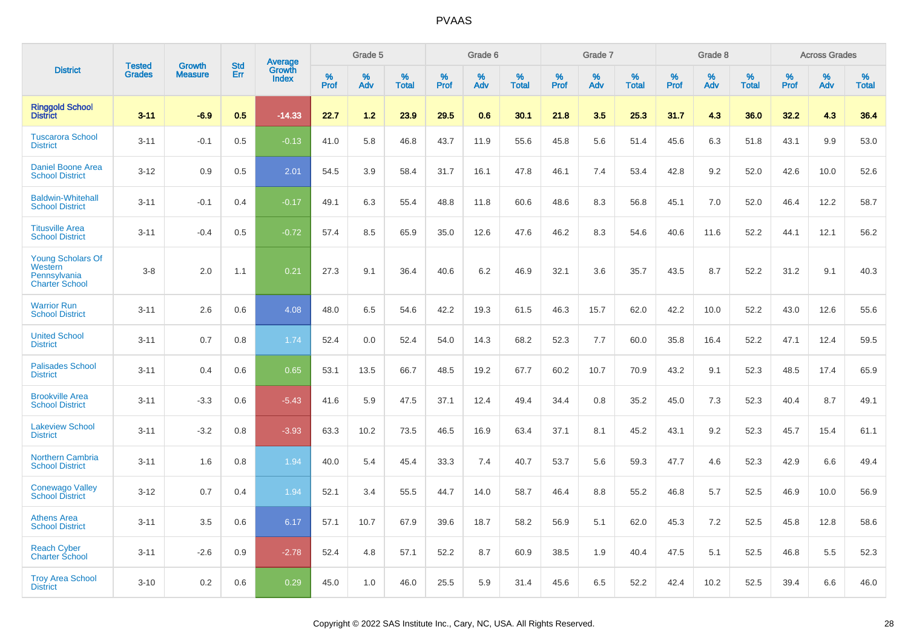|                                                                       | <b>Tested</b> | <b>Growth</b>  | <b>Std</b> | Average                |              | Grade 5  |                   |              | Grade 6  |                   |              | Grade 7  |                   |           | Grade 8  |                   |           | <b>Across Grades</b> |                   |
|-----------------------------------------------------------------------|---------------|----------------|------------|------------------------|--------------|----------|-------------------|--------------|----------|-------------------|--------------|----------|-------------------|-----------|----------|-------------------|-----------|----------------------|-------------------|
| <b>District</b>                                                       | <b>Grades</b> | <b>Measure</b> | Err        | Growth<br><b>Index</b> | $\%$<br>Prof | %<br>Adv | %<br><b>Total</b> | $\%$<br>Prof | %<br>Adv | %<br><b>Total</b> | $\%$<br>Prof | %<br>Adv | %<br><b>Total</b> | %<br>Prof | %<br>Adv | %<br><b>Total</b> | %<br>Prof | $\%$<br>Adv          | %<br><b>Total</b> |
| <b>Ringgold School</b><br>District                                    | $3 - 11$      | $-6.9$         | 0.5        | $-14.33$               | 22.7         | 1.2      | 23.9              | 29.5         | 0.6      | 30.1              | 21.8         | 3.5      | 25.3              | 31.7      | 4.3      | 36.0              | 32.2      | 4.3                  | 36.4              |
| <b>Tuscarora School</b><br><b>District</b>                            | $3 - 11$      | $-0.1$         | 0.5        | $-0.13$                | 41.0         | 5.8      | 46.8              | 43.7         | 11.9     | 55.6              | 45.8         | 5.6      | 51.4              | 45.6      | 6.3      | 51.8              | 43.1      | 9.9                  | 53.0              |
| <b>Daniel Boone Area</b><br><b>School District</b>                    | $3 - 12$      | 0.9            | 0.5        | 2.01                   | 54.5         | 3.9      | 58.4              | 31.7         | 16.1     | 47.8              | 46.1         | 7.4      | 53.4              | 42.8      | 9.2      | 52.0              | 42.6      | 10.0                 | 52.6              |
| <b>Baldwin-Whitehall</b><br><b>School District</b>                    | $3 - 11$      | $-0.1$         | 0.4        | $-0.17$                | 49.1         | 6.3      | 55.4              | 48.8         | 11.8     | 60.6              | 48.6         | 8.3      | 56.8              | 45.1      | 7.0      | 52.0              | 46.4      | 12.2                 | 58.7              |
| <b>Titusville Area</b><br><b>School District</b>                      | $3 - 11$      | $-0.4$         | 0.5        | $-0.72$                | 57.4         | 8.5      | 65.9              | 35.0         | 12.6     | 47.6              | 46.2         | 8.3      | 54.6              | 40.6      | 11.6     | 52.2              | 44.1      | 12.1                 | 56.2              |
| <b>Young Scholars Of</b><br>Western<br>Pennsylvania<br>Charter School | $3 - 8$       | 2.0            | 1.1        | 0.21                   | 27.3         | 9.1      | 36.4              | 40.6         | 6.2      | 46.9              | 32.1         | 3.6      | 35.7              | 43.5      | 8.7      | 52.2              | 31.2      | 9.1                  | 40.3              |
| <b>Warrior Run</b><br><b>School District</b>                          | $3 - 11$      | 2.6            | 0.6        | 4.08                   | 48.0         | 6.5      | 54.6              | 42.2         | 19.3     | 61.5              | 46.3         | 15.7     | 62.0              | 42.2      | 10.0     | 52.2              | 43.0      | 12.6                 | 55.6              |
| <b>United School</b><br><b>District</b>                               | $3 - 11$      | 0.7            | 0.8        | 1.74                   | 52.4         | 0.0      | 52.4              | 54.0         | 14.3     | 68.2              | 52.3         | 7.7      | 60.0              | 35.8      | 16.4     | 52.2              | 47.1      | 12.4                 | 59.5              |
| <b>Palisades School</b><br><b>District</b>                            | $3 - 11$      | 0.4            | 0.6        | 0.65                   | 53.1         | 13.5     | 66.7              | 48.5         | 19.2     | 67.7              | 60.2         | 10.7     | 70.9              | 43.2      | 9.1      | 52.3              | 48.5      | 17.4                 | 65.9              |
| <b>Brookville Area</b><br><b>School District</b>                      | $3 - 11$      | $-3.3$         | 0.6        | $-5.43$                | 41.6         | 5.9      | 47.5              | 37.1         | 12.4     | 49.4              | 34.4         | 0.8      | 35.2              | 45.0      | 7.3      | 52.3              | 40.4      | 8.7                  | 49.1              |
| <b>Lakeview School</b><br><b>District</b>                             | $3 - 11$      | $-3.2$         | 0.8        | $-3.93$                | 63.3         | 10.2     | 73.5              | 46.5         | 16.9     | 63.4              | 37.1         | 8.1      | 45.2              | 43.1      | 9.2      | 52.3              | 45.7      | 15.4                 | 61.1              |
| <b>Northern Cambria</b><br><b>School District</b>                     | $3 - 11$      | 1.6            | 0.8        | 1.94                   | 40.0         | 5.4      | 45.4              | 33.3         | 7.4      | 40.7              | 53.7         | 5.6      | 59.3              | 47.7      | 4.6      | 52.3              | 42.9      | 6.6                  | 49.4              |
| <b>Conewago Valley</b><br><b>School District</b>                      | $3 - 12$      | 0.7            | 0.4        | 1.94                   | 52.1         | 3.4      | 55.5              | 44.7         | 14.0     | 58.7              | 46.4         | 8.8      | 55.2              | 46.8      | 5.7      | 52.5              | 46.9      | 10.0                 | 56.9              |
| <b>Athens Area</b><br><b>School District</b>                          | $3 - 11$      | 3.5            | 0.6        | 6.17                   | 57.1         | 10.7     | 67.9              | 39.6         | 18.7     | 58.2              | 56.9         | 5.1      | 62.0              | 45.3      | 7.2      | 52.5              | 45.8      | 12.8                 | 58.6              |
| <b>Reach Cyber</b><br><b>Charter School</b>                           | $3 - 11$      | $-2.6$         | 0.9        | $-2.78$                | 52.4         | 4.8      | 57.1              | 52.2         | 8.7      | 60.9              | 38.5         | 1.9      | 40.4              | 47.5      | 5.1      | 52.5              | 46.8      | 5.5                  | 52.3              |
| <b>Troy Area School</b><br><b>District</b>                            | $3 - 10$      | 0.2            | 0.6        | 0.29                   | 45.0         | 1.0      | 46.0              | 25.5         | 5.9      | 31.4              | 45.6         | 6.5      | 52.2              | 42.4      | 10.2     | 52.5              | 39.4      | 6.6                  | 46.0              |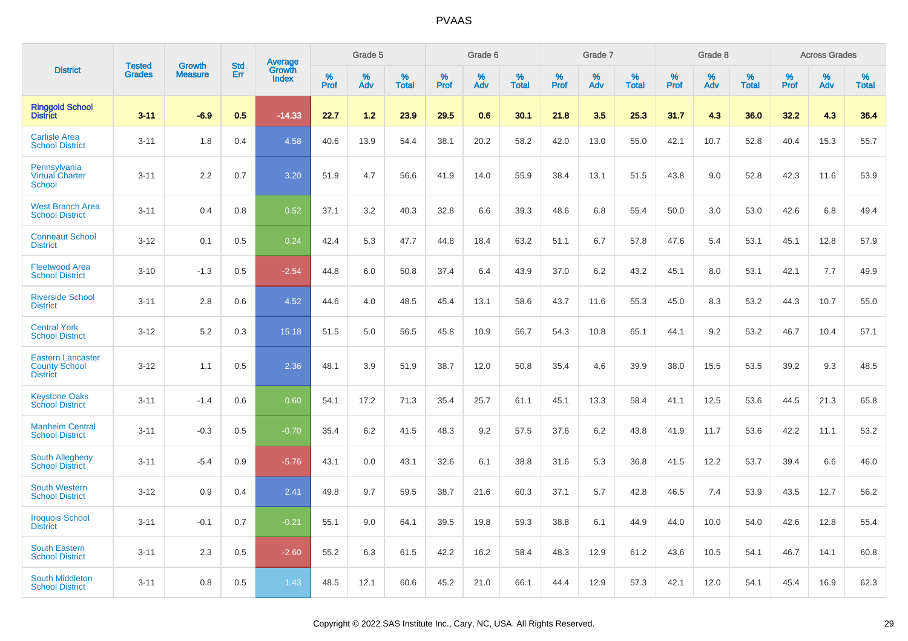|                                                                     | <b>Tested</b> | <b>Growth</b>  | <b>Std</b> |                                   |                     | Grade 5  |                      |                     | Grade 6  |                      |              | Grade 7  |                      |                     | Grade 8  |                      |                     | <b>Across Grades</b> |                      |
|---------------------------------------------------------------------|---------------|----------------|------------|-----------------------------------|---------------------|----------|----------------------|---------------------|----------|----------------------|--------------|----------|----------------------|---------------------|----------|----------------------|---------------------|----------------------|----------------------|
| <b>District</b>                                                     | <b>Grades</b> | <b>Measure</b> | Err        | Average<br>Growth<br><b>Index</b> | $\%$<br><b>Prof</b> | %<br>Adv | $\%$<br><b>Total</b> | $\%$<br><b>Prof</b> | %<br>Adv | $\%$<br><b>Total</b> | $\%$<br>Prof | %<br>Adv | $\%$<br><b>Total</b> | $\%$<br><b>Prof</b> | %<br>Adv | $\%$<br><b>Total</b> | $\%$<br><b>Prof</b> | %<br>Adv             | $\%$<br><b>Total</b> |
| <b>Ringgold School</b><br><b>District</b>                           | $3 - 11$      | $-6.9$         | 0.5        | $-14.33$                          | 22.7                | 1.2      | 23.9                 | 29.5                | 0.6      | 30.1                 | 21.8         | 3.5      | 25.3                 | 31.7                | 4.3      | 36.0                 | 32.2                | 4.3                  | 36.4                 |
| <b>Carlisle Area</b><br><b>School District</b>                      | $3 - 11$      | 1.8            | 0.4        | 4.58                              | 40.6                | 13.9     | 54.4                 | 38.1                | 20.2     | 58.2                 | 42.0         | 13.0     | 55.0                 | 42.1                | 10.7     | 52.8                 | 40.4                | 15.3                 | 55.7                 |
| Pennsylvania<br><b>Virtual Charter</b><br><b>School</b>             | $3 - 11$      | 2.2            | 0.7        | 3.20                              | 51.9                | 4.7      | 56.6                 | 41.9                | 14.0     | 55.9                 | 38.4         | 13.1     | 51.5                 | 43.8                | 9.0      | 52.8                 | 42.3                | 11.6                 | 53.9                 |
| <b>West Branch Area</b><br><b>School District</b>                   | $3 - 11$      | 0.4            | 0.8        | 0.52                              | 37.1                | 3.2      | 40.3                 | 32.8                | 6.6      | 39.3                 | 48.6         | 6.8      | 55.4                 | 50.0                | 3.0      | 53.0                 | 42.6                | 6.8                  | 49.4                 |
| <b>Conneaut School</b><br><b>District</b>                           | $3 - 12$      | 0.1            | 0.5        | 0.24                              | 42.4                | 5.3      | 47.7                 | 44.8                | 18.4     | 63.2                 | 51.1         | 6.7      | 57.8                 | 47.6                | 5.4      | 53.1                 | 45.1                | 12.8                 | 57.9                 |
| <b>Fleetwood Area</b><br><b>School District</b>                     | $3 - 10$      | $-1.3$         | 0.5        | $-2.54$                           | 44.8                | 6.0      | 50.8                 | 37.4                | 6.4      | 43.9                 | 37.0         | 6.2      | 43.2                 | 45.1                | 8.0      | 53.1                 | 42.1                | 7.7                  | 49.9                 |
| <b>Riverside School</b><br><b>District</b>                          | $3 - 11$      | 2.8            | 0.6        | 4.52                              | 44.6                | 4.0      | 48.5                 | 45.4                | 13.1     | 58.6                 | 43.7         | 11.6     | 55.3                 | 45.0                | 8.3      | 53.2                 | 44.3                | 10.7                 | 55.0                 |
| <b>Central York</b><br><b>School District</b>                       | $3 - 12$      | 5.2            | 0.3        | 15.18                             | 51.5                | 5.0      | 56.5                 | 45.8                | 10.9     | 56.7                 | 54.3         | 10.8     | 65.1                 | 44.1                | 9.2      | 53.2                 | 46.7                | 10.4                 | 57.1                 |
| <b>Eastern Lancaster</b><br><b>County School</b><br><b>District</b> | $3 - 12$      | 1.1            | 0.5        | 2.36                              | 48.1                | 3.9      | 51.9                 | 38.7                | 12.0     | 50.8                 | 35.4         | 4.6      | 39.9                 | 38.0                | 15.5     | 53.5                 | 39.2                | 9.3                  | 48.5                 |
| <b>Keystone Oaks</b><br><b>School District</b>                      | $3 - 11$      | $-1.4$         | 0.6        | 0.60                              | 54.1                | 17.2     | 71.3                 | 35.4                | 25.7     | 61.1                 | 45.1         | 13.3     | 58.4                 | 41.1                | 12.5     | 53.6                 | 44.5                | 21.3                 | 65.8                 |
| <b>Manheim Central</b><br><b>School District</b>                    | $3 - 11$      | $-0.3$         | 0.5        | $-0.70$                           | 35.4                | 6.2      | 41.5                 | 48.3                | 9.2      | 57.5                 | 37.6         | 6.2      | 43.8                 | 41.9                | 11.7     | 53.6                 | 42.2                | 11.1                 | 53.2                 |
| South Allegheny<br><b>School District</b>                           | $3 - 11$      | $-5.4$         | 0.9        | $-5.76$                           | 43.1                | 0.0      | 43.1                 | 32.6                | 6.1      | 38.8                 | 31.6         | 5.3      | 36.8                 | 41.5                | 12.2     | 53.7                 | 39.4                | 6.6                  | 46.0                 |
| <b>South Western</b><br><b>School District</b>                      | $3 - 12$      | 0.9            | 0.4        | 2.41                              | 49.8                | 9.7      | 59.5                 | 38.7                | 21.6     | 60.3                 | 37.1         | 5.7      | 42.8                 | 46.5                | 7.4      | 53.9                 | 43.5                | 12.7                 | 56.2                 |
| <b>Iroquois School</b><br><b>District</b>                           | $3 - 11$      | $-0.1$         | 0.7        | $-0.21$                           | 55.1                | 9.0      | 64.1                 | 39.5                | 19.8     | 59.3                 | 38.8         | 6.1      | 44.9                 | 44.0                | 10.0     | 54.0                 | 42.6                | 12.8                 | 55.4                 |
| <b>South Eastern</b><br><b>School District</b>                      | $3 - 11$      | 2.3            | 0.5        | $-2.60$                           | 55.2                | 6.3      | 61.5                 | 42.2                | 16.2     | 58.4                 | 48.3         | 12.9     | 61.2                 | 43.6                | 10.5     | 54.1                 | 46.7                | 14.1                 | 60.8                 |
| South Middleton<br><b>School District</b>                           | $3 - 11$      | 0.8            | 0.5        | 1.43                              | 48.5                | 12.1     | 60.6                 | 45.2                | 21.0     | 66.1                 | 44.4         | 12.9     | 57.3                 | 42.1                | 12.0     | 54.1                 | 45.4                | 16.9                 | 62.3                 |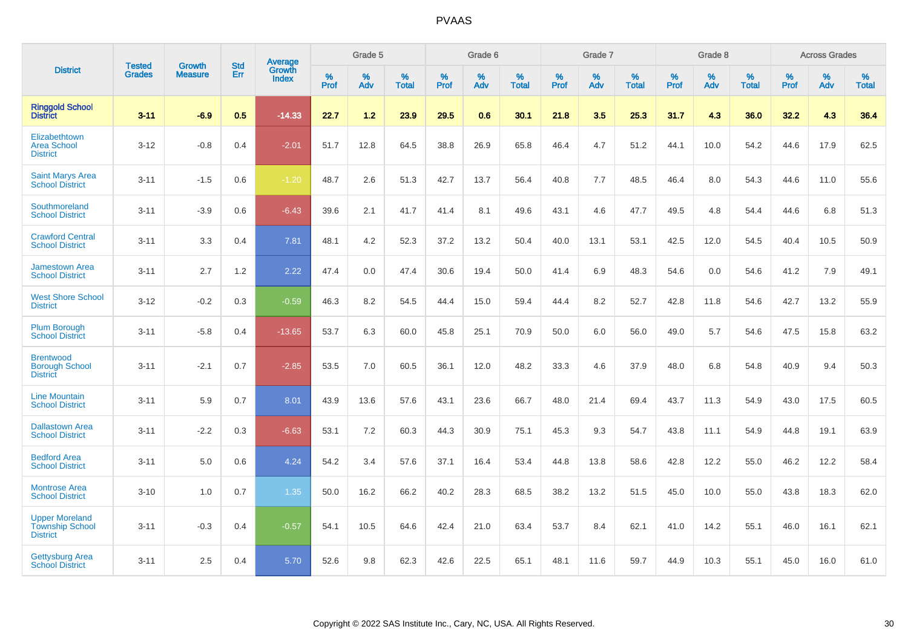|                                                                    | <b>Tested</b> | <b>Growth</b>  | <b>Std</b> | Average                       |           | Grade 5  |                   |           | Grade 6  |                   |           | Grade 7  |                   |           | Grade 8  |                   |           | <b>Across Grades</b> |                   |
|--------------------------------------------------------------------|---------------|----------------|------------|-------------------------------|-----------|----------|-------------------|-----------|----------|-------------------|-----------|----------|-------------------|-----------|----------|-------------------|-----------|----------------------|-------------------|
| <b>District</b>                                                    | <b>Grades</b> | <b>Measure</b> | Err        | <b>Growth</b><br><b>Index</b> | %<br>Prof | %<br>Adv | %<br><b>Total</b> | %<br>Prof | %<br>Adv | %<br><b>Total</b> | %<br>Prof | %<br>Adv | %<br><b>Total</b> | %<br>Prof | %<br>Adv | %<br><b>Total</b> | %<br>Prof | %<br>Adv             | %<br><b>Total</b> |
| <b>Ringgold School</b><br><b>District</b>                          | $3 - 11$      | $-6.9$         | 0.5        | $-14.33$                      | 22.7      | 1.2      | 23.9              | 29.5      | 0.6      | 30.1              | 21.8      | 3.5      | 25.3              | 31.7      | 4.3      | 36.0              | 32.2      | 4.3                  | 36.4              |
| Elizabethtown<br><b>Area School</b><br><b>District</b>             | $3 - 12$      | $-0.8$         | 0.4        | $-2.01$                       | 51.7      | 12.8     | 64.5              | 38.8      | 26.9     | 65.8              | 46.4      | 4.7      | 51.2              | 44.1      | 10.0     | 54.2              | 44.6      | 17.9                 | 62.5              |
| <b>Saint Marys Area</b><br><b>School District</b>                  | $3 - 11$      | $-1.5$         | 0.6        | $-1.20$                       | 48.7      | 2.6      | 51.3              | 42.7      | 13.7     | 56.4              | 40.8      | 7.7      | 48.5              | 46.4      | 8.0      | 54.3              | 44.6      | 11.0                 | 55.6              |
| Southmoreland<br><b>School District</b>                            | $3 - 11$      | $-3.9$         | 0.6        | $-6.43$                       | 39.6      | 2.1      | 41.7              | 41.4      | 8.1      | 49.6              | 43.1      | 4.6      | 47.7              | 49.5      | 4.8      | 54.4              | 44.6      | 6.8                  | 51.3              |
| <b>Crawford Central</b><br><b>School District</b>                  | $3 - 11$      | 3.3            | 0.4        | 7.81                          | 48.1      | 4.2      | 52.3              | 37.2      | 13.2     | 50.4              | 40.0      | 13.1     | 53.1              | 42.5      | 12.0     | 54.5              | 40.4      | 10.5                 | 50.9              |
| <b>Jamestown Area</b><br><b>School District</b>                    | $3 - 11$      | 2.7            | 1.2        | 2.22                          | 47.4      | 0.0      | 47.4              | 30.6      | 19.4     | 50.0              | 41.4      | 6.9      | 48.3              | 54.6      | 0.0      | 54.6              | 41.2      | 7.9                  | 49.1              |
| <b>West Shore School</b><br><b>District</b>                        | $3 - 12$      | $-0.2$         | 0.3        | $-0.59$                       | 46.3      | 8.2      | 54.5              | 44.4      | 15.0     | 59.4              | 44.4      | 8.2      | 52.7              | 42.8      | 11.8     | 54.6              | 42.7      | 13.2                 | 55.9              |
| <b>Plum Borough</b><br><b>School District</b>                      | $3 - 11$      | $-5.8$         | 0.4        | $-13.65$                      | 53.7      | 6.3      | 60.0              | 45.8      | 25.1     | 70.9              | 50.0      | 6.0      | 56.0              | 49.0      | 5.7      | 54.6              | 47.5      | 15.8                 | 63.2              |
| <b>Brentwood</b><br><b>Borough School</b><br><b>District</b>       | $3 - 11$      | $-2.1$         | 0.7        | $-2.85$                       | 53.5      | 7.0      | 60.5              | 36.1      | 12.0     | 48.2              | 33.3      | 4.6      | 37.9              | 48.0      | 6.8      | 54.8              | 40.9      | 9.4                  | 50.3              |
| <b>Line Mountain</b><br><b>School District</b>                     | $3 - 11$      | 5.9            | 0.7        | 8.01                          | 43.9      | 13.6     | 57.6              | 43.1      | 23.6     | 66.7              | 48.0      | 21.4     | 69.4              | 43.7      | 11.3     | 54.9              | 43.0      | 17.5                 | 60.5              |
| <b>Dallastown Area</b><br><b>School District</b>                   | $3 - 11$      | $-2.2$         | 0.3        | $-6.63$                       | 53.1      | 7.2      | 60.3              | 44.3      | 30.9     | 75.1              | 45.3      | 9.3      | 54.7              | 43.8      | 11.1     | 54.9              | 44.8      | 19.1                 | 63.9              |
| <b>Bedford Area</b><br><b>School District</b>                      | $3 - 11$      | 5.0            | 0.6        | 4.24                          | 54.2      | 3.4      | 57.6              | 37.1      | 16.4     | 53.4              | 44.8      | 13.8     | 58.6              | 42.8      | 12.2     | 55.0              | 46.2      | 12.2                 | 58.4              |
| <b>Montrose Area</b><br><b>School District</b>                     | $3 - 10$      | 1.0            | 0.7        | 1.35                          | 50.0      | 16.2     | 66.2              | 40.2      | 28.3     | 68.5              | 38.2      | 13.2     | 51.5              | 45.0      | 10.0     | 55.0              | 43.8      | 18.3                 | 62.0              |
| <b>Upper Moreland</b><br><b>Township School</b><br><b>District</b> | $3 - 11$      | $-0.3$         | 0.4        | $-0.57$                       | 54.1      | 10.5     | 64.6              | 42.4      | 21.0     | 63.4              | 53.7      | 8.4      | 62.1              | 41.0      | 14.2     | 55.1              | 46.0      | 16.1                 | 62.1              |
| <b>Gettysburg Area</b><br><b>School District</b>                   | $3 - 11$      | 2.5            | 0.4        | 5.70                          | 52.6      | 9.8      | 62.3              | 42.6      | 22.5     | 65.1              | 48.1      | 11.6     | 59.7              | 44.9      | 10.3     | 55.1              | 45.0      | 16.0                 | 61.0              |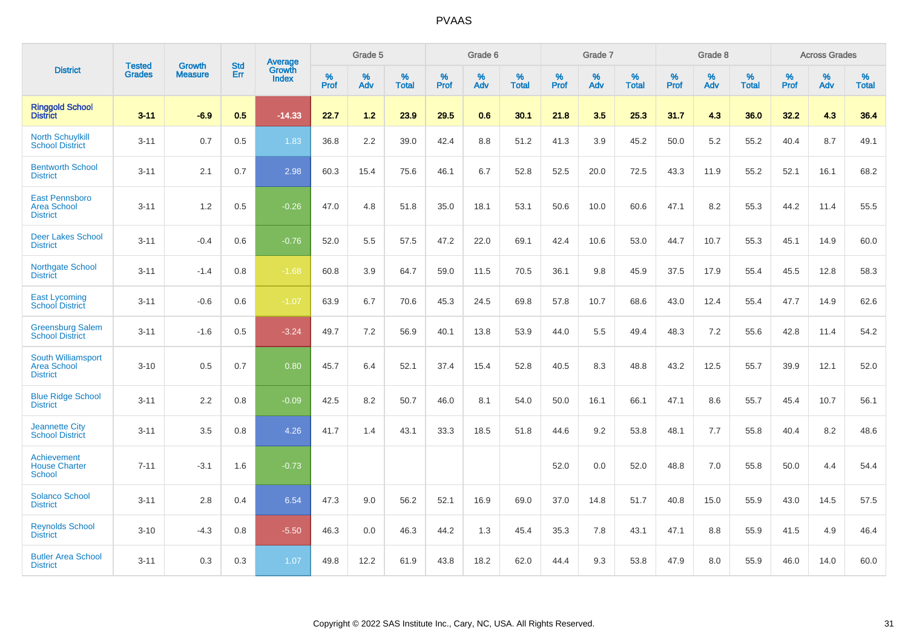|                                                                    | <b>Tested</b> | <b>Growth</b>  | <b>Std</b> | Average                       |              | Grade 5  |                   |           | Grade 6  |                   |           | Grade 7  |                   |           | Grade 8  |                   |           | <b>Across Grades</b> |                   |
|--------------------------------------------------------------------|---------------|----------------|------------|-------------------------------|--------------|----------|-------------------|-----------|----------|-------------------|-----------|----------|-------------------|-----------|----------|-------------------|-----------|----------------------|-------------------|
| <b>District</b>                                                    | <b>Grades</b> | <b>Measure</b> | Err        | <b>Growth</b><br><b>Index</b> | $\%$<br>Prof | %<br>Adv | %<br><b>Total</b> | %<br>Prof | %<br>Adv | %<br><b>Total</b> | %<br>Prof | %<br>Adv | %<br><b>Total</b> | %<br>Prof | %<br>Adv | %<br><b>Total</b> | %<br>Prof | %<br>Adv             | %<br><b>Total</b> |
| <b>Ringgold School</b><br><b>District</b>                          | $3 - 11$      | $-6.9$         | 0.5        | $-14.33$                      | 22.7         | 1.2      | 23.9              | 29.5      | 0.6      | 30.1              | 21.8      | 3.5      | 25.3              | 31.7      | 4.3      | 36.0              | 32.2      | 4.3                  | 36.4              |
| <b>North Schuylkill</b><br><b>School District</b>                  | $3 - 11$      | 0.7            | 0.5        | 1.83                          | 36.8         | 2.2      | 39.0              | 42.4      | 8.8      | 51.2              | 41.3      | 3.9      | 45.2              | 50.0      | 5.2      | 55.2              | 40.4      | 8.7                  | 49.1              |
| <b>Bentworth School</b><br><b>District</b>                         | $3 - 11$      | 2.1            | 0.7        | 2.98                          | 60.3         | 15.4     | 75.6              | 46.1      | 6.7      | 52.8              | 52.5      | 20.0     | 72.5              | 43.3      | 11.9     | 55.2              | 52.1      | 16.1                 | 68.2              |
| <b>East Pennsboro</b><br><b>Area School</b><br><b>District</b>     | $3 - 11$      | 1.2            | 0.5        | $-0.26$                       | 47.0         | 4.8      | 51.8              | 35.0      | 18.1     | 53.1              | 50.6      | 10.0     | 60.6              | 47.1      | 8.2      | 55.3              | 44.2      | 11.4                 | 55.5              |
| <b>Deer Lakes School</b><br><b>District</b>                        | $3 - 11$      | $-0.4$         | 0.6        | $-0.76$                       | 52.0         | 5.5      | 57.5              | 47.2      | 22.0     | 69.1              | 42.4      | 10.6     | 53.0              | 44.7      | 10.7     | 55.3              | 45.1      | 14.9                 | 60.0              |
| Northgate School<br><b>District</b>                                | $3 - 11$      | $-1.4$         | 0.8        | $-1.68$                       | 60.8         | 3.9      | 64.7              | 59.0      | 11.5     | 70.5              | 36.1      | 9.8      | 45.9              | 37.5      | 17.9     | 55.4              | 45.5      | 12.8                 | 58.3              |
| <b>East Lycoming</b><br><b>School District</b>                     | $3 - 11$      | $-0.6$         | 0.6        | $-1.07$                       | 63.9         | 6.7      | 70.6              | 45.3      | 24.5     | 69.8              | 57.8      | 10.7     | 68.6              | 43.0      | 12.4     | 55.4              | 47.7      | 14.9                 | 62.6              |
| <b>Greensburg Salem</b><br><b>School District</b>                  | $3 - 11$      | $-1.6$         | 0.5        | $-3.24$                       | 49.7         | 7.2      | 56.9              | 40.1      | 13.8     | 53.9              | 44.0      | 5.5      | 49.4              | 48.3      | 7.2      | 55.6              | 42.8      | 11.4                 | 54.2              |
| <b>South Williamsport</b><br><b>Area School</b><br><b>District</b> | $3 - 10$      | 0.5            | 0.7        | 0.80                          | 45.7         | 6.4      | 52.1              | 37.4      | 15.4     | 52.8              | 40.5      | 8.3      | 48.8              | 43.2      | 12.5     | 55.7              | 39.9      | 12.1                 | 52.0              |
| <b>Blue Ridge School</b><br><b>District</b>                        | $3 - 11$      | 2.2            | 0.8        | $-0.09$                       | 42.5         | 8.2      | 50.7              | 46.0      | 8.1      | 54.0              | 50.0      | 16.1     | 66.1              | 47.1      | 8.6      | 55.7              | 45.4      | 10.7                 | 56.1              |
| <b>Jeannette City</b><br><b>School District</b>                    | $3 - 11$      | 3.5            | 0.8        | 4.26                          | 41.7         | 1.4      | 43.1              | 33.3      | 18.5     | 51.8              | 44.6      | 9.2      | 53.8              | 48.1      | 7.7      | 55.8              | 40.4      | 8.2                  | 48.6              |
| Achievement<br><b>House Charter</b><br><b>School</b>               | $7 - 11$      | $-3.1$         | 1.6        | $-0.73$                       |              |          |                   |           |          |                   | 52.0      | 0.0      | 52.0              | 48.8      | 7.0      | 55.8              | 50.0      | 4.4                  | 54.4              |
| <b>Solanco School</b><br><b>District</b>                           | $3 - 11$      | 2.8            | 0.4        | 6.54                          | 47.3         | 9.0      | 56.2              | 52.1      | 16.9     | 69.0              | 37.0      | 14.8     | 51.7              | 40.8      | 15.0     | 55.9              | 43.0      | 14.5                 | 57.5              |
| <b>Reynolds School</b><br><b>District</b>                          | $3 - 10$      | $-4.3$         | 0.8        | $-5.50$                       | 46.3         | 0.0      | 46.3              | 44.2      | 1.3      | 45.4              | 35.3      | 7.8      | 43.1              | 47.1      | 8.8      | 55.9              | 41.5      | 4.9                  | 46.4              |
| <b>Butler Area School</b><br><b>District</b>                       | $3 - 11$      | 0.3            | 0.3        | 1.07                          | 49.8         | 12.2     | 61.9              | 43.8      | 18.2     | 62.0              | 44.4      | 9.3      | 53.8              | 47.9      | 8.0      | 55.9              | 46.0      | 14.0                 | 60.0              |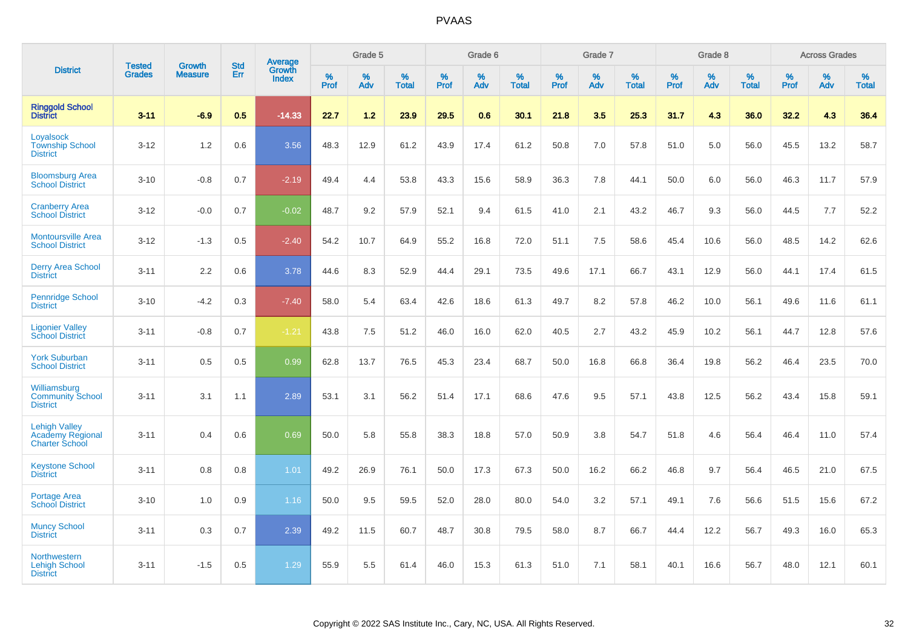|                                                                          |                                |                                 | <b>Std</b> | Average                |              | Grade 5  |                   |           | Grade 6  |                   |           | Grade 7  |                   |           | Grade 8  |                   |              | <b>Across Grades</b> |                   |
|--------------------------------------------------------------------------|--------------------------------|---------------------------------|------------|------------------------|--------------|----------|-------------------|-----------|----------|-------------------|-----------|----------|-------------------|-----------|----------|-------------------|--------------|----------------------|-------------------|
| <b>District</b>                                                          | <b>Tested</b><br><b>Grades</b> | <b>Growth</b><br><b>Measure</b> | Err        | Growth<br><b>Index</b> | $\%$<br>Prof | %<br>Adv | %<br><b>Total</b> | %<br>Prof | %<br>Adv | %<br><b>Total</b> | %<br>Prof | %<br>Adv | %<br><b>Total</b> | %<br>Prof | %<br>Adv | %<br><b>Total</b> | $\%$<br>Prof | %<br>Adv             | %<br><b>Total</b> |
| <b>Ringgold School</b><br><b>District</b>                                | $3 - 11$                       | $-6.9$                          | 0.5        | $-14.33$               | 22.7         | 1.2      | 23.9              | 29.5      | 0.6      | 30.1              | 21.8      | 3.5      | 25.3              | 31.7      | 4.3      | 36.0              | 32.2         | 4.3                  | 36.4              |
| Loyalsock<br><b>Township School</b><br><b>District</b>                   | $3 - 12$                       | 1.2                             | 0.6        | 3.56                   | 48.3         | 12.9     | 61.2              | 43.9      | 17.4     | 61.2              | 50.8      | 7.0      | 57.8              | 51.0      | 5.0      | 56.0              | 45.5         | 13.2                 | 58.7              |
| <b>Bloomsburg Area</b><br><b>School District</b>                         | $3 - 10$                       | $-0.8$                          | 0.7        | $-2.19$                | 49.4         | 4.4      | 53.8              | 43.3      | 15.6     | 58.9              | 36.3      | 7.8      | 44.1              | 50.0      | 6.0      | 56.0              | 46.3         | 11.7                 | 57.9              |
| <b>Cranberry Area</b><br><b>School District</b>                          | $3 - 12$                       | $-0.0$                          | 0.7        | $-0.02$                | 48.7         | 9.2      | 57.9              | 52.1      | 9.4      | 61.5              | 41.0      | 2.1      | 43.2              | 46.7      | 9.3      | 56.0              | 44.5         | 7.7                  | 52.2              |
| <b>Montoursville Area</b><br><b>School District</b>                      | $3 - 12$                       | $-1.3$                          | 0.5        | $-2.40$                | 54.2         | 10.7     | 64.9              | 55.2      | 16.8     | 72.0              | 51.1      | 7.5      | 58.6              | 45.4      | 10.6     | 56.0              | 48.5         | 14.2                 | 62.6              |
| <b>Derry Area School</b><br><b>District</b>                              | $3 - 11$                       | 2.2                             | 0.6        | 3.78                   | 44.6         | 8.3      | 52.9              | 44.4      | 29.1     | 73.5              | 49.6      | 17.1     | 66.7              | 43.1      | 12.9     | 56.0              | 44.1         | 17.4                 | 61.5              |
| <b>Pennridge School</b><br><b>District</b>                               | $3 - 10$                       | $-4.2$                          | 0.3        | $-7.40$                | 58.0         | 5.4      | 63.4              | 42.6      | 18.6     | 61.3              | 49.7      | 8.2      | 57.8              | 46.2      | 10.0     | 56.1              | 49.6         | 11.6                 | 61.1              |
| <b>Ligonier Valley</b><br><b>School District</b>                         | $3 - 11$                       | $-0.8$                          | 0.7        | $-1.21$                | 43.8         | 7.5      | 51.2              | 46.0      | 16.0     | 62.0              | 40.5      | 2.7      | 43.2              | 45.9      | 10.2     | 56.1              | 44.7         | 12.8                 | 57.6              |
| <b>York Suburban</b><br><b>School District</b>                           | $3 - 11$                       | 0.5                             | 0.5        | 0.99                   | 62.8         | 13.7     | 76.5              | 45.3      | 23.4     | 68.7              | 50.0      | 16.8     | 66.8              | 36.4      | 19.8     | 56.2              | 46.4         | 23.5                 | 70.0              |
| Williamsburg<br><b>Community School</b><br><b>District</b>               | $3 - 11$                       | 3.1                             | 1.1        | 2.89                   | 53.1         | 3.1      | 56.2              | 51.4      | 17.1     | 68.6              | 47.6      | 9.5      | 57.1              | 43.8      | 12.5     | 56.2              | 43.4         | 15.8                 | 59.1              |
| <b>Lehigh Valley</b><br><b>Academy Regional</b><br><b>Charter School</b> | $3 - 11$                       | 0.4                             | 0.6        | 0.69                   | 50.0         | 5.8      | 55.8              | 38.3      | 18.8     | 57.0              | 50.9      | 3.8      | 54.7              | 51.8      | 4.6      | 56.4              | 46.4         | 11.0                 | 57.4              |
| <b>Keystone School</b><br><b>District</b>                                | $3 - 11$                       | 0.8                             | 0.8        | 1.01                   | 49.2         | 26.9     | 76.1              | 50.0      | 17.3     | 67.3              | 50.0      | 16.2     | 66.2              | 46.8      | 9.7      | 56.4              | 46.5         | 21.0                 | 67.5              |
| <b>Portage Area</b><br><b>School District</b>                            | $3 - 10$                       | 1.0                             | 0.9        | 1.16                   | 50.0         | 9.5      | 59.5              | 52.0      | 28.0     | 80.0              | 54.0      | 3.2      | 57.1              | 49.1      | 7.6      | 56.6              | 51.5         | 15.6                 | 67.2              |
| <b>Muncy School</b><br><b>District</b>                                   | $3 - 11$                       | 0.3                             | 0.7        | 2.39                   | 49.2         | 11.5     | 60.7              | 48.7      | 30.8     | 79.5              | 58.0      | 8.7      | 66.7              | 44.4      | 12.2     | 56.7              | 49.3         | 16.0                 | 65.3              |
| Northwestern<br><b>Lehigh School</b><br><b>District</b>                  | $3 - 11$                       | $-1.5$                          | 0.5        | 1.29                   | 55.9         | 5.5      | 61.4              | 46.0      | 15.3     | 61.3              | 51.0      | 7.1      | 58.1              | 40.1      | 16.6     | 56.7              | 48.0         | 12.1                 | 60.1              |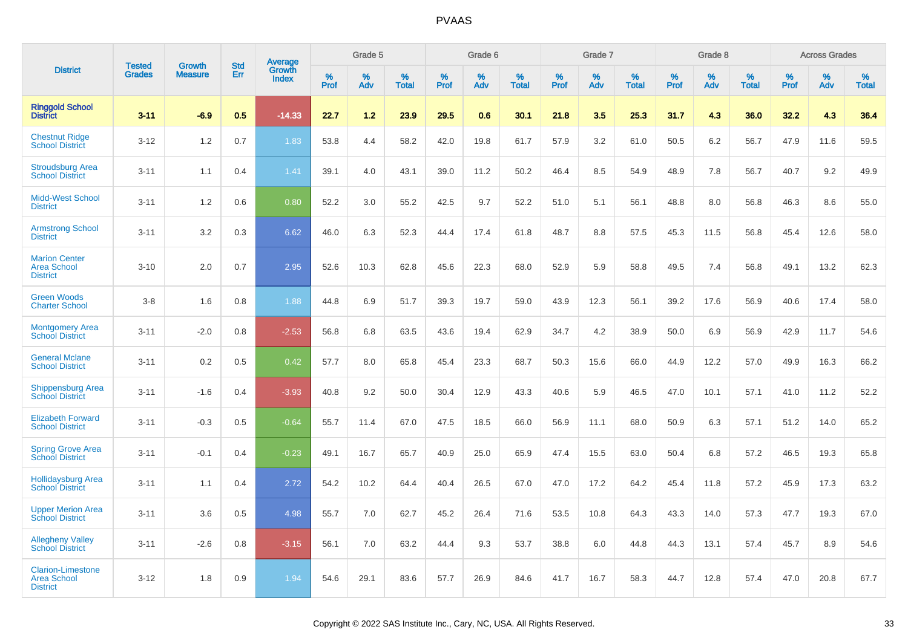|                                                                   | <b>Tested</b> | <b>Growth</b>  | <b>Std</b> | <b>Average</b>         |              | Grade 5  |                   |              | Grade 6  |                   |              | Grade 7  |                   |              | Grade 8  |                   |              | <b>Across Grades</b> |                   |
|-------------------------------------------------------------------|---------------|----------------|------------|------------------------|--------------|----------|-------------------|--------------|----------|-------------------|--------------|----------|-------------------|--------------|----------|-------------------|--------------|----------------------|-------------------|
| <b>District</b>                                                   | <b>Grades</b> | <b>Measure</b> | Err        | Growth<br><b>Index</b> | $\%$<br>Prof | %<br>Adv | %<br><b>Total</b> | $\%$<br>Prof | %<br>Adv | %<br><b>Total</b> | $\%$<br>Prof | %<br>Adv | %<br><b>Total</b> | $\%$<br>Prof | %<br>Adv | %<br><b>Total</b> | $\%$<br>Prof | %<br>Adv             | %<br><b>Total</b> |
| <b>Ringgold School</b><br><b>District</b>                         | $3 - 11$      | $-6.9$         | 0.5        | $-14.33$               | 22.7         | 1.2      | 23.9              | 29.5         | 0.6      | 30.1              | 21.8         | 3.5      | 25.3              | 31.7         | 4.3      | 36.0              | 32.2         | 4.3                  | 36.4              |
| <b>Chestnut Ridge</b><br><b>School District</b>                   | $3 - 12$      | 1.2            | 0.7        | 1.83                   | 53.8         | 4.4      | 58.2              | 42.0         | 19.8     | 61.7              | 57.9         | 3.2      | 61.0              | 50.5         | 6.2      | 56.7              | 47.9         | 11.6                 | 59.5              |
| <b>Stroudsburg Area</b><br><b>School District</b>                 | $3 - 11$      | 1.1            | 0.4        | 1.41                   | 39.1         | 4.0      | 43.1              | 39.0         | 11.2     | 50.2              | 46.4         | 8.5      | 54.9              | 48.9         | 7.8      | 56.7              | 40.7         | 9.2                  | 49.9              |
| <b>Midd-West School</b><br><b>District</b>                        | $3 - 11$      | 1.2            | 0.6        | 0.80                   | 52.2         | 3.0      | 55.2              | 42.5         | 9.7      | 52.2              | 51.0         | 5.1      | 56.1              | 48.8         | 8.0      | 56.8              | 46.3         | 8.6                  | 55.0              |
| <b>Armstrong School</b><br><b>District</b>                        | $3 - 11$      | 3.2            | 0.3        | 6.62                   | 46.0         | 6.3      | 52.3              | 44.4         | 17.4     | 61.8              | 48.7         | 8.8      | 57.5              | 45.3         | 11.5     | 56.8              | 45.4         | 12.6                 | 58.0              |
| <b>Marion Center</b><br><b>Area School</b><br><b>District</b>     | $3 - 10$      | 2.0            | 0.7        | 2.95                   | 52.6         | 10.3     | 62.8              | 45.6         | 22.3     | 68.0              | 52.9         | 5.9      | 58.8              | 49.5         | 7.4      | 56.8              | 49.1         | 13.2                 | 62.3              |
| <b>Green Woods</b><br><b>Charter School</b>                       | $3-8$         | 1.6            | 0.8        | 1.88                   | 44.8         | 6.9      | 51.7              | 39.3         | 19.7     | 59.0              | 43.9         | 12.3     | 56.1              | 39.2         | 17.6     | 56.9              | 40.6         | 17.4                 | 58.0              |
| <b>Montgomery Area</b><br><b>School District</b>                  | $3 - 11$      | $-2.0$         | 0.8        | $-2.53$                | 56.8         | 6.8      | 63.5              | 43.6         | 19.4     | 62.9              | 34.7         | 4.2      | 38.9              | 50.0         | 6.9      | 56.9              | 42.9         | 11.7                 | 54.6              |
| <b>General Mclane</b><br><b>School District</b>                   | $3 - 11$      | 0.2            | 0.5        | 0.42                   | 57.7         | 8.0      | 65.8              | 45.4         | 23.3     | 68.7              | 50.3         | 15.6     | 66.0              | 44.9         | 12.2     | 57.0              | 49.9         | 16.3                 | 66.2              |
| <b>Shippensburg Area</b><br><b>School District</b>                | $3 - 11$      | $-1.6$         | 0.4        | $-3.93$                | 40.8         | 9.2      | 50.0              | 30.4         | 12.9     | 43.3              | 40.6         | 5.9      | 46.5              | 47.0         | 10.1     | 57.1              | 41.0         | 11.2                 | 52.2              |
| <b>Elizabeth Forward</b><br><b>School District</b>                | $3 - 11$      | $-0.3$         | 0.5        | $-0.64$                | 55.7         | 11.4     | 67.0              | 47.5         | 18.5     | 66.0              | 56.9         | 11.1     | 68.0              | 50.9         | 6.3      | 57.1              | 51.2         | 14.0                 | 65.2              |
| <b>Spring Grove Area</b><br><b>School District</b>                | $3 - 11$      | $-0.1$         | 0.4        | $-0.23$                | 49.1         | 16.7     | 65.7              | 40.9         | 25.0     | 65.9              | 47.4         | 15.5     | 63.0              | 50.4         | 6.8      | 57.2              | 46.5         | 19.3                 | 65.8              |
| <b>Hollidaysburg Area</b><br><b>School District</b>               | $3 - 11$      | 1.1            | 0.4        | 2.72                   | 54.2         | 10.2     | 64.4              | 40.4         | 26.5     | 67.0              | 47.0         | 17.2     | 64.2              | 45.4         | 11.8     | 57.2              | 45.9         | 17.3                 | 63.2              |
| <b>Upper Merion Area</b><br><b>School District</b>                | $3 - 11$      | 3.6            | 0.5        | 4.98                   | 55.7         | 7.0      | 62.7              | 45.2         | 26.4     | 71.6              | 53.5         | 10.8     | 64.3              | 43.3         | 14.0     | 57.3              | 47.7         | 19.3                 | 67.0              |
| <b>Allegheny Valley</b><br><b>School District</b>                 | $3 - 11$      | $-2.6$         | 0.8        | $-3.15$                | 56.1         | 7.0      | 63.2              | 44.4         | 9.3      | 53.7              | 38.8         | 6.0      | 44.8              | 44.3         | 13.1     | 57.4              | 45.7         | 8.9                  | 54.6              |
| <b>Clarion-Limestone</b><br><b>Area School</b><br><b>District</b> | $3 - 12$      | 1.8            | 0.9        | 1.94                   | 54.6         | 29.1     | 83.6              | 57.7         | 26.9     | 84.6              | 41.7         | 16.7     | 58.3              | 44.7         | 12.8     | 57.4              | 47.0         | 20.8                 | 67.7              |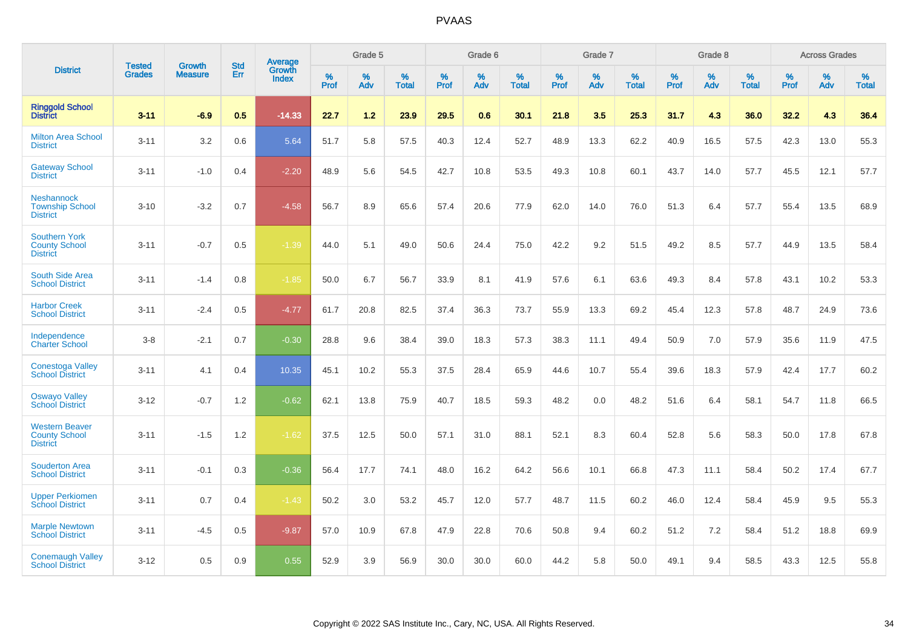|                                                                  |                                |                                 | <b>Std</b> | <b>Average</b>                |           | Grade 5  |                   |           | Grade 6  |                   |           | Grade 7  |                   |           | Grade 8  |                   |           | <b>Across Grades</b> |                   |
|------------------------------------------------------------------|--------------------------------|---------------------------------|------------|-------------------------------|-----------|----------|-------------------|-----------|----------|-------------------|-----------|----------|-------------------|-----------|----------|-------------------|-----------|----------------------|-------------------|
| <b>District</b>                                                  | <b>Tested</b><br><b>Grades</b> | <b>Growth</b><br><b>Measure</b> | Err        | <b>Growth</b><br><b>Index</b> | %<br>Prof | %<br>Adv | %<br><b>Total</b> | %<br>Prof | %<br>Adv | %<br><b>Total</b> | %<br>Prof | %<br>Adv | %<br><b>Total</b> | %<br>Prof | %<br>Adv | %<br><b>Total</b> | %<br>Prof | %<br>Adv             | %<br><b>Total</b> |
| <b>Ringgold School</b><br><b>District</b>                        | $3 - 11$                       | $-6.9$                          | 0.5        | $-14.33$                      | 22.7      | 1.2      | 23.9              | 29.5      | 0.6      | 30.1              | 21.8      | 3.5      | 25.3              | 31.7      | 4.3      | 36.0              | 32.2      | 4.3                  | 36.4              |
| <b>Milton Area School</b><br><b>District</b>                     | $3 - 11$                       | 3.2                             | 0.6        | 5.64                          | 51.7      | 5.8      | 57.5              | 40.3      | 12.4     | 52.7              | 48.9      | 13.3     | 62.2              | 40.9      | 16.5     | 57.5              | 42.3      | 13.0                 | 55.3              |
| <b>Gateway School</b><br><b>District</b>                         | $3 - 11$                       | $-1.0$                          | 0.4        | $-2.20$                       | 48.9      | 5.6      | 54.5              | 42.7      | 10.8     | 53.5              | 49.3      | 10.8     | 60.1              | 43.7      | 14.0     | 57.7              | 45.5      | 12.1                 | 57.7              |
| <b>Neshannock</b><br><b>Township School</b><br><b>District</b>   | $3 - 10$                       | $-3.2$                          | 0.7        | $-4.58$                       | 56.7      | 8.9      | 65.6              | 57.4      | 20.6     | 77.9              | 62.0      | 14.0     | 76.0              | 51.3      | 6.4      | 57.7              | 55.4      | 13.5                 | 68.9              |
| <b>Southern York</b><br><b>County School</b><br><b>District</b>  | $3 - 11$                       | $-0.7$                          | 0.5        | $-1.39$                       | 44.0      | 5.1      | 49.0              | 50.6      | 24.4     | 75.0              | 42.2      | 9.2      | 51.5              | 49.2      | 8.5      | 57.7              | 44.9      | 13.5                 | 58.4              |
| <b>South Side Area</b><br><b>School District</b>                 | $3 - 11$                       | $-1.4$                          | 0.8        | $-1.85$                       | 50.0      | 6.7      | 56.7              | 33.9      | 8.1      | 41.9              | 57.6      | 6.1      | 63.6              | 49.3      | 8.4      | 57.8              | 43.1      | 10.2                 | 53.3              |
| <b>Harbor Creek</b><br><b>School District</b>                    | $3 - 11$                       | $-2.4$                          | 0.5        | $-4.77$                       | 61.7      | 20.8     | 82.5              | 37.4      | 36.3     | 73.7              | 55.9      | 13.3     | 69.2              | 45.4      | 12.3     | 57.8              | 48.7      | 24.9                 | 73.6              |
| Independence<br><b>Charter School</b>                            | $3 - 8$                        | $-2.1$                          | 0.7        | $-0.30$                       | 28.8      | 9.6      | 38.4              | 39.0      | 18.3     | 57.3              | 38.3      | 11.1     | 49.4              | 50.9      | 7.0      | 57.9              | 35.6      | 11.9                 | 47.5              |
| Conestoga Valley<br><b>School District</b>                       | $3 - 11$                       | 4.1                             | 0.4        | 10.35                         | 45.1      | 10.2     | 55.3              | 37.5      | 28.4     | 65.9              | 44.6      | 10.7     | 55.4              | 39.6      | 18.3     | 57.9              | 42.4      | 17.7                 | 60.2              |
| <b>Oswayo Valley</b><br><b>School District</b>                   | $3 - 12$                       | $-0.7$                          | 1.2        | $-0.62$                       | 62.1      | 13.8     | 75.9              | 40.7      | 18.5     | 59.3              | 48.2      | 0.0      | 48.2              | 51.6      | 6.4      | 58.1              | 54.7      | 11.8                 | 66.5              |
| <b>Western Beaver</b><br><b>County School</b><br><b>District</b> | $3 - 11$                       | $-1.5$                          | 1.2        | $-1.62$                       | 37.5      | 12.5     | 50.0              | 57.1      | 31.0     | 88.1              | 52.1      | 8.3      | 60.4              | 52.8      | 5.6      | 58.3              | 50.0      | 17.8                 | 67.8              |
| <b>Souderton Area</b><br><b>School District</b>                  | $3 - 11$                       | $-0.1$                          | 0.3        | $-0.36$                       | 56.4      | 17.7     | 74.1              | 48.0      | 16.2     | 64.2              | 56.6      | 10.1     | 66.8              | 47.3      | 11.1     | 58.4              | 50.2      | 17.4                 | 67.7              |
| <b>Upper Perkiomen</b><br><b>School District</b>                 | $3 - 11$                       | 0.7                             | 0.4        | $-1.43$                       | 50.2      | 3.0      | 53.2              | 45.7      | 12.0     | 57.7              | 48.7      | 11.5     | 60.2              | 46.0      | 12.4     | 58.4              | 45.9      | 9.5                  | 55.3              |
| <b>Marple Newtown</b><br><b>School District</b>                  | $3 - 11$                       | $-4.5$                          | 0.5        | $-9.87$                       | 57.0      | 10.9     | 67.8              | 47.9      | 22.8     | 70.6              | 50.8      | 9.4      | 60.2              | 51.2      | 7.2      | 58.4              | 51.2      | 18.8                 | 69.9              |
| <b>Conemaugh Valley</b><br><b>School District</b>                | $3 - 12$                       | 0.5                             | 0.9        | 0.55                          | 52.9      | 3.9      | 56.9              | 30.0      | 30.0     | 60.0              | 44.2      | 5.8      | 50.0              | 49.1      | 9.4      | 58.5              | 43.3      | 12.5                 | 55.8              |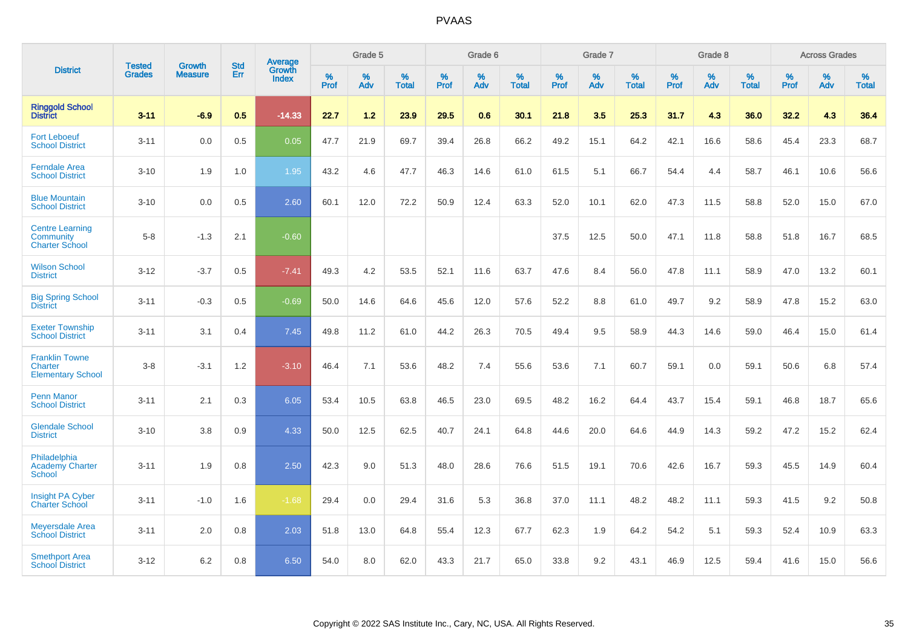|                                                                     |                                |                                 | <b>Std</b> | <b>Average</b>                |           | Grade 5  |                   |           | Grade 6  |                   |           | Grade 7  |                   |           | Grade 8  |                   |           | <b>Across Grades</b> |                   |
|---------------------------------------------------------------------|--------------------------------|---------------------------------|------------|-------------------------------|-----------|----------|-------------------|-----------|----------|-------------------|-----------|----------|-------------------|-----------|----------|-------------------|-----------|----------------------|-------------------|
| <b>District</b>                                                     | <b>Tested</b><br><b>Grades</b> | <b>Growth</b><br><b>Measure</b> | Err        | <b>Growth</b><br><b>Index</b> | %<br>Prof | %<br>Adv | %<br><b>Total</b> | %<br>Prof | %<br>Adv | %<br><b>Total</b> | %<br>Prof | %<br>Adv | %<br><b>Total</b> | %<br>Prof | %<br>Adv | %<br><b>Total</b> | %<br>Prof | %<br>Adv             | %<br><b>Total</b> |
| <b>Ringgold School</b><br><b>District</b>                           | $3 - 11$                       | $-6.9$                          | 0.5        | $-14.33$                      | 22.7      | 1.2      | 23.9              | 29.5      | 0.6      | 30.1              | 21.8      | 3.5      | 25.3              | 31.7      | 4.3      | 36.0              | 32.2      | 4.3                  | 36.4              |
| <b>Fort Leboeuf</b><br><b>School District</b>                       | $3 - 11$                       | 0.0                             | 0.5        | 0.05                          | 47.7      | 21.9     | 69.7              | 39.4      | 26.8     | 66.2              | 49.2      | 15.1     | 64.2              | 42.1      | 16.6     | 58.6              | 45.4      | 23.3                 | 68.7              |
| <b>Ferndale Area</b><br><b>School District</b>                      | $3 - 10$                       | 1.9                             | 1.0        | 1.95                          | 43.2      | 4.6      | 47.7              | 46.3      | 14.6     | 61.0              | 61.5      | 5.1      | 66.7              | 54.4      | 4.4      | 58.7              | 46.1      | 10.6                 | 56.6              |
| <b>Blue Mountain</b><br><b>School District</b>                      | $3 - 10$                       | 0.0                             | 0.5        | 2.60                          | 60.1      | 12.0     | 72.2              | 50.9      | 12.4     | 63.3              | 52.0      | 10.1     | 62.0              | 47.3      | 11.5     | 58.8              | 52.0      | 15.0                 | 67.0              |
| <b>Centre Learning</b><br>Community<br><b>Charter School</b>        | $5 - 8$                        | $-1.3$                          | 2.1        | $-0.60$                       |           |          |                   |           |          |                   | 37.5      | 12.5     | 50.0              | 47.1      | 11.8     | 58.8              | 51.8      | 16.7                 | 68.5              |
| <b>Wilson School</b><br><b>District</b>                             | $3 - 12$                       | $-3.7$                          | 0.5        | $-7.41$                       | 49.3      | 4.2      | 53.5              | 52.1      | 11.6     | 63.7              | 47.6      | 8.4      | 56.0              | 47.8      | 11.1     | 58.9              | 47.0      | 13.2                 | 60.1              |
| <b>Big Spring School</b><br><b>District</b>                         | $3 - 11$                       | $-0.3$                          | 0.5        | $-0.69$                       | 50.0      | 14.6     | 64.6              | 45.6      | 12.0     | 57.6              | 52.2      | 8.8      | 61.0              | 49.7      | 9.2      | 58.9              | 47.8      | 15.2                 | 63.0              |
| <b>Exeter Township</b><br><b>School District</b>                    | $3 - 11$                       | 3.1                             | 0.4        | 7.45                          | 49.8      | 11.2     | 61.0              | 44.2      | 26.3     | 70.5              | 49.4      | 9.5      | 58.9              | 44.3      | 14.6     | 59.0              | 46.4      | 15.0                 | 61.4              |
| <b>Franklin Towne</b><br><b>Charter</b><br><b>Elementary School</b> | $3 - 8$                        | $-3.1$                          | 1.2        | $-3.10$                       | 46.4      | 7.1      | 53.6              | 48.2      | 7.4      | 55.6              | 53.6      | 7.1      | 60.7              | 59.1      | 0.0      | 59.1              | 50.6      | 6.8                  | 57.4              |
| <b>Penn Manor</b><br><b>School District</b>                         | $3 - 11$                       | 2.1                             | 0.3        | 6.05                          | 53.4      | 10.5     | 63.8              | 46.5      | 23.0     | 69.5              | 48.2      | 16.2     | 64.4              | 43.7      | 15.4     | 59.1              | 46.8      | 18.7                 | 65.6              |
| <b>Glendale School</b><br><b>District</b>                           | $3 - 10$                       | 3.8                             | 0.9        | 4.33                          | 50.0      | 12.5     | 62.5              | 40.7      | 24.1     | 64.8              | 44.6      | 20.0     | 64.6              | 44.9      | 14.3     | 59.2              | 47.2      | 15.2                 | 62.4              |
| Philadelphia<br><b>Academy Charter</b><br><b>School</b>             | $3 - 11$                       | 1.9                             | 0.8        | 2.50                          | 42.3      | 9.0      | 51.3              | 48.0      | 28.6     | 76.6              | 51.5      | 19.1     | 70.6              | 42.6      | 16.7     | 59.3              | 45.5      | 14.9                 | 60.4              |
| <b>Insight PA Cyber</b><br><b>Charter School</b>                    | $3 - 11$                       | $-1.0$                          | 1.6        | $-1.68$                       | 29.4      | 0.0      | 29.4              | 31.6      | 5.3      | 36.8              | 37.0      | 11.1     | 48.2              | 48.2      | 11.1     | 59.3              | 41.5      | 9.2                  | 50.8              |
| <b>Meyersdale Area</b><br><b>School District</b>                    | $3 - 11$                       | 2.0                             | 0.8        | 2.03                          | 51.8      | 13.0     | 64.8              | 55.4      | 12.3     | 67.7              | 62.3      | 1.9      | 64.2              | 54.2      | 5.1      | 59.3              | 52.4      | 10.9                 | 63.3              |
| <b>Smethport Area</b><br><b>School District</b>                     | $3 - 12$                       | 6.2                             | 0.8        | 6.50                          | 54.0      | 8.0      | 62.0              | 43.3      | 21.7     | 65.0              | 33.8      | 9.2      | 43.1              | 46.9      | 12.5     | 59.4              | 41.6      | 15.0                 | 56.6              |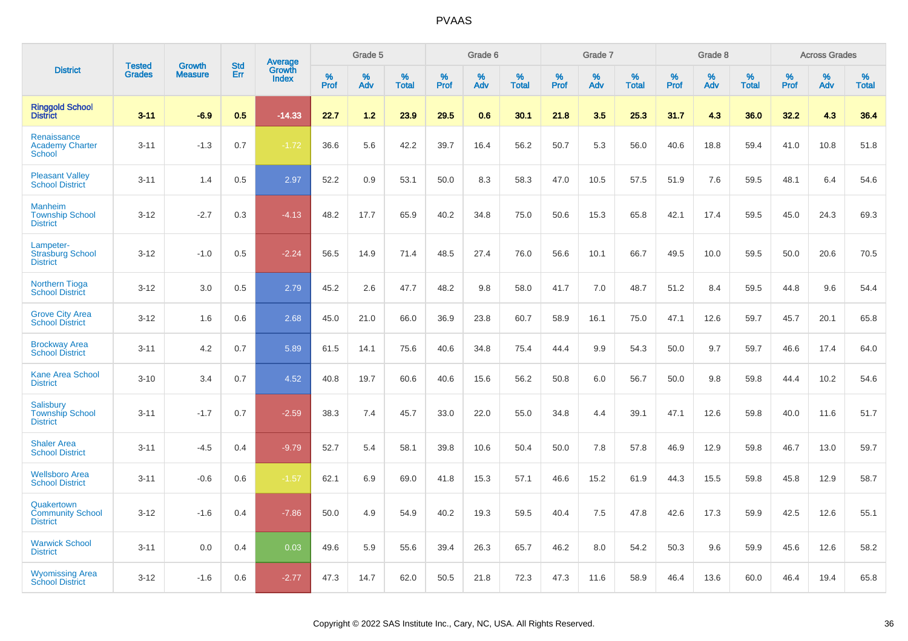|                                                               |                                |                                 |                   | Average                |              | Grade 5  |                   |              | Grade 6  |                   |              | Grade 7  |                   |              | Grade 8  |                   |              | <b>Across Grades</b> |                   |
|---------------------------------------------------------------|--------------------------------|---------------------------------|-------------------|------------------------|--------------|----------|-------------------|--------------|----------|-------------------|--------------|----------|-------------------|--------------|----------|-------------------|--------------|----------------------|-------------------|
| <b>District</b>                                               | <b>Tested</b><br><b>Grades</b> | <b>Growth</b><br><b>Measure</b> | <b>Std</b><br>Err | Growth<br><b>Index</b> | $\%$<br>Prof | %<br>Adv | %<br><b>Total</b> | $\%$<br>Prof | %<br>Adv | %<br><b>Total</b> | $\%$<br>Prof | %<br>Adv | %<br><b>Total</b> | $\%$<br>Prof | %<br>Adv | %<br><b>Total</b> | $\%$<br>Prof | %<br>Adv             | %<br><b>Total</b> |
| <b>Ringgold School</b><br><b>District</b>                     | $3 - 11$                       | $-6.9$                          | 0.5               | $-14.33$               | 22.7         | 1.2      | 23.9              | 29.5         | 0.6      | 30.1              | 21.8         | 3.5      | 25.3              | 31.7         | 4.3      | 36.0              | 32.2         | 4.3                  | 36.4              |
| Renaissance<br><b>Academy Charter</b><br><b>School</b>        | $3 - 11$                       | $-1.3$                          | 0.7               | $-1.72$                | 36.6         | 5.6      | 42.2              | 39.7         | 16.4     | 56.2              | 50.7         | 5.3      | 56.0              | 40.6         | 18.8     | 59.4              | 41.0         | 10.8                 | 51.8              |
| <b>Pleasant Valley</b><br><b>School District</b>              | $3 - 11$                       | 1.4                             | 0.5               | 2.97                   | 52.2         | 0.9      | 53.1              | 50.0         | 8.3      | 58.3              | 47.0         | 10.5     | 57.5              | 51.9         | 7.6      | 59.5              | 48.1         | 6.4                  | 54.6              |
| <b>Manheim</b><br><b>Township School</b><br><b>District</b>   | $3 - 12$                       | $-2.7$                          | 0.3               | $-4.13$                | 48.2         | 17.7     | 65.9              | 40.2         | 34.8     | 75.0              | 50.6         | 15.3     | 65.8              | 42.1         | 17.4     | 59.5              | 45.0         | 24.3                 | 69.3              |
| Lampeter-<br><b>Strasburg School</b><br><b>District</b>       | $3 - 12$                       | $-1.0$                          | 0.5               | $-2.24$                | 56.5         | 14.9     | 71.4              | 48.5         | 27.4     | 76.0              | 56.6         | 10.1     | 66.7              | 49.5         | 10.0     | 59.5              | 50.0         | 20.6                 | 70.5              |
| <b>Northern Tioga</b><br><b>School District</b>               | $3 - 12$                       | 3.0                             | 0.5               | 2.79                   | 45.2         | 2.6      | 47.7              | 48.2         | 9.8      | 58.0              | 41.7         | 7.0      | 48.7              | 51.2         | 8.4      | 59.5              | 44.8         | 9.6                  | 54.4              |
| <b>Grove City Area</b><br><b>School District</b>              | $3 - 12$                       | 1.6                             | 0.6               | 2.68                   | 45.0         | 21.0     | 66.0              | 36.9         | 23.8     | 60.7              | 58.9         | 16.1     | 75.0              | 47.1         | 12.6     | 59.7              | 45.7         | 20.1                 | 65.8              |
| <b>Brockway Area</b><br><b>School District</b>                | $3 - 11$                       | 4.2                             | 0.7               | 5.89                   | 61.5         | 14.1     | 75.6              | 40.6         | 34.8     | 75.4              | 44.4         | 9.9      | 54.3              | 50.0         | 9.7      | 59.7              | 46.6         | 17.4                 | 64.0              |
| <b>Kane Area School</b><br><b>District</b>                    | $3 - 10$                       | 3.4                             | 0.7               | 4.52                   | 40.8         | 19.7     | 60.6              | 40.6         | 15.6     | 56.2              | 50.8         | 6.0      | 56.7              | 50.0         | 9.8      | 59.8              | 44.4         | 10.2                 | 54.6              |
| <b>Salisbury</b><br><b>Township School</b><br><b>District</b> | $3 - 11$                       | $-1.7$                          | 0.7               | $-2.59$                | 38.3         | 7.4      | 45.7              | 33.0         | 22.0     | 55.0              | 34.8         | 4.4      | 39.1              | 47.1         | 12.6     | 59.8              | 40.0         | 11.6                 | 51.7              |
| <b>Shaler Area</b><br><b>School District</b>                  | $3 - 11$                       | $-4.5$                          | 0.4               | $-9.79$                | 52.7         | 5.4      | 58.1              | 39.8         | 10.6     | 50.4              | 50.0         | 7.8      | 57.8              | 46.9         | 12.9     | 59.8              | 46.7         | 13.0                 | 59.7              |
| <b>Wellsboro Area</b><br><b>School District</b>               | $3 - 11$                       | $-0.6$                          | 0.6               | $-1.57$                | 62.1         | 6.9      | 69.0              | 41.8         | 15.3     | 57.1              | 46.6         | 15.2     | 61.9              | 44.3         | 15.5     | 59.8              | 45.8         | 12.9                 | 58.7              |
| Quakertown<br><b>Community School</b><br><b>District</b>      | $3 - 12$                       | $-1.6$                          | 0.4               | $-7.86$                | 50.0         | 4.9      | 54.9              | 40.2         | 19.3     | 59.5              | 40.4         | 7.5      | 47.8              | 42.6         | 17.3     | 59.9              | 42.5         | 12.6                 | 55.1              |
| <b>Warwick School</b><br><b>District</b>                      | $3 - 11$                       | 0.0                             | 0.4               | 0.03                   | 49.6         | 5.9      | 55.6              | 39.4         | 26.3     | 65.7              | 46.2         | 8.0      | 54.2              | 50.3         | 9.6      | 59.9              | 45.6         | 12.6                 | 58.2              |
| <b>Wyomissing Area</b><br><b>School District</b>              | $3 - 12$                       | $-1.6$                          | 0.6               | $-2.77$                | 47.3         | 14.7     | 62.0              | 50.5         | 21.8     | 72.3              | 47.3         | 11.6     | 58.9              | 46.4         | 13.6     | 60.0              | 46.4         | 19.4                 | 65.8              |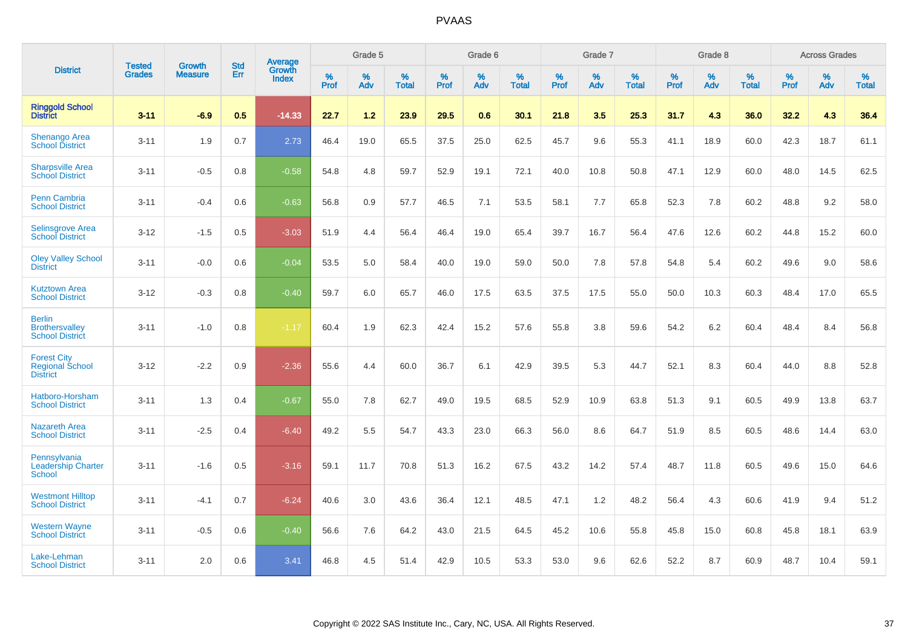|                                                                  |                                |                                 | <b>Std</b> | <b>Average</b>                |           | Grade 5  |                   |           | Grade 6  |                   |           | Grade 7  |                   |           | Grade 8  |                   |           | <b>Across Grades</b> |                   |
|------------------------------------------------------------------|--------------------------------|---------------------------------|------------|-------------------------------|-----------|----------|-------------------|-----------|----------|-------------------|-----------|----------|-------------------|-----------|----------|-------------------|-----------|----------------------|-------------------|
| <b>District</b>                                                  | <b>Tested</b><br><b>Grades</b> | <b>Growth</b><br><b>Measure</b> | Err        | <b>Growth</b><br><b>Index</b> | %<br>Prof | %<br>Adv | %<br><b>Total</b> | %<br>Prof | %<br>Adv | %<br><b>Total</b> | %<br>Prof | %<br>Adv | %<br><b>Total</b> | %<br>Prof | %<br>Adv | %<br><b>Total</b> | %<br>Prof | %<br>Adv             | %<br><b>Total</b> |
| <b>Ringgold School</b><br><b>District</b>                        | $3 - 11$                       | $-6.9$                          | 0.5        | $-14.33$                      | 22.7      | 1.2      | 23.9              | 29.5      | 0.6      | 30.1              | 21.8      | 3.5      | 25.3              | 31.7      | 4.3      | 36.0              | 32.2      | 4.3                  | 36.4              |
| <b>Shenango Area</b><br><b>School District</b>                   | $3 - 11$                       | 1.9                             | 0.7        | 2.73                          | 46.4      | 19.0     | 65.5              | 37.5      | 25.0     | 62.5              | 45.7      | 9.6      | 55.3              | 41.1      | 18.9     | 60.0              | 42.3      | 18.7                 | 61.1              |
| <b>Sharpsville Area</b><br><b>School District</b>                | $3 - 11$                       | $-0.5$                          | 0.8        | $-0.58$                       | 54.8      | 4.8      | 59.7              | 52.9      | 19.1     | 72.1              | 40.0      | 10.8     | 50.8              | 47.1      | 12.9     | 60.0              | 48.0      | 14.5                 | 62.5              |
| Penn Cambria<br><b>School District</b>                           | $3 - 11$                       | $-0.4$                          | 0.6        | $-0.63$                       | 56.8      | 0.9      | 57.7              | 46.5      | 7.1      | 53.5              | 58.1      | 7.7      | 65.8              | 52.3      | 7.8      | 60.2              | 48.8      | 9.2                  | 58.0              |
| <b>Selinsgrove Area</b><br><b>School District</b>                | $3 - 12$                       | $-1.5$                          | 0.5        | $-3.03$                       | 51.9      | 4.4      | 56.4              | 46.4      | 19.0     | 65.4              | 39.7      | 16.7     | 56.4              | 47.6      | 12.6     | 60.2              | 44.8      | 15.2                 | 60.0              |
| <b>Oley Valley School</b><br><b>District</b>                     | $3 - 11$                       | $-0.0$                          | 0.6        | $-0.04$                       | 53.5      | 5.0      | 58.4              | 40.0      | 19.0     | 59.0              | 50.0      | 7.8      | 57.8              | 54.8      | 5.4      | 60.2              | 49.6      | 9.0                  | 58.6              |
| <b>Kutztown Area</b><br><b>School District</b>                   | $3 - 12$                       | $-0.3$                          | 0.8        | $-0.40$                       | 59.7      | 6.0      | 65.7              | 46.0      | 17.5     | 63.5              | 37.5      | 17.5     | 55.0              | 50.0      | 10.3     | 60.3              | 48.4      | 17.0                 | 65.5              |
| <b>Berlin</b><br><b>Brothersvalley</b><br><b>School District</b> | $3 - 11$                       | $-1.0$                          | 0.8        | $-1.17$                       | 60.4      | 1.9      | 62.3              | 42.4      | 15.2     | 57.6              | 55.8      | 3.8      | 59.6              | 54.2      | $6.2\,$  | 60.4              | 48.4      | 8.4                  | 56.8              |
| <b>Forest City</b><br><b>Regional School</b><br><b>District</b>  | $3 - 12$                       | $-2.2$                          | 0.9        | $-2.36$                       | 55.6      | 4.4      | 60.0              | 36.7      | 6.1      | 42.9              | 39.5      | 5.3      | 44.7              | 52.1      | 8.3      | 60.4              | 44.0      | 8.8                  | 52.8              |
| Hatboro-Horsham<br><b>School District</b>                        | $3 - 11$                       | 1.3                             | 0.4        | $-0.67$                       | 55.0      | 7.8      | 62.7              | 49.0      | 19.5     | 68.5              | 52.9      | 10.9     | 63.8              | 51.3      | 9.1      | 60.5              | 49.9      | 13.8                 | 63.7              |
| <b>Nazareth Area</b><br><b>School District</b>                   | $3 - 11$                       | $-2.5$                          | 0.4        | $-6.40$                       | 49.2      | 5.5      | 54.7              | 43.3      | 23.0     | 66.3              | 56.0      | 8.6      | 64.7              | 51.9      | 8.5      | 60.5              | 48.6      | 14.4                 | 63.0              |
| Pennsylvania<br><b>Leadership Charter</b><br><b>School</b>       | $3 - 11$                       | $-1.6$                          | 0.5        | $-3.16$                       | 59.1      | 11.7     | 70.8              | 51.3      | 16.2     | 67.5              | 43.2      | 14.2     | 57.4              | 48.7      | 11.8     | 60.5              | 49.6      | 15.0                 | 64.6              |
| <b>Westmont Hilltop</b><br><b>School District</b>                | $3 - 11$                       | $-4.1$                          | 0.7        | $-6.24$                       | 40.6      | 3.0      | 43.6              | 36.4      | 12.1     | 48.5              | 47.1      | 1.2      | 48.2              | 56.4      | 4.3      | 60.6              | 41.9      | 9.4                  | 51.2              |
| <b>Western Wayne</b><br><b>School District</b>                   | $3 - 11$                       | $-0.5$                          | 0.6        | $-0.40$                       | 56.6      | 7.6      | 64.2              | 43.0      | 21.5     | 64.5              | 45.2      | 10.6     | 55.8              | 45.8      | 15.0     | 60.8              | 45.8      | 18.1                 | 63.9              |
| Lake-Lehman<br><b>School District</b>                            | $3 - 11$                       | 2.0                             | 0.6        | 3.41                          | 46.8      | 4.5      | 51.4              | 42.9      | 10.5     | 53.3              | 53.0      | 9.6      | 62.6              | 52.2      | 8.7      | 60.9              | 48.7      | 10.4                 | 59.1              |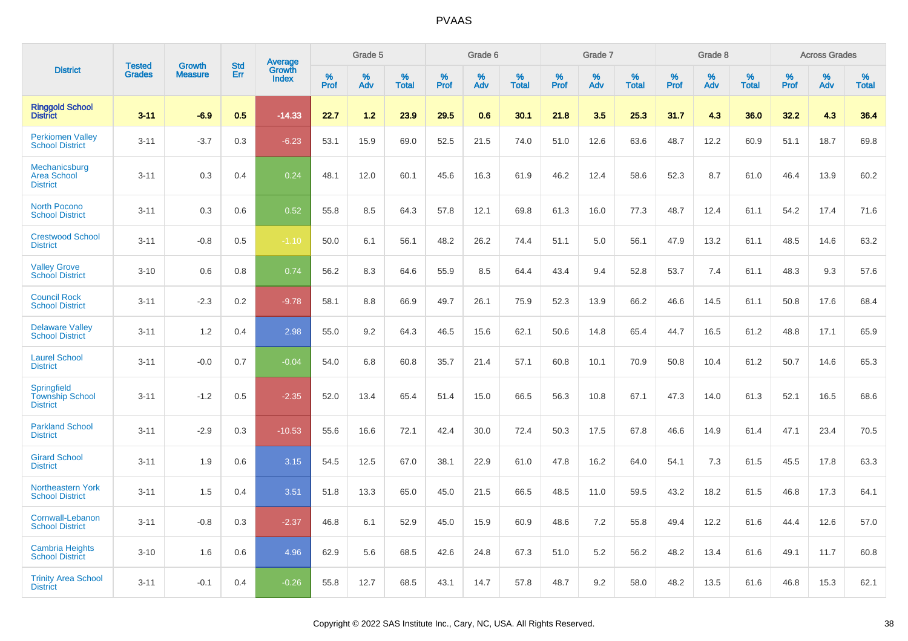|                                                          | <b>Tested</b> | <b>Growth</b>  | <b>Std</b> | Average                |              | Grade 5  |                   |              | Grade 6  |                   |              | Grade 7  |                   |              | Grade 8  |                   |              | <b>Across Grades</b> |                   |
|----------------------------------------------------------|---------------|----------------|------------|------------------------|--------------|----------|-------------------|--------------|----------|-------------------|--------------|----------|-------------------|--------------|----------|-------------------|--------------|----------------------|-------------------|
| <b>District</b>                                          | <b>Grades</b> | <b>Measure</b> | Err        | Growth<br><b>Index</b> | $\%$<br>Prof | %<br>Adv | %<br><b>Total</b> | $\%$<br>Prof | %<br>Adv | %<br><b>Total</b> | $\%$<br>Prof | %<br>Adv | %<br><b>Total</b> | $\%$<br>Prof | %<br>Adv | %<br><b>Total</b> | $\%$<br>Prof | %<br>Adv             | %<br><b>Total</b> |
| <b>Ringgold School</b><br><b>District</b>                | $3 - 11$      | $-6.9$         | 0.5        | $-14.33$               | 22.7         | 1.2      | 23.9              | 29.5         | 0.6      | 30.1              | 21.8         | 3.5      | 25.3              | 31.7         | 4.3      | 36.0              | 32.2         | 4.3                  | 36.4              |
| <b>Perkiomen Valley</b><br><b>School District</b>        | $3 - 11$      | $-3.7$         | 0.3        | $-6.23$                | 53.1         | 15.9     | 69.0              | 52.5         | 21.5     | 74.0              | 51.0         | 12.6     | 63.6              | 48.7         | 12.2     | 60.9              | 51.1         | 18.7                 | 69.8              |
| Mechanicsburg<br><b>Area School</b><br><b>District</b>   | $3 - 11$      | 0.3            | 0.4        | 0.24                   | 48.1         | 12.0     | 60.1              | 45.6         | 16.3     | 61.9              | 46.2         | 12.4     | 58.6              | 52.3         | 8.7      | 61.0              | 46.4         | 13.9                 | 60.2              |
| <b>North Pocono</b><br><b>School District</b>            | $3 - 11$      | 0.3            | 0.6        | 0.52                   | 55.8         | 8.5      | 64.3              | 57.8         | 12.1     | 69.8              | 61.3         | 16.0     | 77.3              | 48.7         | 12.4     | 61.1              | 54.2         | 17.4                 | 71.6              |
| <b>Crestwood School</b><br><b>District</b>               | $3 - 11$      | $-0.8$         | 0.5        | $-1.10$                | 50.0         | 6.1      | 56.1              | 48.2         | 26.2     | 74.4              | 51.1         | 5.0      | 56.1              | 47.9         | 13.2     | 61.1              | 48.5         | 14.6                 | 63.2              |
| <b>Valley Grove</b><br><b>School District</b>            | $3 - 10$      | 0.6            | 0.8        | 0.74                   | 56.2         | 8.3      | 64.6              | 55.9         | 8.5      | 64.4              | 43.4         | 9.4      | 52.8              | 53.7         | 7.4      | 61.1              | 48.3         | 9.3                  | 57.6              |
| <b>Council Rock</b><br><b>School District</b>            | $3 - 11$      | $-2.3$         | 0.2        | $-9.78$                | 58.1         | 8.8      | 66.9              | 49.7         | 26.1     | 75.9              | 52.3         | 13.9     | 66.2              | 46.6         | 14.5     | 61.1              | 50.8         | 17.6                 | 68.4              |
| <b>Delaware Valley</b><br><b>School District</b>         | $3 - 11$      | 1.2            | 0.4        | 2.98                   | 55.0         | 9.2      | 64.3              | 46.5         | 15.6     | 62.1              | 50.6         | 14.8     | 65.4              | 44.7         | 16.5     | 61.2              | 48.8         | 17.1                 | 65.9              |
| <b>Laurel School</b><br><b>District</b>                  | $3 - 11$      | $-0.0$         | 0.7        | $-0.04$                | 54.0         | 6.8      | 60.8              | 35.7         | 21.4     | 57.1              | 60.8         | 10.1     | 70.9              | 50.8         | 10.4     | 61.2              | 50.7         | 14.6                 | 65.3              |
| Springfield<br><b>Township School</b><br><b>District</b> | $3 - 11$      | $-1.2$         | 0.5        | $-2.35$                | 52.0         | 13.4     | 65.4              | 51.4         | 15.0     | 66.5              | 56.3         | 10.8     | 67.1              | 47.3         | 14.0     | 61.3              | 52.1         | 16.5                 | 68.6              |
| <b>Parkland School</b><br><b>District</b>                | $3 - 11$      | $-2.9$         | 0.3        | $-10.53$               | 55.6         | 16.6     | 72.1              | 42.4         | 30.0     | 72.4              | 50.3         | 17.5     | 67.8              | 46.6         | 14.9     | 61.4              | 47.1         | 23.4                 | 70.5              |
| <b>Girard School</b><br><b>District</b>                  | $3 - 11$      | 1.9            | 0.6        | 3.15                   | 54.5         | 12.5     | 67.0              | 38.1         | 22.9     | 61.0              | 47.8         | 16.2     | 64.0              | 54.1         | 7.3      | 61.5              | 45.5         | 17.8                 | 63.3              |
| Northeastern York<br><b>School District</b>              | $3 - 11$      | 1.5            | 0.4        | 3.51                   | 51.8         | 13.3     | 65.0              | 45.0         | 21.5     | 66.5              | 48.5         | 11.0     | 59.5              | 43.2         | 18.2     | 61.5              | 46.8         | 17.3                 | 64.1              |
| Cornwall-Lebanon<br><b>School District</b>               | $3 - 11$      | $-0.8$         | 0.3        | $-2.37$                | 46.8         | 6.1      | 52.9              | 45.0         | 15.9     | 60.9              | 48.6         | 7.2      | 55.8              | 49.4         | 12.2     | 61.6              | 44.4         | 12.6                 | 57.0              |
| <b>Cambria Heights</b><br><b>School District</b>         | $3 - 10$      | 1.6            | 0.6        | 4.96                   | 62.9         | 5.6      | 68.5              | 42.6         | 24.8     | 67.3              | 51.0         | 5.2      | 56.2              | 48.2         | 13.4     | 61.6              | 49.1         | 11.7                 | 60.8              |
| <b>Trinity Area School</b><br><b>District</b>            | $3 - 11$      | $-0.1$         | 0.4        | $-0.26$                | 55.8         | 12.7     | 68.5              | 43.1         | 14.7     | 57.8              | 48.7         | 9.2      | 58.0              | 48.2         | 13.5     | 61.6              | 46.8         | 15.3                 | 62.1              |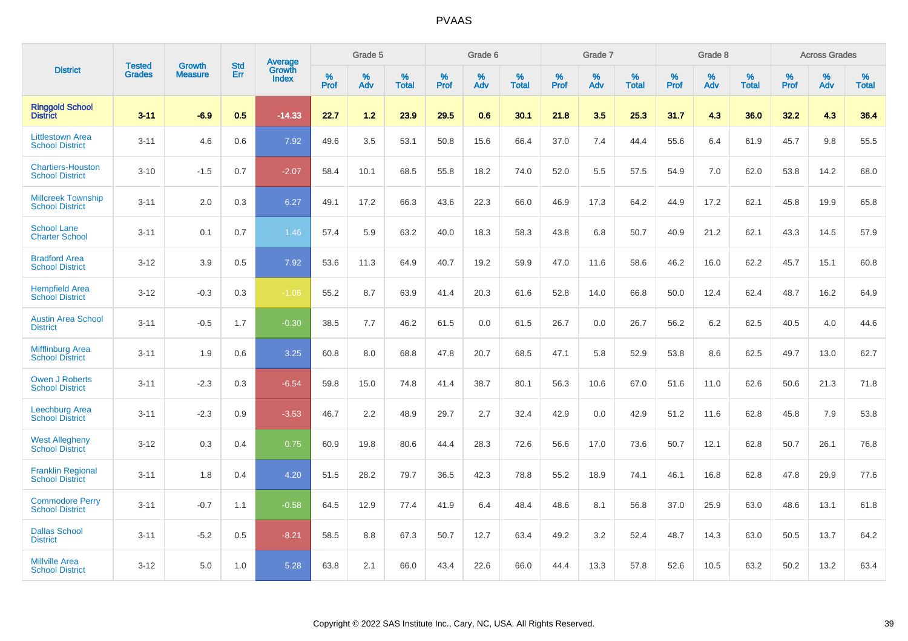|                                                     |                                | <b>Growth</b>  | <b>Std</b> | Average                |           | Grade 5  |                   |           | Grade 6  |                   |           | Grade 7  |                   |           | Grade 8  |                   |           | <b>Across Grades</b> |                   |
|-----------------------------------------------------|--------------------------------|----------------|------------|------------------------|-----------|----------|-------------------|-----------|----------|-------------------|-----------|----------|-------------------|-----------|----------|-------------------|-----------|----------------------|-------------------|
| <b>District</b>                                     | <b>Tested</b><br><b>Grades</b> | <b>Measure</b> | Err        | Growth<br><b>Index</b> | %<br>Prof | %<br>Adv | %<br><b>Total</b> | %<br>Prof | %<br>Adv | %<br><b>Total</b> | %<br>Prof | %<br>Adv | %<br><b>Total</b> | %<br>Prof | %<br>Adv | %<br><b>Total</b> | %<br>Prof | %<br>Adv             | %<br><b>Total</b> |
| <b>Ringgold School</b><br>District                  | $3 - 11$                       | $-6.9$         | 0.5        | $-14.33$               | 22.7      | 1.2      | 23.9              | 29.5      | 0.6      | 30.1              | 21.8      | 3.5      | 25.3              | 31.7      | 4.3      | 36.0              | 32.2      | 4.3                  | 36.4              |
| <b>Littlestown Area</b><br><b>School District</b>   | $3 - 11$                       | 4.6            | 0.6        | 7.92                   | 49.6      | 3.5      | 53.1              | 50.8      | 15.6     | 66.4              | 37.0      | 7.4      | 44.4              | 55.6      | 6.4      | 61.9              | 45.7      | 9.8                  | 55.5              |
| <b>Chartiers-Houston</b><br><b>School District</b>  | $3 - 10$                       | $-1.5$         | 0.7        | $-2.07$                | 58.4      | 10.1     | 68.5              | 55.8      | 18.2     | 74.0              | 52.0      | 5.5      | 57.5              | 54.9      | 7.0      | 62.0              | 53.8      | 14.2                 | 68.0              |
| <b>Millcreek Township</b><br><b>School District</b> | $3 - 11$                       | 2.0            | 0.3        | 6.27                   | 49.1      | 17.2     | 66.3              | 43.6      | 22.3     | 66.0              | 46.9      | 17.3     | 64.2              | 44.9      | 17.2     | 62.1              | 45.8      | 19.9                 | 65.8              |
| <b>School Lane</b><br><b>Charter School</b>         | $3 - 11$                       | 0.1            | 0.7        | 1.46                   | 57.4      | 5.9      | 63.2              | 40.0      | 18.3     | 58.3              | 43.8      | 6.8      | 50.7              | 40.9      | 21.2     | 62.1              | 43.3      | 14.5                 | 57.9              |
| <b>Bradford Area</b><br><b>School District</b>      | $3 - 12$                       | 3.9            | 0.5        | 7.92                   | 53.6      | 11.3     | 64.9              | 40.7      | 19.2     | 59.9              | 47.0      | 11.6     | 58.6              | 46.2      | 16.0     | 62.2              | 45.7      | 15.1                 | 60.8              |
| <b>Hempfield Area</b><br><b>School District</b>     | $3 - 12$                       | $-0.3$         | 0.3        | $-1.06$                | 55.2      | 8.7      | 63.9              | 41.4      | 20.3     | 61.6              | 52.8      | 14.0     | 66.8              | 50.0      | 12.4     | 62.4              | 48.7      | 16.2                 | 64.9              |
| <b>Austin Area School</b><br><b>District</b>        | $3 - 11$                       | $-0.5$         | 1.7        | $-0.30$                | 38.5      | 7.7      | 46.2              | 61.5      | 0.0      | 61.5              | 26.7      | 0.0      | 26.7              | 56.2      | 6.2      | 62.5              | 40.5      | 4.0                  | 44.6              |
| Mifflinburg Area<br><b>School District</b>          | $3 - 11$                       | 1.9            | 0.6        | 3.25                   | 60.8      | 8.0      | 68.8              | 47.8      | 20.7     | 68.5              | 47.1      | 5.8      | 52.9              | 53.8      | 8.6      | 62.5              | 49.7      | 13.0                 | 62.7              |
| <b>Owen J Roberts</b><br><b>School District</b>     | $3 - 11$                       | $-2.3$         | 0.3        | $-6.54$                | 59.8      | 15.0     | 74.8              | 41.4      | 38.7     | 80.1              | 56.3      | 10.6     | 67.0              | 51.6      | 11.0     | 62.6              | 50.6      | 21.3                 | 71.8              |
| Leechburg Area<br><b>School District</b>            | $3 - 11$                       | $-2.3$         | 0.9        | $-3.53$                | 46.7      | 2.2      | 48.9              | 29.7      | 2.7      | 32.4              | 42.9      | 0.0      | 42.9              | 51.2      | 11.6     | 62.8              | 45.8      | 7.9                  | 53.8              |
| <b>West Allegheny</b><br><b>School District</b>     | $3 - 12$                       | 0.3            | 0.4        | 0.75                   | 60.9      | 19.8     | 80.6              | 44.4      | 28.3     | 72.6              | 56.6      | 17.0     | 73.6              | 50.7      | 12.1     | 62.8              | 50.7      | 26.1                 | 76.8              |
| <b>Franklin Regional</b><br><b>School District</b>  | $3 - 11$                       | 1.8            | 0.4        | 4.20                   | 51.5      | 28.2     | 79.7              | 36.5      | 42.3     | 78.8              | 55.2      | 18.9     | 74.1              | 46.1      | 16.8     | 62.8              | 47.8      | 29.9                 | 77.6              |
| <b>Commodore Perry</b><br><b>School District</b>    | $3 - 11$                       | $-0.7$         | 1.1        | $-0.58$                | 64.5      | 12.9     | 77.4              | 41.9      | 6.4      | 48.4              | 48.6      | 8.1      | 56.8              | 37.0      | 25.9     | 63.0              | 48.6      | 13.1                 | 61.8              |
| <b>Dallas School</b><br><b>District</b>             | $3 - 11$                       | $-5.2$         | 0.5        | $-8.21$                | 58.5      | 8.8      | 67.3              | 50.7      | 12.7     | 63.4              | 49.2      | 3.2      | 52.4              | 48.7      | 14.3     | 63.0              | 50.5      | 13.7                 | 64.2              |
| <b>Millville Area</b><br><b>School District</b>     | $3 - 12$                       | 5.0            | 1.0        | 5.28                   | 63.8      | 2.1      | 66.0              | 43.4      | 22.6     | 66.0              | 44.4      | 13.3     | 57.8              | 52.6      | 10.5     | 63.2              | 50.2      | 13.2                 | 63.4              |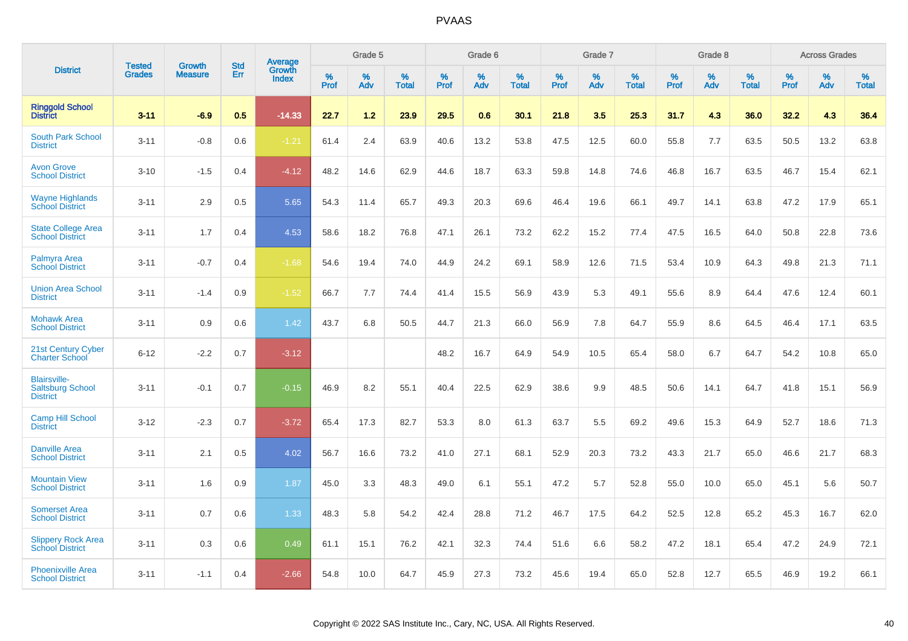|                                                                   | <b>Tested</b> | <b>Growth</b>  | <b>Std</b> | Average                |              | Grade 5  |                      |                     | Grade 6     |                      |              | Grade 7     |                   |              | Grade 8     |                   |                     | <b>Across Grades</b> |                   |
|-------------------------------------------------------------------|---------------|----------------|------------|------------------------|--------------|----------|----------------------|---------------------|-------------|----------------------|--------------|-------------|-------------------|--------------|-------------|-------------------|---------------------|----------------------|-------------------|
| <b>District</b>                                                   | <b>Grades</b> | <b>Measure</b> | Err        | Growth<br><b>Index</b> | $\%$<br>Prof | %<br>Adv | $\%$<br><b>Total</b> | $\%$<br><b>Prof</b> | $\%$<br>Adv | $\%$<br><b>Total</b> | $\%$<br>Prof | $\%$<br>Adv | %<br><b>Total</b> | $\%$<br>Prof | $\%$<br>Adv | %<br><b>Total</b> | $\%$<br><b>Prof</b> | $\%$<br>Adv          | %<br><b>Total</b> |
| <b>Ringgold School</b><br><b>District</b>                         | $3 - 11$      | $-6.9$         | 0.5        | $-14.33$               | 22.7         | 1.2      | 23.9                 | 29.5                | 0.6         | 30.1                 | 21.8         | 3.5         | 25.3              | 31.7         | 4.3         | 36.0              | 32.2                | 4.3                  | 36.4              |
| <b>South Park School</b><br><b>District</b>                       | $3 - 11$      | $-0.8$         | 0.6        | $-1.21$                | 61.4         | 2.4      | 63.9                 | 40.6                | 13.2        | 53.8                 | 47.5         | 12.5        | 60.0              | 55.8         | 7.7         | 63.5              | 50.5                | 13.2                 | 63.8              |
| <b>Avon Grove</b><br><b>School District</b>                       | $3 - 10$      | $-1.5$         | 0.4        | $-4.12$                | 48.2         | 14.6     | 62.9                 | 44.6                | 18.7        | 63.3                 | 59.8         | 14.8        | 74.6              | 46.8         | 16.7        | 63.5              | 46.7                | 15.4                 | 62.1              |
| <b>Wayne Highlands</b><br><b>School District</b>                  | $3 - 11$      | 2.9            | 0.5        | 5.65                   | 54.3         | 11.4     | 65.7                 | 49.3                | 20.3        | 69.6                 | 46.4         | 19.6        | 66.1              | 49.7         | 14.1        | 63.8              | 47.2                | 17.9                 | 65.1              |
| <b>State College Area</b><br><b>School District</b>               | $3 - 11$      | 1.7            | 0.4        | 4.53                   | 58.6         | 18.2     | 76.8                 | 47.1                | 26.1        | 73.2                 | 62.2         | 15.2        | 77.4              | 47.5         | 16.5        | 64.0              | 50.8                | 22.8                 | 73.6              |
| Palmyra Area<br><b>School District</b>                            | $3 - 11$      | $-0.7$         | 0.4        | $-1.68$                | 54.6         | 19.4     | 74.0                 | 44.9                | 24.2        | 69.1                 | 58.9         | 12.6        | 71.5              | 53.4         | 10.9        | 64.3              | 49.8                | 21.3                 | 71.1              |
| <b>Union Area School</b><br><b>District</b>                       | $3 - 11$      | $-1.4$         | 0.9        | $-1.52$                | 66.7         | 7.7      | 74.4                 | 41.4                | 15.5        | 56.9                 | 43.9         | 5.3         | 49.1              | 55.6         | 8.9         | 64.4              | 47.6                | 12.4                 | 60.1              |
| <b>Mohawk Area</b><br><b>School District</b>                      | $3 - 11$      | 0.9            | 0.6        | 1.42                   | 43.7         | 6.8      | 50.5                 | 44.7                | 21.3        | 66.0                 | 56.9         | 7.8         | 64.7              | 55.9         | 8.6         | 64.5              | 46.4                | 17.1                 | 63.5              |
| 21st Century Cyber<br><b>Charter School</b>                       | $6 - 12$      | $-2.2$         | 0.7        | $-3.12$                |              |          |                      | 48.2                | 16.7        | 64.9                 | 54.9         | 10.5        | 65.4              | 58.0         | 6.7         | 64.7              | 54.2                | 10.8                 | 65.0              |
| <b>Blairsville-</b><br><b>Saltsburg School</b><br><b>District</b> | $3 - 11$      | $-0.1$         | 0.7        | $-0.15$                | 46.9         | 8.2      | 55.1                 | 40.4                | 22.5        | 62.9                 | 38.6         | 9.9         | 48.5              | 50.6         | 14.1        | 64.7              | 41.8                | 15.1                 | 56.9              |
| <b>Camp Hill School</b><br><b>District</b>                        | $3 - 12$      | $-2.3$         | 0.7        | $-3.72$                | 65.4         | 17.3     | 82.7                 | 53.3                | 8.0         | 61.3                 | 63.7         | 5.5         | 69.2              | 49.6         | 15.3        | 64.9              | 52.7                | 18.6                 | 71.3              |
| <b>Danville Area</b><br><b>School District</b>                    | $3 - 11$      | 2.1            | 0.5        | 4.02                   | 56.7         | 16.6     | 73.2                 | 41.0                | 27.1        | 68.1                 | 52.9         | 20.3        | 73.2              | 43.3         | 21.7        | 65.0              | 46.6                | 21.7                 | 68.3              |
| <b>Mountain View</b><br><b>School District</b>                    | $3 - 11$      | 1.6            | 0.9        | 1.87                   | 45.0         | 3.3      | 48.3                 | 49.0                | 6.1         | 55.1                 | 47.2         | 5.7         | 52.8              | 55.0         | 10.0        | 65.0              | 45.1                | 5.6                  | 50.7              |
| <b>Somerset Area</b><br><b>School District</b>                    | $3 - 11$      | 0.7            | 0.6        | 1.33                   | 48.3         | 5.8      | 54.2                 | 42.4                | 28.8        | 71.2                 | 46.7         | 17.5        | 64.2              | 52.5         | 12.8        | 65.2              | 45.3                | 16.7                 | 62.0              |
| <b>Slippery Rock Area</b><br>School District                      | $3 - 11$      | 0.3            | 0.6        | 0.49                   | 61.1         | 15.1     | 76.2                 | 42.1                | 32.3        | 74.4                 | 51.6         | 6.6         | 58.2              | 47.2         | 18.1        | 65.4              | 47.2                | 24.9                 | 72.1              |
| <b>Phoenixville Area</b><br><b>School District</b>                | $3 - 11$      | $-1.1$         | 0.4        | $-2.66$                | 54.8         | 10.0     | 64.7                 | 45.9                | 27.3        | 73.2                 | 45.6         | 19.4        | 65.0              | 52.8         | 12.7        | 65.5              | 46.9                | 19.2                 | 66.1              |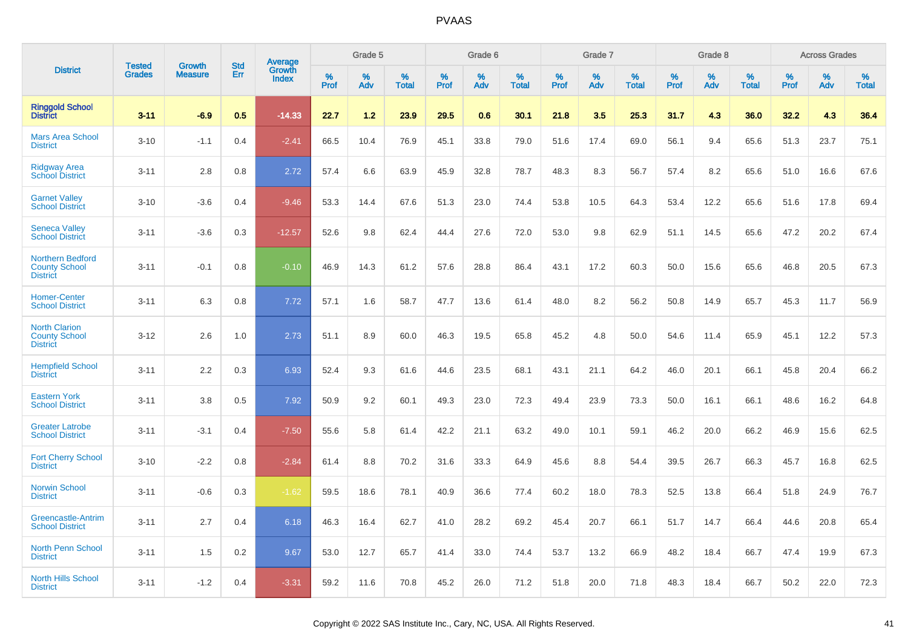|                                                                    |                                |                                 | <b>Std</b> | Average                |              | Grade 5  |                   |           | Grade 6  |                   |           | Grade 7  |                   |           | Grade 8  |                   |           | <b>Across Grades</b> |                   |
|--------------------------------------------------------------------|--------------------------------|---------------------------------|------------|------------------------|--------------|----------|-------------------|-----------|----------|-------------------|-----------|----------|-------------------|-----------|----------|-------------------|-----------|----------------------|-------------------|
| <b>District</b>                                                    | <b>Tested</b><br><b>Grades</b> | <b>Growth</b><br><b>Measure</b> | Err        | Growth<br><b>Index</b> | $\%$<br>Prof | %<br>Adv | %<br><b>Total</b> | %<br>Prof | %<br>Adv | %<br><b>Total</b> | %<br>Prof | %<br>Adv | %<br><b>Total</b> | %<br>Prof | %<br>Adv | %<br><b>Total</b> | %<br>Prof | %<br>Adv             | %<br><b>Total</b> |
| <b>Ringgold School</b><br><b>District</b>                          | $3 - 11$                       | $-6.9$                          | 0.5        | $-14.33$               | 22.7         | 1.2      | 23.9              | 29.5      | 0.6      | 30.1              | 21.8      | 3.5      | 25.3              | 31.7      | 4.3      | 36.0              | 32.2      | 4.3                  | 36.4              |
| <b>Mars Area School</b><br><b>District</b>                         | $3 - 10$                       | $-1.1$                          | 0.4        | $-2.41$                | 66.5         | 10.4     | 76.9              | 45.1      | 33.8     | 79.0              | 51.6      | 17.4     | 69.0              | 56.1      | 9.4      | 65.6              | 51.3      | 23.7                 | 75.1              |
| <b>Ridgway Area</b><br><b>School District</b>                      | $3 - 11$                       | 2.8                             | 0.8        | 2.72                   | 57.4         | 6.6      | 63.9              | 45.9      | 32.8     | 78.7              | 48.3      | 8.3      | 56.7              | 57.4      | 8.2      | 65.6              | 51.0      | 16.6                 | 67.6              |
| <b>Garnet Valley</b><br><b>School District</b>                     | $3 - 10$                       | $-3.6$                          | 0.4        | $-9.46$                | 53.3         | 14.4     | 67.6              | 51.3      | 23.0     | 74.4              | 53.8      | 10.5     | 64.3              | 53.4      | 12.2     | 65.6              | 51.6      | 17.8                 | 69.4              |
| <b>Seneca Valley</b><br><b>School District</b>                     | $3 - 11$                       | $-3.6$                          | 0.3        | $-12.57$               | 52.6         | 9.8      | 62.4              | 44.4      | 27.6     | 72.0              | 53.0      | 9.8      | 62.9              | 51.1      | 14.5     | 65.6              | 47.2      | 20.2                 | 67.4              |
| <b>Northern Bedford</b><br><b>County School</b><br><b>District</b> | $3 - 11$                       | $-0.1$                          | 0.8        | $-0.10$                | 46.9         | 14.3     | 61.2              | 57.6      | 28.8     | 86.4              | 43.1      | 17.2     | 60.3              | 50.0      | 15.6     | 65.6              | 46.8      | 20.5                 | 67.3              |
| <b>Homer-Center</b><br><b>School District</b>                      | $3 - 11$                       | 6.3                             | 0.8        | 7.72                   | 57.1         | 1.6      | 58.7              | 47.7      | 13.6     | 61.4              | 48.0      | 8.2      | 56.2              | 50.8      | 14.9     | 65.7              | 45.3      | 11.7                 | 56.9              |
| <b>North Clarion</b><br><b>County School</b><br><b>District</b>    | $3 - 12$                       | 2.6                             | 1.0        | 2.73                   | 51.1         | 8.9      | 60.0              | 46.3      | 19.5     | 65.8              | 45.2      | 4.8      | 50.0              | 54.6      | 11.4     | 65.9              | 45.1      | 12.2                 | 57.3              |
| <b>Hempfield School</b><br><b>District</b>                         | $3 - 11$                       | 2.2                             | 0.3        | 6.93                   | 52.4         | 9.3      | 61.6              | 44.6      | 23.5     | 68.1              | 43.1      | 21.1     | 64.2              | 46.0      | 20.1     | 66.1              | 45.8      | 20.4                 | 66.2              |
| <b>Eastern York</b><br><b>School District</b>                      | $3 - 11$                       | 3.8                             | 0.5        | 7.92                   | 50.9         | 9.2      | 60.1              | 49.3      | 23.0     | 72.3              | 49.4      | 23.9     | 73.3              | 50.0      | 16.1     | 66.1              | 48.6      | 16.2                 | 64.8              |
| <b>Greater Latrobe</b><br><b>School District</b>                   | $3 - 11$                       | $-3.1$                          | 0.4        | $-7.50$                | 55.6         | 5.8      | 61.4              | 42.2      | 21.1     | 63.2              | 49.0      | 10.1     | 59.1              | 46.2      | 20.0     | 66.2              | 46.9      | 15.6                 | 62.5              |
| <b>Fort Cherry School</b><br><b>District</b>                       | $3 - 10$                       | $-2.2$                          | 0.8        | $-2.84$                | 61.4         | 8.8      | 70.2              | 31.6      | 33.3     | 64.9              | 45.6      | 8.8      | 54.4              | 39.5      | 26.7     | 66.3              | 45.7      | 16.8                 | 62.5              |
| Norwin School<br><b>District</b>                                   | $3 - 11$                       | $-0.6$                          | 0.3        | $-1.62$                | 59.5         | 18.6     | 78.1              | 40.9      | 36.6     | 77.4              | 60.2      | 18.0     | 78.3              | 52.5      | 13.8     | 66.4              | 51.8      | 24.9                 | 76.7              |
| <b>Greencastle-Antrim</b><br><b>School District</b>                | $3 - 11$                       | 2.7                             | 0.4        | 6.18                   | 46.3         | 16.4     | 62.7              | 41.0      | 28.2     | 69.2              | 45.4      | 20.7     | 66.1              | 51.7      | 14.7     | 66.4              | 44.6      | 20.8                 | 65.4              |
| <b>North Penn School</b><br><b>District</b>                        | $3 - 11$                       | 1.5                             | 0.2        | 9.67                   | 53.0         | 12.7     | 65.7              | 41.4      | 33.0     | 74.4              | 53.7      | 13.2     | 66.9              | 48.2      | 18.4     | 66.7              | 47.4      | 19.9                 | 67.3              |
| <b>North Hills School</b><br><b>District</b>                       | $3 - 11$                       | $-1.2$                          | 0.4        | $-3.31$                | 59.2         | 11.6     | 70.8              | 45.2      | 26.0     | 71.2              | 51.8      | 20.0     | 71.8              | 48.3      | 18.4     | 66.7              | 50.2      | 22.0                 | 72.3              |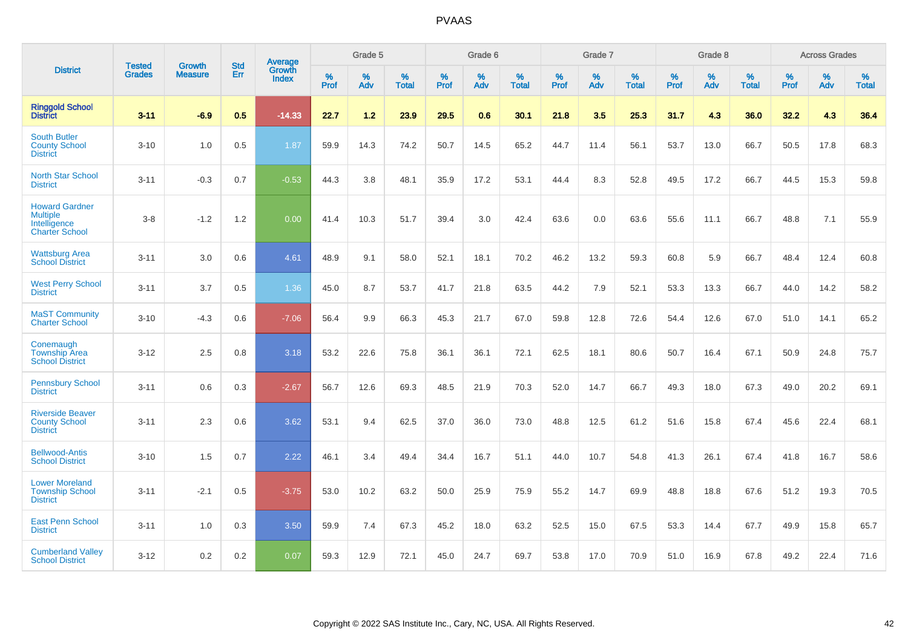|                                                                                   | <b>Tested</b> | <b>Growth</b>  | <b>Std</b> | Average                |                     | Grade 5  |                   |                  | Grade 6  |                   |                     | Grade 7  |                   |           | Grade 8  |                   |           | <b>Across Grades</b> |                   |
|-----------------------------------------------------------------------------------|---------------|----------------|------------|------------------------|---------------------|----------|-------------------|------------------|----------|-------------------|---------------------|----------|-------------------|-----------|----------|-------------------|-----------|----------------------|-------------------|
| <b>District</b>                                                                   | <b>Grades</b> | <b>Measure</b> | Err        | Growth<br><b>Index</b> | $\%$<br><b>Prof</b> | %<br>Adv | %<br><b>Total</b> | %<br><b>Prof</b> | %<br>Adv | %<br><b>Total</b> | $\%$<br><b>Prof</b> | %<br>Adv | %<br><b>Total</b> | %<br>Prof | %<br>Adv | %<br><b>Total</b> | %<br>Prof | %<br>Adv             | %<br><b>Total</b> |
| <b>Ringgold School</b><br><b>District</b>                                         | $3 - 11$      | $-6.9$         | 0.5        | $-14.33$               | 22.7                | $1.2$    | 23.9              | 29.5             | 0.6      | 30.1              | 21.8                | 3.5      | 25.3              | 31.7      | 4.3      | 36.0              | 32.2      | 4.3                  | 36.4              |
| <b>South Butler</b><br><b>County School</b><br><b>District</b>                    | $3 - 10$      | 1.0            | 0.5        | 1.87                   | 59.9                | 14.3     | 74.2              | 50.7             | 14.5     | 65.2              | 44.7                | 11.4     | 56.1              | 53.7      | 13.0     | 66.7              | 50.5      | 17.8                 | 68.3              |
| <b>North Star School</b><br><b>District</b>                                       | $3 - 11$      | $-0.3$         | 0.7        | $-0.53$                | 44.3                | 3.8      | 48.1              | 35.9             | 17.2     | 53.1              | 44.4                | 8.3      | 52.8              | 49.5      | 17.2     | 66.7              | 44.5      | 15.3                 | 59.8              |
| <b>Howard Gardner</b><br><b>Multiple</b><br>Intelligence<br><b>Charter School</b> | $3-8$         | $-1.2$         | 1.2        | 0.00                   | 41.4                | 10.3     | 51.7              | 39.4             | 3.0      | 42.4              | 63.6                | 0.0      | 63.6              | 55.6      | 11.1     | 66.7              | 48.8      | 7.1                  | 55.9              |
| <b>Wattsburg Area</b><br><b>School District</b>                                   | $3 - 11$      | 3.0            | 0.6        | 4.61                   | 48.9                | 9.1      | 58.0              | 52.1             | 18.1     | 70.2              | 46.2                | 13.2     | 59.3              | 60.8      | 5.9      | 66.7              | 48.4      | 12.4                 | 60.8              |
| <b>West Perry School</b><br><b>District</b>                                       | $3 - 11$      | 3.7            | 0.5        | 1.36                   | 45.0                | 8.7      | 53.7              | 41.7             | 21.8     | 63.5              | 44.2                | 7.9      | 52.1              | 53.3      | 13.3     | 66.7              | 44.0      | 14.2                 | 58.2              |
| <b>MaST Community</b><br><b>Charter School</b>                                    | $3 - 10$      | $-4.3$         | 0.6        | $-7.06$                | 56.4                | 9.9      | 66.3              | 45.3             | 21.7     | 67.0              | 59.8                | 12.8     | 72.6              | 54.4      | 12.6     | 67.0              | 51.0      | 14.1                 | 65.2              |
| Conemaugh<br><b>Township Area</b><br><b>School District</b>                       | $3 - 12$      | 2.5            | 0.8        | 3.18                   | 53.2                | 22.6     | 75.8              | 36.1             | 36.1     | 72.1              | 62.5                | 18.1     | 80.6              | 50.7      | 16.4     | 67.1              | 50.9      | 24.8                 | 75.7              |
| <b>Pennsbury School</b><br><b>District</b>                                        | $3 - 11$      | 0.6            | 0.3        | $-2.67$                | 56.7                | 12.6     | 69.3              | 48.5             | 21.9     | 70.3              | 52.0                | 14.7     | 66.7              | 49.3      | 18.0     | 67.3              | 49.0      | 20.2                 | 69.1              |
| <b>Riverside Beaver</b><br><b>County School</b><br><b>District</b>                | $3 - 11$      | 2.3            | 0.6        | 3.62                   | 53.1                | 9.4      | 62.5              | 37.0             | 36.0     | 73.0              | 48.8                | 12.5     | 61.2              | 51.6      | 15.8     | 67.4              | 45.6      | 22.4                 | 68.1              |
| <b>Bellwood-Antis</b><br><b>School District</b>                                   | $3 - 10$      | 1.5            | 0.7        | 2.22                   | 46.1                | 3.4      | 49.4              | 34.4             | 16.7     | 51.1              | 44.0                | 10.7     | 54.8              | 41.3      | 26.1     | 67.4              | 41.8      | 16.7                 | 58.6              |
| <b>Lower Moreland</b><br><b>Township School</b><br><b>District</b>                | $3 - 11$      | $-2.1$         | 0.5        | $-3.75$                | 53.0                | 10.2     | 63.2              | 50.0             | 25.9     | 75.9              | 55.2                | 14.7     | 69.9              | 48.8      | 18.8     | 67.6              | 51.2      | 19.3                 | 70.5              |
| <b>East Penn School</b><br><b>District</b>                                        | $3 - 11$      | 1.0            | 0.3        | 3.50                   | 59.9                | 7.4      | 67.3              | 45.2             | 18.0     | 63.2              | 52.5                | 15.0     | 67.5              | 53.3      | 14.4     | 67.7              | 49.9      | 15.8                 | 65.7              |
| <b>Cumberland Valley</b><br><b>School District</b>                                | $3 - 12$      | 0.2            | 0.2        | 0.07                   | 59.3                | 12.9     | 72.1              | 45.0             | 24.7     | 69.7              | 53.8                | 17.0     | 70.9              | 51.0      | 16.9     | 67.8              | 49.2      | 22.4                 | 71.6              |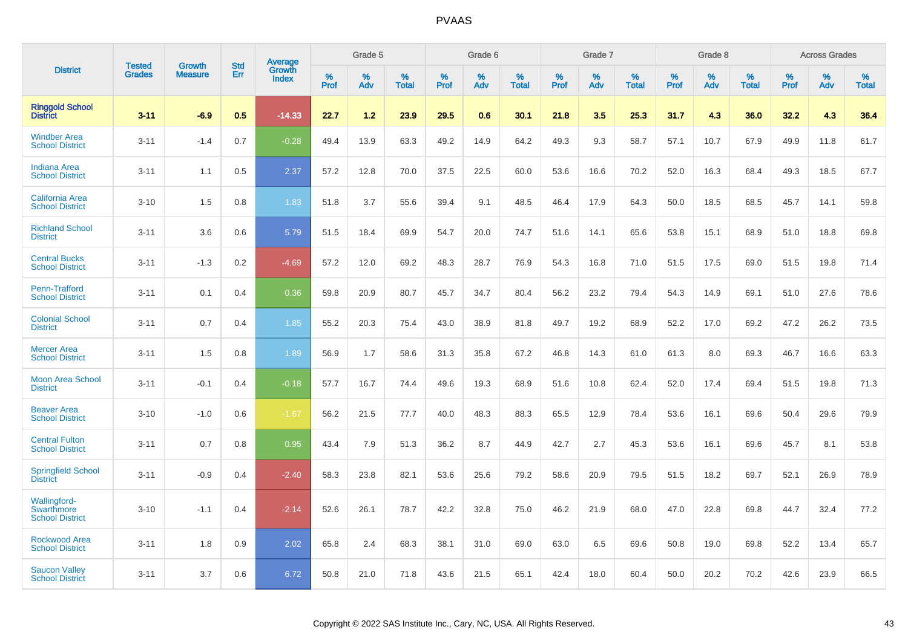|                                                      |                                |                          | <b>Std</b> | Average                |              | Grade 5     |                      |                     | Grade 6     |                      |              | Grade 7     |                      |              | Grade 8     |                   |                     | <b>Across Grades</b> |                      |
|------------------------------------------------------|--------------------------------|--------------------------|------------|------------------------|--------------|-------------|----------------------|---------------------|-------------|----------------------|--------------|-------------|----------------------|--------------|-------------|-------------------|---------------------|----------------------|----------------------|
| <b>District</b>                                      | <b>Tested</b><br><b>Grades</b> | Growth<br><b>Measure</b> | Err        | Growth<br><b>Index</b> | $\%$<br>Prof | $\%$<br>Adv | $\%$<br><b>Total</b> | $\%$<br><b>Prof</b> | $\%$<br>Adv | $\%$<br><b>Total</b> | $\%$<br>Prof | $\%$<br>Adv | $\%$<br><b>Total</b> | $\%$<br>Prof | $\%$<br>Adv | %<br><b>Total</b> | $\%$<br><b>Prof</b> | $\%$<br>Adv          | $\%$<br><b>Total</b> |
| <b>Ringgold School</b><br><b>District</b>            | $3 - 11$                       | $-6.9$                   | 0.5        | $-14.33$               | 22.7         | 1.2         | 23.9                 | 29.5                | 0.6         | 30.1                 | 21.8         | 3.5         | 25.3                 | 31.7         | 4.3         | 36.0              | 32.2                | 4.3                  | 36.4                 |
| <b>Windber Area</b><br><b>School District</b>        | $3 - 11$                       | $-1.4$                   | 0.7        | $-0.28$                | 49.4         | 13.9        | 63.3                 | 49.2                | 14.9        | 64.2                 | 49.3         | 9.3         | 58.7                 | 57.1         | 10.7        | 67.9              | 49.9                | 11.8                 | 61.7                 |
| <b>Indiana Area</b><br><b>School District</b>        | $3 - 11$                       | 1.1                      | 0.5        | 2.37                   | 57.2         | 12.8        | 70.0                 | 37.5                | 22.5        | 60.0                 | 53.6         | 16.6        | 70.2                 | 52.0         | 16.3        | 68.4              | 49.3                | 18.5                 | 67.7                 |
| <b>California Area</b><br><b>School District</b>     | $3 - 10$                       | 1.5                      | 0.8        | 1.83                   | 51.8         | 3.7         | 55.6                 | 39.4                | 9.1         | 48.5                 | 46.4         | 17.9        | 64.3                 | 50.0         | 18.5        | 68.5              | 45.7                | 14.1                 | 59.8                 |
| <b>Richland School</b><br><b>District</b>            | $3 - 11$                       | 3.6                      | 0.6        | 5.79                   | 51.5         | 18.4        | 69.9                 | 54.7                | 20.0        | 74.7                 | 51.6         | 14.1        | 65.6                 | 53.8         | 15.1        | 68.9              | 51.0                | 18.8                 | 69.8                 |
| <b>Central Bucks</b><br><b>School District</b>       | $3 - 11$                       | $-1.3$                   | 0.2        | $-4.69$                | 57.2         | 12.0        | 69.2                 | 48.3                | 28.7        | 76.9                 | 54.3         | 16.8        | 71.0                 | 51.5         | 17.5        | 69.0              | 51.5                | 19.8                 | 71.4                 |
| Penn-Trafford<br><b>School District</b>              | $3 - 11$                       | 0.1                      | 0.4        | 0.36                   | 59.8         | 20.9        | 80.7                 | 45.7                | 34.7        | 80.4                 | 56.2         | 23.2        | 79.4                 | 54.3         | 14.9        | 69.1              | 51.0                | 27.6                 | 78.6                 |
| <b>Colonial School</b><br><b>District</b>            | $3 - 11$                       | 0.7                      | 0.4        | 1.85                   | 55.2         | 20.3        | 75.4                 | 43.0                | 38.9        | 81.8                 | 49.7         | 19.2        | 68.9                 | 52.2         | 17.0        | 69.2              | 47.2                | 26.2                 | 73.5                 |
| <b>Mercer Area</b><br><b>School District</b>         | $3 - 11$                       | 1.5                      | 0.8        | 1.89                   | 56.9         | 1.7         | 58.6                 | 31.3                | 35.8        | 67.2                 | 46.8         | 14.3        | 61.0                 | 61.3         | 8.0         | 69.3              | 46.7                | 16.6                 | 63.3                 |
| <b>Moon Area School</b><br><b>District</b>           | $3 - 11$                       | $-0.1$                   | 0.4        | $-0.18$                | 57.7         | 16.7        | 74.4                 | 49.6                | 19.3        | 68.9                 | 51.6         | 10.8        | 62.4                 | 52.0         | 17.4        | 69.4              | 51.5                | 19.8                 | 71.3                 |
| <b>Beaver Area</b><br><b>School District</b>         | $3 - 10$                       | $-1.0$                   | 0.6        | $-1.67$                | 56.2         | 21.5        | 77.7                 | 40.0                | 48.3        | 88.3                 | 65.5         | 12.9        | 78.4                 | 53.6         | 16.1        | 69.6              | 50.4                | 29.6                 | 79.9                 |
| <b>Central Fulton</b><br><b>School District</b>      | $3 - 11$                       | 0.7                      | 0.8        | 0.95                   | 43.4         | 7.9         | 51.3                 | 36.2                | 8.7         | 44.9                 | 42.7         | 2.7         | 45.3                 | 53.6         | 16.1        | 69.6              | 45.7                | 8.1                  | 53.8                 |
| <b>Springfield School</b><br><b>District</b>         | $3 - 11$                       | $-0.9$                   | 0.4        | $-2.40$                | 58.3         | 23.8        | 82.1                 | 53.6                | 25.6        | 79.2                 | 58.6         | 20.9        | 79.5                 | 51.5         | 18.2        | 69.7              | 52.1                | 26.9                 | 78.9                 |
| Wallingford-<br>Swarthmore<br><b>School District</b> | $3 - 10$                       | $-1.1$                   | 0.4        | $-2.14$                | 52.6         | 26.1        | 78.7                 | 42.2                | 32.8        | 75.0                 | 46.2         | 21.9        | 68.0                 | 47.0         | 22.8        | 69.8              | 44.7                | 32.4                 | 77.2                 |
| <b>Rockwood Area</b><br><b>School District</b>       | $3 - 11$                       | 1.8                      | 0.9        | 2.02                   | 65.8         | 2.4         | 68.3                 | 38.1                | 31.0        | 69.0                 | 63.0         | 6.5         | 69.6                 | 50.8         | 19.0        | 69.8              | 52.2                | 13.4                 | 65.7                 |
| <b>Saucon Valley</b><br><b>School District</b>       | $3 - 11$                       | 3.7                      | 0.6        | 6.72                   | 50.8         | 21.0        | 71.8                 | 43.6                | 21.5        | 65.1                 | 42.4         | 18.0        | 60.4                 | 50.0         | 20.2        | 70.2              | 42.6                | 23.9                 | 66.5                 |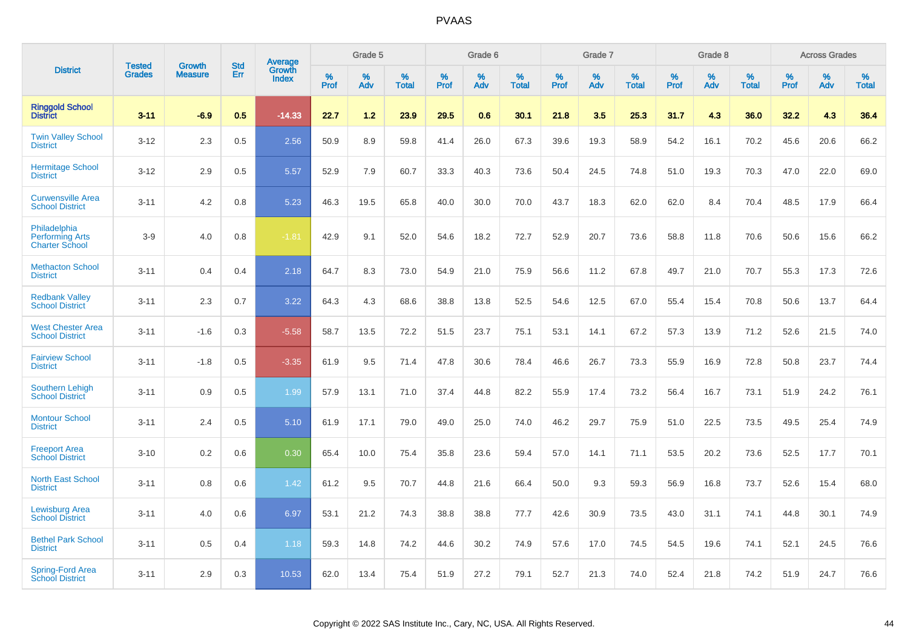|                                                                 | <b>Tested</b> | <b>Growth</b>  | <b>Std</b> | Average                |              | Grade 5  |                      |              | Grade 6     |                      |              | Grade 7     |                   |              | Grade 8     |                   |              | <b>Across Grades</b> |                   |
|-----------------------------------------------------------------|---------------|----------------|------------|------------------------|--------------|----------|----------------------|--------------|-------------|----------------------|--------------|-------------|-------------------|--------------|-------------|-------------------|--------------|----------------------|-------------------|
| <b>District</b>                                                 | <b>Grades</b> | <b>Measure</b> | Err        | Growth<br><b>Index</b> | $\%$<br>Prof | %<br>Adv | $\%$<br><b>Total</b> | $\%$<br>Prof | $\%$<br>Adv | $\%$<br><b>Total</b> | $\%$<br>Prof | $\%$<br>Adv | %<br><b>Total</b> | $\%$<br>Prof | $\%$<br>Adv | %<br><b>Total</b> | $\%$<br>Prof | $\%$<br>Adv          | %<br><b>Total</b> |
| <b>Ringgold School</b><br><b>District</b>                       | $3 - 11$      | $-6.9$         | 0.5        | $-14.33$               | 22.7         | 1.2      | 23.9                 | 29.5         | 0.6         | 30.1                 | 21.8         | 3.5         | 25.3              | 31.7         | 4.3         | 36.0              | 32.2         | 4.3                  | 36.4              |
| <b>Twin Valley School</b><br><b>District</b>                    | $3 - 12$      | 2.3            | 0.5        | 2.56                   | 50.9         | 8.9      | 59.8                 | 41.4         | 26.0        | 67.3                 | 39.6         | 19.3        | 58.9              | 54.2         | 16.1        | 70.2              | 45.6         | 20.6                 | 66.2              |
| <b>Hermitage School</b><br><b>District</b>                      | $3 - 12$      | 2.9            | 0.5        | 5.57                   | 52.9         | 7.9      | 60.7                 | 33.3         | 40.3        | 73.6                 | 50.4         | 24.5        | 74.8              | 51.0         | 19.3        | 70.3              | 47.0         | 22.0                 | 69.0              |
| <b>Curwensville Area</b><br><b>School District</b>              | $3 - 11$      | 4.2            | 0.8        | 5.23                   | 46.3         | 19.5     | 65.8                 | 40.0         | 30.0        | 70.0                 | 43.7         | 18.3        | 62.0              | 62.0         | 8.4         | 70.4              | 48.5         | 17.9                 | 66.4              |
| Philadelphia<br><b>Performing Arts</b><br><b>Charter School</b> | $3-9$         | 4.0            | 0.8        | $-1.81$                | 42.9         | 9.1      | 52.0                 | 54.6         | 18.2        | 72.7                 | 52.9         | 20.7        | 73.6              | 58.8         | 11.8        | 70.6              | 50.6         | 15.6                 | 66.2              |
| <b>Methacton School</b><br><b>District</b>                      | $3 - 11$      | 0.4            | 0.4        | 2.18                   | 64.7         | 8.3      | 73.0                 | 54.9         | 21.0        | 75.9                 | 56.6         | 11.2        | 67.8              | 49.7         | 21.0        | 70.7              | 55.3         | 17.3                 | 72.6              |
| <b>Redbank Valley</b><br><b>School District</b>                 | $3 - 11$      | 2.3            | 0.7        | 3.22                   | 64.3         | 4.3      | 68.6                 | 38.8         | 13.8        | 52.5                 | 54.6         | 12.5        | 67.0              | 55.4         | 15.4        | 70.8              | 50.6         | 13.7                 | 64.4              |
| <b>West Chester Area</b><br><b>School District</b>              | $3 - 11$      | $-1.6$         | 0.3        | $-5.58$                | 58.7         | 13.5     | 72.2                 | 51.5         | 23.7        | 75.1                 | 53.1         | 14.1        | 67.2              | 57.3         | 13.9        | 71.2              | 52.6         | 21.5                 | 74.0              |
| <b>Fairview School</b><br><b>District</b>                       | $3 - 11$      | $-1.8$         | 0.5        | $-3.35$                | 61.9         | 9.5      | 71.4                 | 47.8         | 30.6        | 78.4                 | 46.6         | 26.7        | 73.3              | 55.9         | 16.9        | 72.8              | 50.8         | 23.7                 | 74.4              |
| <b>Southern Lehigh</b><br><b>School District</b>                | $3 - 11$      | 0.9            | 0.5        | 1.99                   | 57.9         | 13.1     | 71.0                 | 37.4         | 44.8        | 82.2                 | 55.9         | 17.4        | 73.2              | 56.4         | 16.7        | 73.1              | 51.9         | 24.2                 | 76.1              |
| <b>Montour School</b><br><b>District</b>                        | $3 - 11$      | 2.4            | 0.5        | 5.10                   | 61.9         | 17.1     | 79.0                 | 49.0         | 25.0        | 74.0                 | 46.2         | 29.7        | 75.9              | 51.0         | 22.5        | 73.5              | 49.5         | 25.4                 | 74.9              |
| <b>Freeport Area</b><br><b>School District</b>                  | $3 - 10$      | 0.2            | 0.6        | 0.30                   | 65.4         | 10.0     | 75.4                 | 35.8         | 23.6        | 59.4                 | 57.0         | 14.1        | 71.1              | 53.5         | 20.2        | 73.6              | 52.5         | 17.7                 | 70.1              |
| <b>North East School</b><br><b>District</b>                     | $3 - 11$      | 0.8            | 0.6        | 1.42                   | 61.2         | 9.5      | 70.7                 | 44.8         | 21.6        | 66.4                 | 50.0         | 9.3         | 59.3              | 56.9         | 16.8        | 73.7              | 52.6         | 15.4                 | 68.0              |
| <b>Lewisburg Area</b><br><b>School District</b>                 | $3 - 11$      | 4.0            | 0.6        | 6.97                   | 53.1         | 21.2     | 74.3                 | 38.8         | 38.8        | 77.7                 | 42.6         | 30.9        | 73.5              | 43.0         | 31.1        | 74.1              | 44.8         | 30.1                 | 74.9              |
| <b>Bethel Park School</b><br><b>District</b>                    | $3 - 11$      | 0.5            | 0.4        | 1.18                   | 59.3         | 14.8     | 74.2                 | 44.6         | 30.2        | 74.9                 | 57.6         | 17.0        | 74.5              | 54.5         | 19.6        | 74.1              | 52.1         | 24.5                 | 76.6              |
| <b>Spring-Ford Area</b><br><b>School District</b>               | $3 - 11$      | 2.9            | 0.3        | 10.53                  | 62.0         | 13.4     | 75.4                 | 51.9         | 27.2        | 79.1                 | 52.7         | 21.3        | 74.0              | 52.4         | 21.8        | 74.2              | 51.9         | 24.7                 | 76.6              |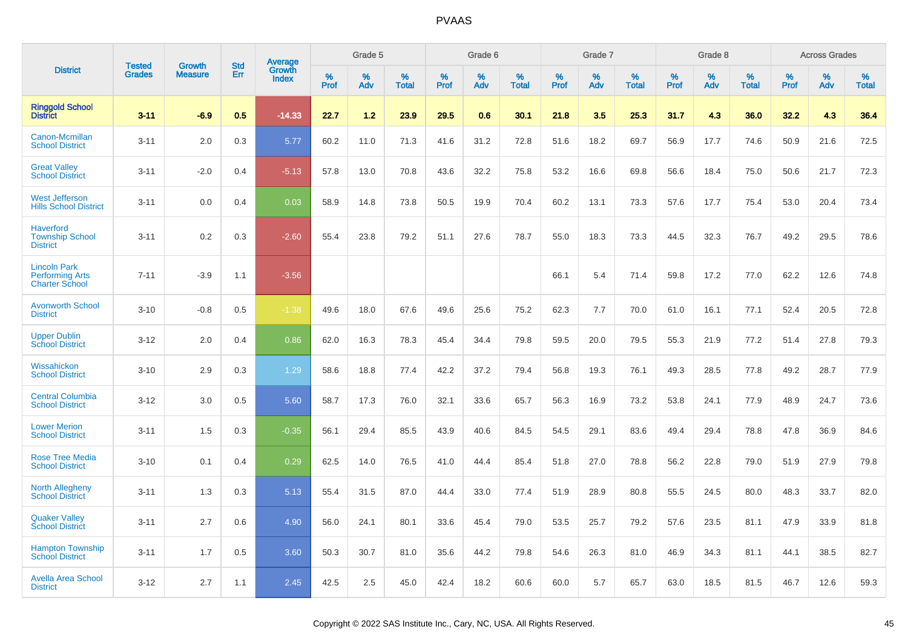|                                                                        | <b>Tested</b> | <b>Growth</b>  | <b>Std</b> | Average                |              | Grade 5  |                   |              | Grade 6  |                   |              | Grade 7  |                   |           | Grade 8  |                   |              | <b>Across Grades</b> |                   |
|------------------------------------------------------------------------|---------------|----------------|------------|------------------------|--------------|----------|-------------------|--------------|----------|-------------------|--------------|----------|-------------------|-----------|----------|-------------------|--------------|----------------------|-------------------|
| <b>District</b>                                                        | <b>Grades</b> | <b>Measure</b> | Err        | Growth<br><b>Index</b> | $\%$<br>Prof | %<br>Adv | %<br><b>Total</b> | $\%$<br>Prof | %<br>Adv | %<br><b>Total</b> | $\%$<br>Prof | %<br>Adv | %<br><b>Total</b> | %<br>Prof | %<br>Adv | %<br><b>Total</b> | $\%$<br>Prof | %<br>Adv             | %<br><b>Total</b> |
| <b>Ringgold School</b><br><b>District</b>                              | $3 - 11$      | $-6.9$         | 0.5        | $-14.33$               | 22.7         | 1.2      | 23.9              | 29.5         | 0.6      | 30.1              | 21.8         | 3.5      | 25.3              | 31.7      | 4.3      | 36.0              | 32.2         | 4.3                  | 36.4              |
| Canon-Mcmillan<br><b>School District</b>                               | $3 - 11$      | 2.0            | 0.3        | 5.77                   | 60.2         | 11.0     | 71.3              | 41.6         | 31.2     | 72.8              | 51.6         | 18.2     | 69.7              | 56.9      | 17.7     | 74.6              | 50.9         | 21.6                 | 72.5              |
| <b>Great Valley</b><br><b>School District</b>                          | $3 - 11$      | $-2.0$         | 0.4        | $-5.13$                | 57.8         | 13.0     | 70.8              | 43.6         | 32.2     | 75.8              | 53.2         | 16.6     | 69.8              | 56.6      | 18.4     | 75.0              | 50.6         | 21.7                 | 72.3              |
| <b>West Jefferson</b><br><b>Hills School District</b>                  | $3 - 11$      | 0.0            | 0.4        | 0.03                   | 58.9         | 14.8     | 73.8              | 50.5         | 19.9     | 70.4              | 60.2         | 13.1     | 73.3              | 57.6      | 17.7     | 75.4              | 53.0         | 20.4                 | 73.4              |
| <b>Haverford</b><br><b>Township School</b><br><b>District</b>          | $3 - 11$      | 0.2            | 0.3        | $-2.60$                | 55.4         | 23.8     | 79.2              | 51.1         | 27.6     | 78.7              | 55.0         | 18.3     | 73.3              | 44.5      | 32.3     | 76.7              | 49.2         | 29.5                 | 78.6              |
| <b>Lincoln Park</b><br><b>Performing Arts</b><br><b>Charter School</b> | $7 - 11$      | $-3.9$         | 1.1        | $-3.56$                |              |          |                   |              |          |                   | 66.1         | 5.4      | 71.4              | 59.8      | 17.2     | 77.0              | 62.2         | 12.6                 | 74.8              |
| <b>Avonworth School</b><br><b>District</b>                             | $3 - 10$      | $-0.8$         | 0.5        | $-1.38$                | 49.6         | 18.0     | 67.6              | 49.6         | 25.6     | 75.2              | 62.3         | 7.7      | 70.0              | 61.0      | 16.1     | 77.1              | 52.4         | 20.5                 | 72.8              |
| <b>Upper Dublin</b><br><b>School District</b>                          | $3 - 12$      | 2.0            | 0.4        | 0.86                   | 62.0         | 16.3     | 78.3              | 45.4         | 34.4     | 79.8              | 59.5         | 20.0     | 79.5              | 55.3      | 21.9     | 77.2              | 51.4         | 27.8                 | 79.3              |
| Wissahickon<br><b>School District</b>                                  | $3 - 10$      | 2.9            | 0.3        | 1.29                   | 58.6         | 18.8     | 77.4              | 42.2         | 37.2     | 79.4              | 56.8         | 19.3     | 76.1              | 49.3      | 28.5     | 77.8              | 49.2         | 28.7                 | 77.9              |
| <b>Central Columbia</b><br><b>School District</b>                      | $3 - 12$      | 3.0            | 0.5        | 5.60                   | 58.7         | 17.3     | 76.0              | 32.1         | 33.6     | 65.7              | 56.3         | 16.9     | 73.2              | 53.8      | 24.1     | 77.9              | 48.9         | 24.7                 | 73.6              |
| <b>Lower Merion</b><br><b>School District</b>                          | $3 - 11$      | 1.5            | 0.3        | $-0.35$                | 56.1         | 29.4     | 85.5              | 43.9         | 40.6     | 84.5              | 54.5         | 29.1     | 83.6              | 49.4      | 29.4     | 78.8              | 47.8         | 36.9                 | 84.6              |
| <b>Rose Tree Media</b><br><b>School District</b>                       | $3 - 10$      | 0.1            | 0.4        | 0.29                   | 62.5         | 14.0     | 76.5              | 41.0         | 44.4     | 85.4              | 51.8         | 27.0     | 78.8              | 56.2      | 22.8     | 79.0              | 51.9         | 27.9                 | 79.8              |
| <b>North Allegheny</b><br><b>School District</b>                       | $3 - 11$      | 1.3            | 0.3        | 5.13                   | 55.4         | 31.5     | 87.0              | 44.4         | 33.0     | 77.4              | 51.9         | 28.9     | 80.8              | 55.5      | 24.5     | 80.0              | 48.3         | 33.7                 | 82.0              |
| <b>Quaker Valley</b><br><b>School District</b>                         | $3 - 11$      | 2.7            | 0.6        | 4.90                   | 56.0         | 24.1     | 80.1              | 33.6         | 45.4     | 79.0              | 53.5         | 25.7     | 79.2              | 57.6      | 23.5     | 81.1              | 47.9         | 33.9                 | 81.8              |
| <b>Hampton Township</b><br><b>School District</b>                      | $3 - 11$      | 1.7            | 0.5        | 3.60                   | 50.3         | 30.7     | 81.0              | 35.6         | 44.2     | 79.8              | 54.6         | 26.3     | 81.0              | 46.9      | 34.3     | 81.1              | 44.1         | 38.5                 | 82.7              |
| <b>Avella Area School</b><br><b>District</b>                           | $3 - 12$      | 2.7            | 1.1        | 2.45                   | 42.5         | 2.5      | 45.0              | 42.4         | 18.2     | 60.6              | 60.0         | 5.7      | 65.7              | 63.0      | 18.5     | 81.5              | 46.7         | 12.6                 | 59.3              |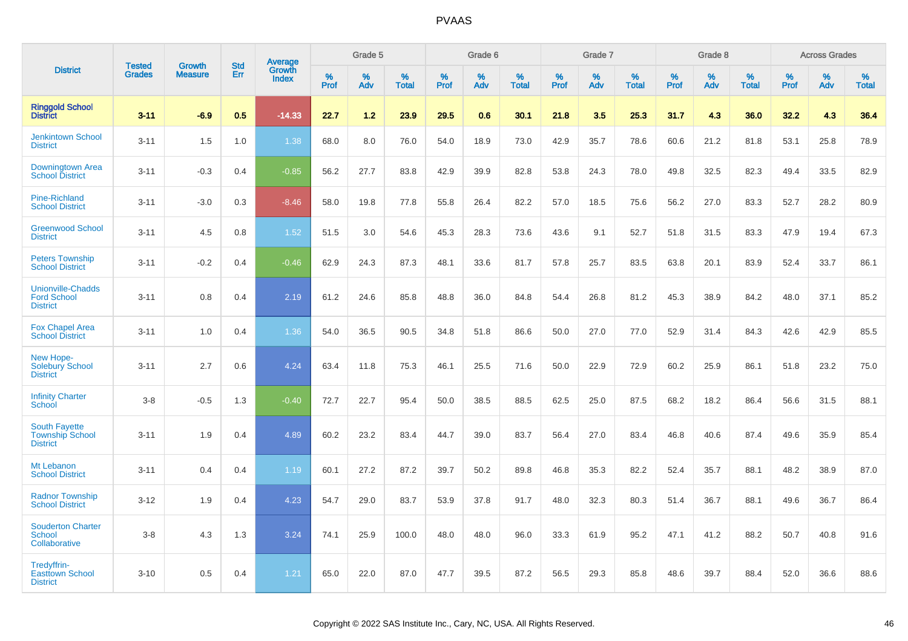|                                                                   | <b>Tested</b> | <b>Growth</b>  | <b>Std</b> |                                   |           | Grade 5  |                   |           | Grade 6  |                   |           | Grade 7  |                   |           | Grade 8  |                   |           | <b>Across Grades</b> |                   |
|-------------------------------------------------------------------|---------------|----------------|------------|-----------------------------------|-----------|----------|-------------------|-----------|----------|-------------------|-----------|----------|-------------------|-----------|----------|-------------------|-----------|----------------------|-------------------|
| <b>District</b>                                                   | <b>Grades</b> | <b>Measure</b> | Err        | <b>Average</b><br>Growth<br>Index | %<br>Prof | %<br>Adv | %<br><b>Total</b> | %<br>Prof | %<br>Adv | %<br><b>Total</b> | %<br>Prof | %<br>Adv | %<br><b>Total</b> | %<br>Prof | %<br>Adv | %<br><b>Total</b> | %<br>Prof | %<br>Adv             | %<br><b>Total</b> |
| <b>Ringgold School</b><br><b>District</b>                         | $3 - 11$      | $-6.9$         | 0.5        | $-14.33$                          | 22.7      | 1.2      | 23.9              | 29.5      | 0.6      | 30.1              | 21.8      | 3.5      | 25.3              | 31.7      | 4.3      | 36.0              | 32.2      | 4.3                  | 36.4              |
| <b>Jenkintown School</b><br><b>District</b>                       | $3 - 11$      | 1.5            | 1.0        | 1.38                              | 68.0      | 8.0      | 76.0              | 54.0      | 18.9     | 73.0              | 42.9      | 35.7     | 78.6              | 60.6      | 21.2     | 81.8              | 53.1      | 25.8                 | 78.9              |
| Downingtown Area<br><b>School District</b>                        | $3 - 11$      | $-0.3$         | 0.4        | $-0.85$                           | 56.2      | 27.7     | 83.8              | 42.9      | 39.9     | 82.8              | 53.8      | 24.3     | 78.0              | 49.8      | 32.5     | 82.3              | 49.4      | 33.5                 | 82.9              |
| <b>Pine-Richland</b><br><b>School District</b>                    | $3 - 11$      | $-3.0$         | 0.3        | $-8.46$                           | 58.0      | 19.8     | 77.8              | 55.8      | 26.4     | 82.2              | 57.0      | 18.5     | 75.6              | 56.2      | 27.0     | 83.3              | 52.7      | 28.2                 | 80.9              |
| <b>Greenwood School</b><br><b>District</b>                        | $3 - 11$      | 4.5            | 0.8        | 1.52                              | 51.5      | 3.0      | 54.6              | 45.3      | 28.3     | 73.6              | 43.6      | 9.1      | 52.7              | 51.8      | 31.5     | 83.3              | 47.9      | 19.4                 | 67.3              |
| <b>Peters Township</b><br><b>School District</b>                  | $3 - 11$      | $-0.2$         | 0.4        | $-0.46$                           | 62.9      | 24.3     | 87.3              | 48.1      | 33.6     | 81.7              | 57.8      | 25.7     | 83.5              | 63.8      | 20.1     | 83.9              | 52.4      | 33.7                 | 86.1              |
| Unionville-Chadds<br><b>Ford School</b><br><b>District</b>        | $3 - 11$      | 0.8            | 0.4        | 2.19                              | 61.2      | 24.6     | 85.8              | 48.8      | 36.0     | 84.8              | 54.4      | 26.8     | 81.2              | 45.3      | 38.9     | 84.2              | 48.0      | 37.1                 | 85.2              |
| <b>Fox Chapel Area</b><br><b>School District</b>                  | $3 - 11$      | 1.0            | 0.4        | 1.36                              | 54.0      | 36.5     | 90.5              | 34.8      | 51.8     | 86.6              | 50.0      | 27.0     | 77.0              | 52.9      | 31.4     | 84.3              | 42.6      | 42.9                 | 85.5              |
| New Hope-<br><b>Solebury School</b><br><b>District</b>            | $3 - 11$      | 2.7            | 0.6        | 4.24                              | 63.4      | 11.8     | 75.3              | 46.1      | 25.5     | 71.6              | 50.0      | 22.9     | 72.9              | 60.2      | 25.9     | 86.1              | 51.8      | 23.2                 | 75.0              |
| <b>Infinity Charter</b><br>School                                 | $3 - 8$       | $-0.5$         | 1.3        | $-0.40$                           | 72.7      | 22.7     | 95.4              | 50.0      | 38.5     | 88.5              | 62.5      | 25.0     | 87.5              | 68.2      | 18.2     | 86.4              | 56.6      | 31.5                 | 88.1              |
| <b>South Fayette</b><br><b>Township School</b><br><b>District</b> | $3 - 11$      | 1.9            | 0.4        | 4.89                              | 60.2      | 23.2     | 83.4              | 44.7      | 39.0     | 83.7              | 56.4      | 27.0     | 83.4              | 46.8      | 40.6     | 87.4              | 49.6      | 35.9                 | 85.4              |
| Mt Lebanon<br><b>School District</b>                              | $3 - 11$      | 0.4            | 0.4        | 1.19                              | 60.1      | 27.2     | 87.2              | 39.7      | 50.2     | 89.8              | 46.8      | 35.3     | 82.2              | 52.4      | 35.7     | 88.1              | 48.2      | 38.9                 | 87.0              |
| <b>Radnor Township</b><br><b>School District</b>                  | $3 - 12$      | 1.9            | 0.4        | 4.23                              | 54.7      | 29.0     | 83.7              | 53.9      | 37.8     | 91.7              | 48.0      | 32.3     | 80.3              | 51.4      | 36.7     | 88.1              | 49.6      | 36.7                 | 86.4              |
| <b>Souderton Charter</b><br>School<br>Collaborative               | $3 - 8$       | 4.3            | 1.3        | 3.24                              | 74.1      | 25.9     | 100.0             | 48.0      | 48.0     | 96.0              | 33.3      | 61.9     | 95.2              | 47.1      | 41.2     | 88.2              | 50.7      | 40.8                 | 91.6              |
| Tredyffrin-<br><b>Easttown School</b><br><b>District</b>          | $3 - 10$      | 0.5            | 0.4        | 1.21                              | 65.0      | 22.0     | 87.0              | 47.7      | 39.5     | 87.2              | 56.5      | 29.3     | 85.8              | 48.6      | 39.7     | 88.4              | 52.0      | 36.6                 | 88.6              |